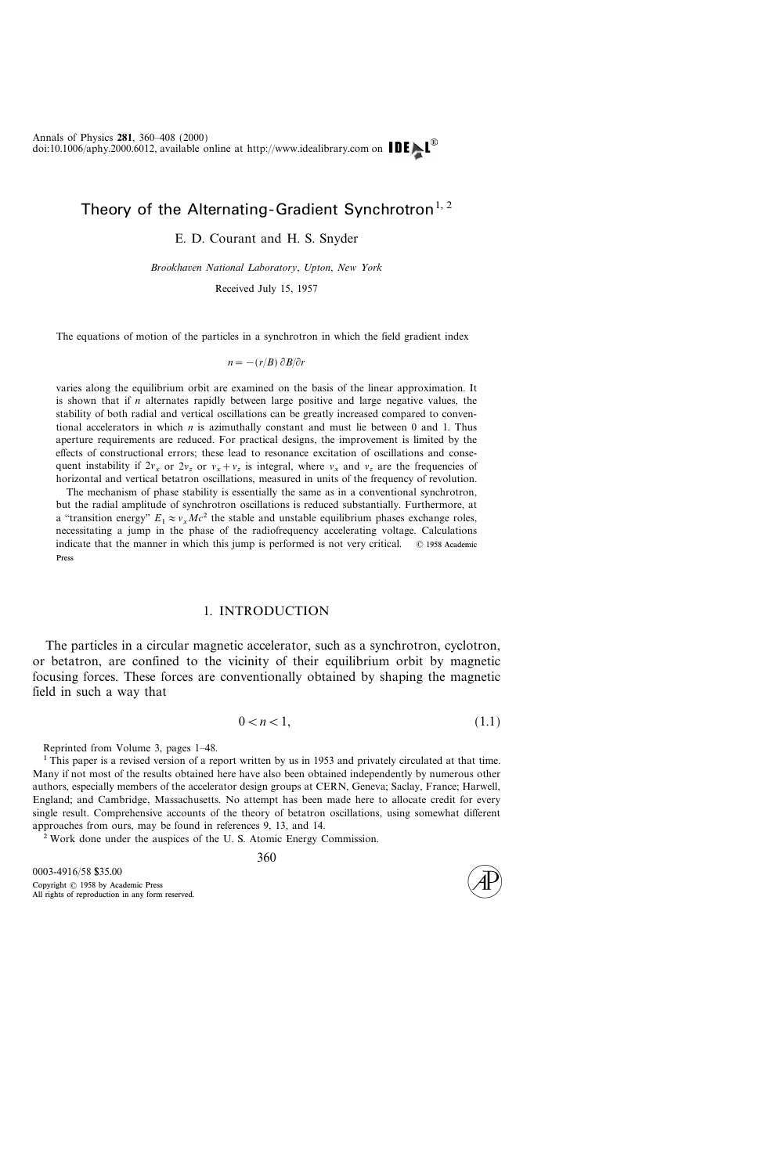# Theory of the Alternating-Gradient Synchrotron<sup>1, 2</sup>

## E. D. Courant and H. S. Snyder

Brookhaven National Laboratory, Upton, New York

Received July 15, 1957

The equations of motion of the particles in a synchrotron in which the field gradient index

$$
n = -(r/B) \partial B/\partial r
$$

varies along the equilibrium orbit are examined on the basis of the linear approximation. It is shown that if  $n$  alternates rapidly between large positive and large negative values, the stability of both radial and vertical oscillations can be greatly increased compared to conventional accelerators in which  $n$  is azimuthally constant and must lie between 0 and 1. Thus aperture requirements are reduced. For practical designs, the improvement is limited by the effects of constructional errors; these lead to resonance excitation of oscillations and consequent instability if  $2v_x$  or  $2v_z$  or  $v_x + v_z$  is integral, where  $v_x$  and  $v_z$  are the frequencies of horizontal and vertical betatron oscillations, measured in units of the frequency of revolution.

The mechanism of phase stability is essentially the same as in a conventional synchrotron, but the radial amplitude of synchrotron oscillations is reduced substantially. Furthermore, at a "transition energy"  $E_1 \approx v_rMc^2$  the stable and unstable equilibrium phases exchange roles, necessitating a jump in the phase of the radiofrequency accelerating voltage. Calculations indicate that the manner in which this jump is performed is not very critical.  $\circ$  1958 Academic Press

#### 1. INTRODUCTION

The particles in a circular magnetic accelerator, such as a synchrotron, cyclotron, or betatron, are confined to the vicinity of their equilibrium orbit by magnetic focusing forces. These forces are conventionally obtained by shaping the magnetic field in such a way that

$$
0 < n < 1,\tag{1.1}
$$

Reprinted from Volume 3, pages 1–48.

<sup>1</sup> This paper is a revised version of a report written by us in 1953 and privately circulated at that time. Many if not most of the results obtained here have also been obtained independently by numerous other authors, especially members of the accelerator design groups at CERN, Geneva; Saclay, France; Harwell, England; and Cambridge, Massachusetts. No attempt has been made here to allocate credit for every single result. Comprehensive accounts of the theory of betatron oscillations, using somewhat different approaches from ours, may be found in references 9, 13, and 14.

<sup>2</sup> Work done under the auspices of the U. S. Atomic Energy Commission.

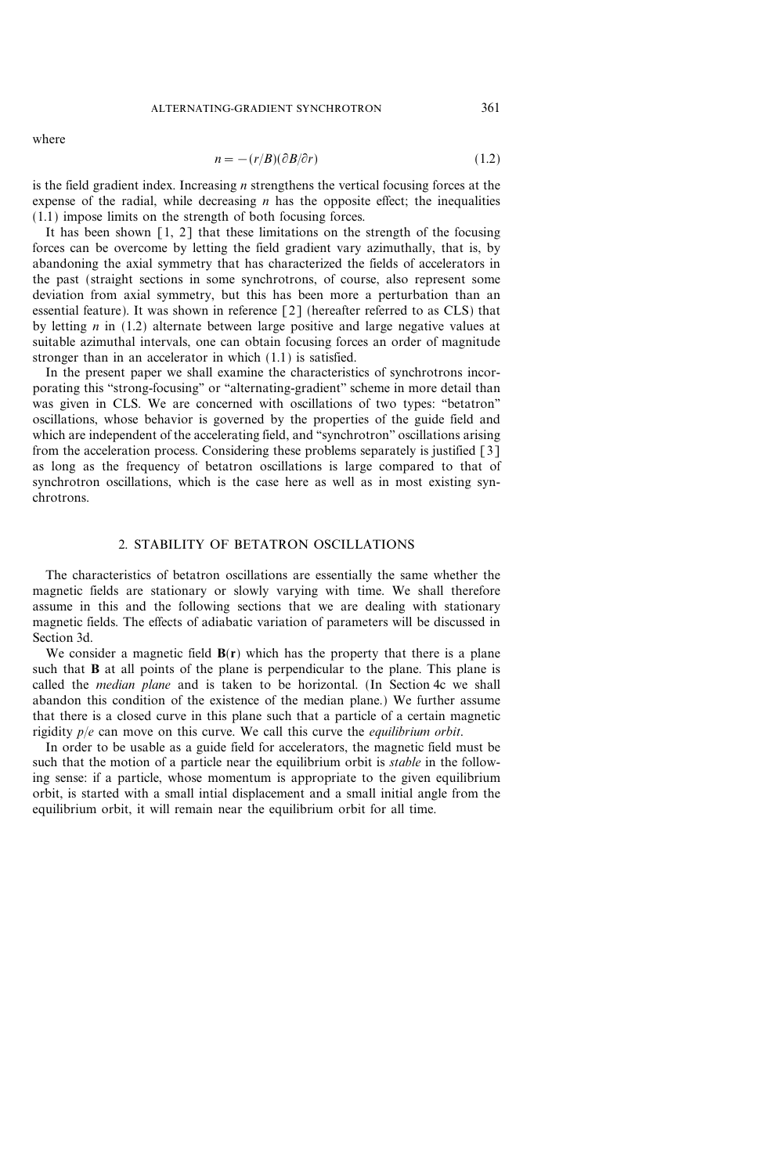where

$$
n = -(r/B)(\partial B/\partial r) \tag{1.2}
$$

is the field gradient index. Increasing  $n$  strengthens the vertical focusing forces at the expense of the radial, while decreasing  $n$  has the opposite effect; the inequalities (1.1) impose limits on the strength of both focusing forces.

It has been shown [1, 2] that these limitations on the strength of the focusing forces can be overcome by letting the field gradient vary azimuthally, that is, by abandoning the axial symmetry that has characterized the fields of accelerators in the past (straight sections in some synchrotrons, of course, also represent some deviation from axial symmetry, but this has been more a perturbation than an essential feature). It was shown in reference [2] (hereafter referred to as CLS) that by letting  $n$  in (1.2) alternate between large positive and large negative values at suitable azimuthal intervals, one can obtain focusing forces an order of magnitude stronger than in an accelerator in which (1.1) is satisfied.

In the present paper we shall examine the characteristics of synchrotrons incorporating this "strong-focusing" or "alternating-gradient" scheme in more detail than was given in CLS. We are concerned with oscillations of two types: "betatron" oscillations, whose behavior is governed by the properties of the guide field and which are independent of the accelerating field, and "synchrotron" oscillations arising from the acceleration process. Considering these problems separately is justified [3] as long as the frequency of betatron oscillations is large compared to that of synchrotron oscillations, which is the case here as well as in most existing synchrotrons.

## 2. STABILITY OF BETATRON OSCILLATIONS

The characteristics of betatron oscillations are essentially the same whether the magnetic fields are stationary or slowly varying with time. We shall therefore assume in this and the following sections that we are dealing with stationary magnetic fields. The effects of adiabatic variation of parameters will be discussed in Section 3d.

We consider a magnetic field  $B(r)$  which has the property that there is a plane such that **B** at all points of the plane is perpendicular to the plane. This plane is called the median plane and is taken to be horizontal. (In Section 4c we shall abandon this condition of the existence of the median plane.) We further assume that there is a closed curve in this plane such that a particle of a certain magnetic rigidity  $p/e$  can move on this curve. We call this curve the *equilibrium orbit*.

In order to be usable as a guide field for accelerators, the magnetic field must be such that the motion of a particle near the equilibrium orbit is *stable* in the following sense: if a particle, whose momentum is appropriate to the given equilibrium orbit, is started with a small intial displacement and a small initial angle from the equilibrium orbit, it will remain near the equilibrium orbit for all time.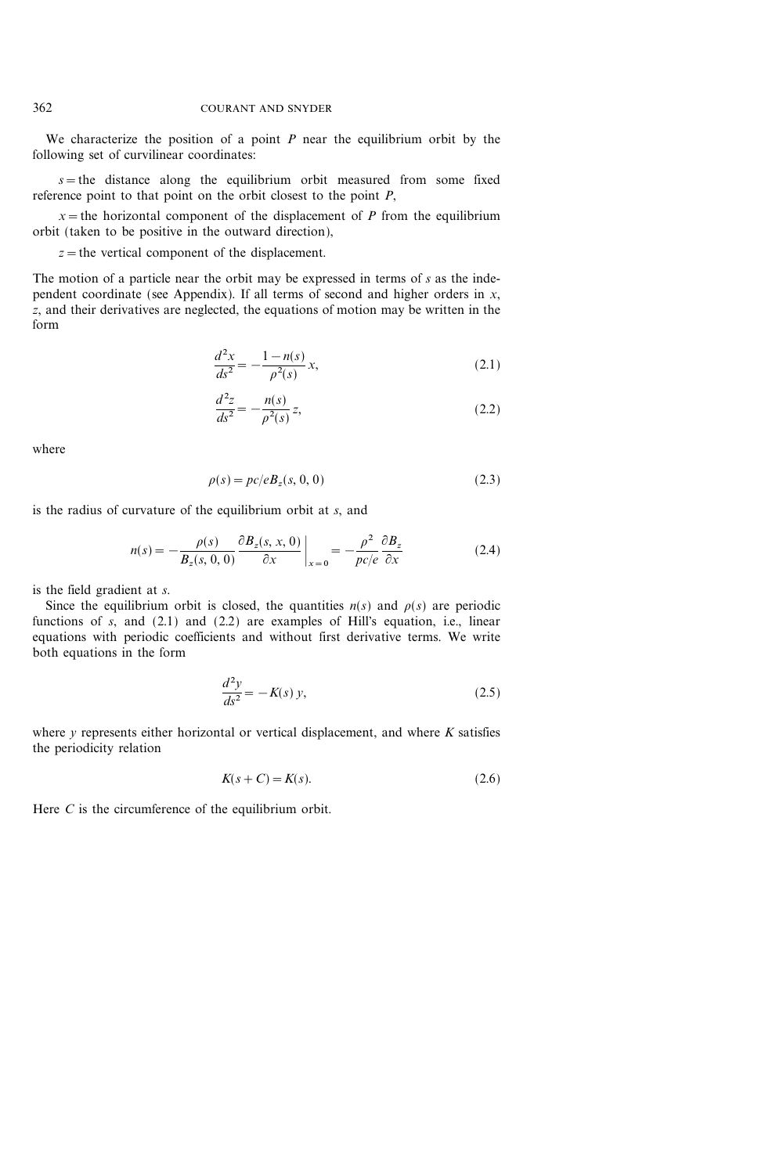We characterize the position of a point  $P$  near the equilibrium orbit by the following set of curvilinear coordinates:

 $s$ =the distance along the equilibrium orbit measured from some fixed reference point to that point on the orbit closest to the point  $P$ ,

 $x =$  the horizontal component of the displacement of P from the equilibrium orbit (taken to be positive in the outward direction),

 $z =$  the vertical component of the displacement.

The motion of a particle near the orbit may be expressed in terms of  $s$  as the independent coordinate (see Appendix). If all terms of second and higher orders in  $x$ , z, and their derivatives are neglected, the equations of motion may be written in the form

$$
\frac{d^2x}{ds^2} = -\frac{1 - n(s)}{\rho^2(s)} x,\tag{2.1}
$$

$$
\frac{d^2z}{ds^2} = -\frac{n(s)}{\rho^2(s)}z,\tag{2.2}
$$

where

$$
\rho(s) = pc/eB_z(s, 0, 0) \tag{2.3}
$$

is the radius of curvature of the equilibrium orbit at s, and

$$
n(s) = -\frac{\rho(s)}{B_z(s, 0, 0)} \frac{\partial B_z(s, x, 0)}{\partial x} \bigg|_{x=0} = -\frac{\rho^2}{\rho c/e} \frac{\partial B_z}{\partial x}
$$
(2.4)

is the field gradient at s.

Since the equilibrium orbit is closed, the quantities  $n(s)$  and  $\rho(s)$  are periodic functions of  $s$ , and  $(2.1)$  and  $(2.2)$  are examples of Hill's equation, i.e., linear equations with periodic coefficients and without first derivative terms. We write both equations in the form

$$
\frac{d^2y}{ds^2} = -K(s)y,
$$
\n(2.5)

where  $y$  represents either horizontal or vertical displacement, and where  $K$  satisfies the periodicity relation

$$
K(s+C) = K(s). \tag{2.6}
$$

Here C is the circumference of the equilibrium orbit.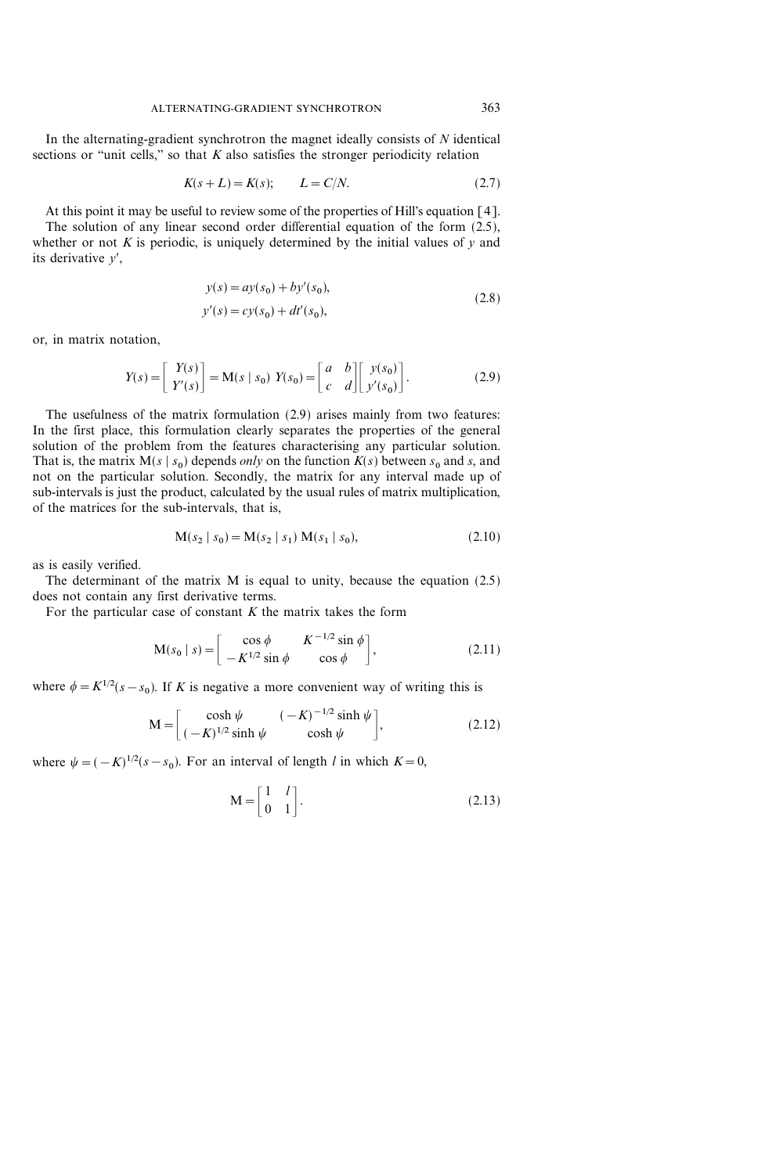In the alternating-gradient synchrotron the magnet ideally consists of  $N$  identical sections or "unit cells," so that  $K$  also satisfies the stronger periodicity relation

$$
K(s+L) = K(s); \qquad L = C/N. \tag{2.7}
$$

At this point it may be useful to review some of the properties of Hill's equation [4].

The solution of any linear second order differential equation of the form (2.5), whether or not  $K$  is periodic, is uniquely determined by the initial values of  $y$  and its derivative  $y'$ ,

$$
y(s) = ay(s0) + by'(s0),y'(s) = cy(s0) + dt'(s0),
$$
\n(2.8)

or, in matrix notation,

$$
Y(s) = \begin{bmatrix} Y(s) \\ Y'(s) \end{bmatrix} = M(s \mid s_0) \ Y(s_0) = \begin{bmatrix} a & b \\ c & d \end{bmatrix} \begin{bmatrix} y(s_0) \\ y'(s_0) \end{bmatrix}.
$$
 (2.9)

The usefulness of the matrix formulation (2.9) arises mainly from two features: In the first place, this formulation clearly separates the properties of the general solution of the problem from the features characterising any particular solution. That is, the matrix  $M(s | s_0)$  depends *only* on the function  $K(s)$  between  $s_0$  and s, and not on the particular solution. Secondly, the matrix for any interval made up of sub-intervals is just the product, calculated by the usual rules of matrix multiplication, of the matrices for the sub-intervals, that is,

$$
M(s_2 | s_0) = M(s_2 | s_1) M(s_1 | s_0),
$$
\n(2.10)

as is easily verified.

The determinant of the matrix M is equal to unity, because the equation (2.5) does not contain any first derivative terms.

For the particular case of constant  $K$  the matrix takes the form

$$
\mathbf{M}(s_0 \mid s) = \begin{bmatrix} \cos \phi & K^{-1/2} \sin \phi \\ -K^{1/2} \sin \phi & \cos \phi \end{bmatrix},
$$
 (2.11)

where  $\phi = K^{1/2}(s - s_0)$ . If K is negative a more convenient way of writing this is

$$
M = \begin{bmatrix} \cosh \psi & (-K)^{-1/2} \sinh \psi \\ (-K)^{1/2} \sinh \psi & \cosh \psi \end{bmatrix},
$$
 (2.12)

where  $\psi = (-K)^{1/2}(s - s_0)$ . For an interval of length l in which  $K = 0$ ,

$$
\mathbf{M} = \begin{bmatrix} 1 & l \\ 0 & 1 \end{bmatrix}.
$$
 (2.13)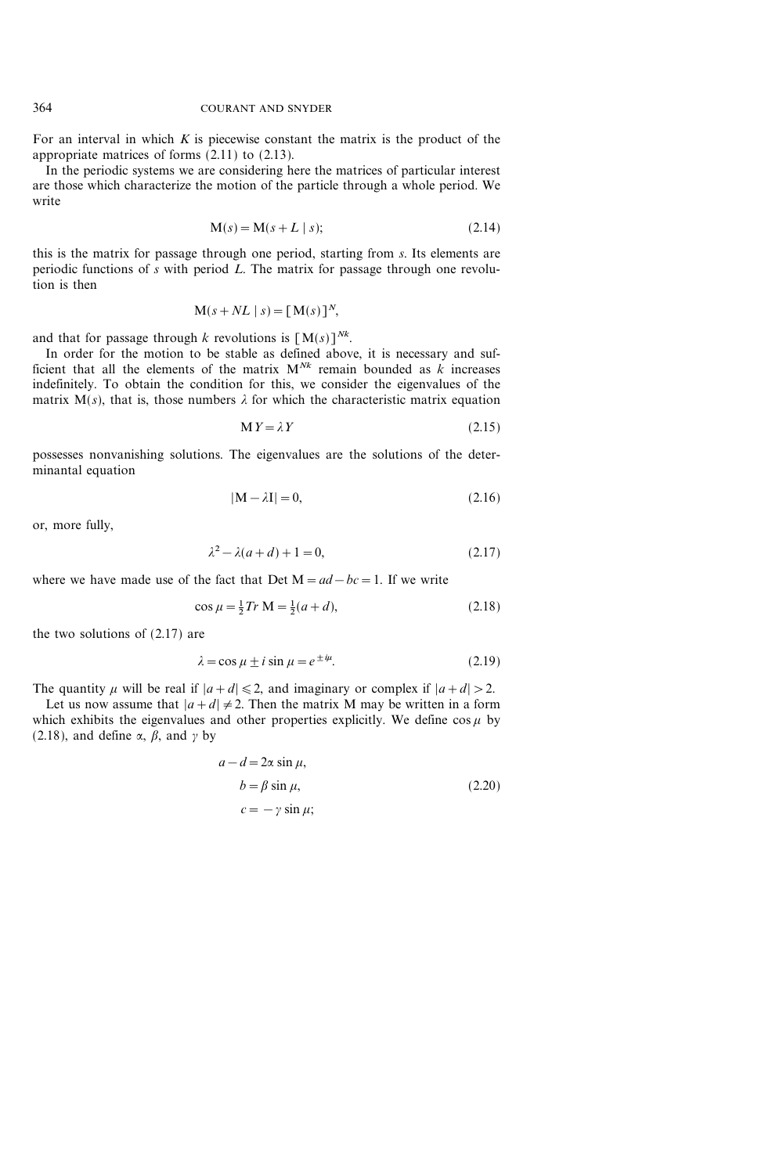For an interval in which  $K$  is piecewise constant the matrix is the product of the appropriate matrices of forms (2.11) to (2.13).

In the periodic systems we are considering here the matrices of particular interest are those which characterize the motion of the particle through a whole period. We write

$$
M(s) = M(s + L \mid s);
$$
 (2.14)

this is the matrix for passage through one period, starting from s. Its elements are periodic functions of  $s$  with period  $L$ . The matrix for passage through one revolution is then

$$
\mathbf{M}(s + NL \mid s) = [\mathbf{M}(s)]^N,
$$

and that for passage through k revolutions is  $[M(s)]^{Nk}$ .

In order for the motion to be stable as defined above, it is necessary and sufficient that all the elements of the matrix  $M^{Nk}$  remain bounded as k increases indefinitely. To obtain the condition for this, we consider the eigenvalues of the matrix  $M(s)$ , that is, those numbers  $\lambda$  for which the characteristic matrix equation

$$
M Y = \lambda Y \tag{2.15}
$$

possesses nonvanishing solutions. The eigenvalues are the solutions of the determinantal equation

$$
|\mathbf{M} - \lambda \mathbf{I}| = 0,\tag{2.16}
$$

or, more fully,

$$
\lambda^2 - \lambda(a + d) + 1 = 0,\tag{2.17}
$$

where we have made use of the fact that Det  $M=ad-bc=1$ . If we write

$$
\cos \mu = \frac{1}{2} Tr M = \frac{1}{2}(a+d),
$$
\n(2.18)

the two solutions of (2.17) are

$$
\lambda = \cos \mu \pm i \sin \mu = e^{\pm i\mu}.
$$
 (2.19)

The quantity  $\mu$  will be real if  $|a+d| \leq 2$ , and imaginary or complex if  $|a+d| > 2$ .

Let us now assume that  $|a+d| \neq 2$ . Then the matrix M may be written in a form which exhibits the eigenvalues and other properties explicitly. We define  $\cos \mu$  by (2.18), and define  $\alpha$ ,  $\beta$ , and  $\gamma$  by

$$
a - d = 2\alpha \sin \mu,
$$
  
\n
$$
b = \beta \sin \mu,
$$
  
\n
$$
c = -\gamma \sin \mu;
$$
\n(2.20)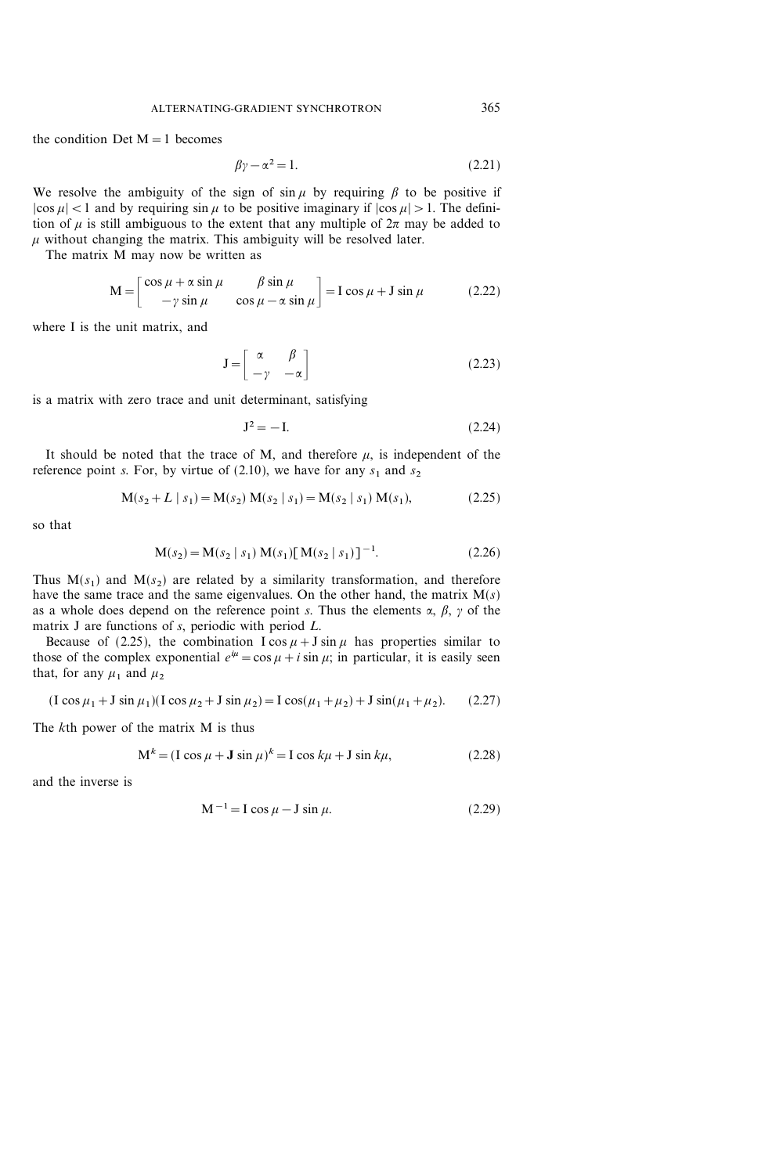the condition Det  $M=1$  becomes

$$
\beta \gamma - \alpha^2 = 1. \tag{2.21}
$$

We resolve the ambiguity of the sign of sin  $\mu$  by requiring  $\beta$  to be positive if  $|\cos \mu|$  < 1 and by requiring  $\sin \mu$  to be positive imaginary if  $|\cos \mu| > 1$ . The definition of  $\mu$  is still ambiguous to the extent that any multiple of  $2\pi$  may be added to  $\mu$  without changing the matrix. This ambiguity will be resolved later.

The matrix M may now be written as

$$
M = \begin{bmatrix} \cos \mu + \alpha \sin \mu & \beta \sin \mu \\ -\gamma \sin \mu & \cos \mu - \alpha \sin \mu \end{bmatrix} = I \cos \mu + J \sin \mu \qquad (2.22)
$$

where I is the unit matrix, and

$$
\mathbf{J} = \begin{bmatrix} \alpha & \beta \\ -\gamma & -\alpha \end{bmatrix} \tag{2.23}
$$

is a matrix with zero trace and unit determinant, satisfying

$$
\mathbf{J}^2 = -\mathbf{I}.\tag{2.24}
$$

It should be noted that the trace of M, and therefore  $\mu$ , is independent of the reference point s. For, by virtue of (2.10), we have for any  $s_1$  and  $s_2$ 

$$
M(s_2 + L \mid s_1) = M(s_2) M(s_2 \mid s_1) = M(s_2 \mid s_1) M(s_1),
$$
\n(2.25)

so that

$$
M(s_2) = M(s_2 \mid s_1) M(s_1) [M(s_2 \mid s_1)]^{-1}.
$$
 (2.26)

Thus  $M(s_1)$  and  $M(s_2)$  are related by a similarity transformation, and therefore have the same trace and the same eigenvalues. On the other hand, the matrix  $M(s)$ as a whole does depend on the reference point s. Thus the elements  $\alpha$ ,  $\beta$ ,  $\gamma$  of the matrix J are functions of s, periodic with period L.

Because of (2.25), the combination  $I \cos \mu + J \sin \mu$  has properties similar to those of the complex exponential  $e^{i\mu} = \cos \mu + i \sin \mu$ ; in particular, it is easily seen that, for any  $\mu_1$  and  $\mu_2$ 

$$
(I\cos\mu_1 + J\sin\mu_1)(I\cos\mu_2 + J\sin\mu_2) = I\cos(\mu_1 + \mu_2) + J\sin(\mu_1 + \mu_2). \tag{2.27}
$$

The kth power of the matrix M is thus

$$
\mathbf{M}^{k} = (\mathbf{I}\cos\mu + \mathbf{J}\sin\mu)^{k} = \mathbf{I}\cos k\mu + \mathbf{J}\sin k\mu,
$$
 (2.28)

and the inverse is

$$
M^{-1} = I \cos \mu - J \sin \mu. \tag{2.29}
$$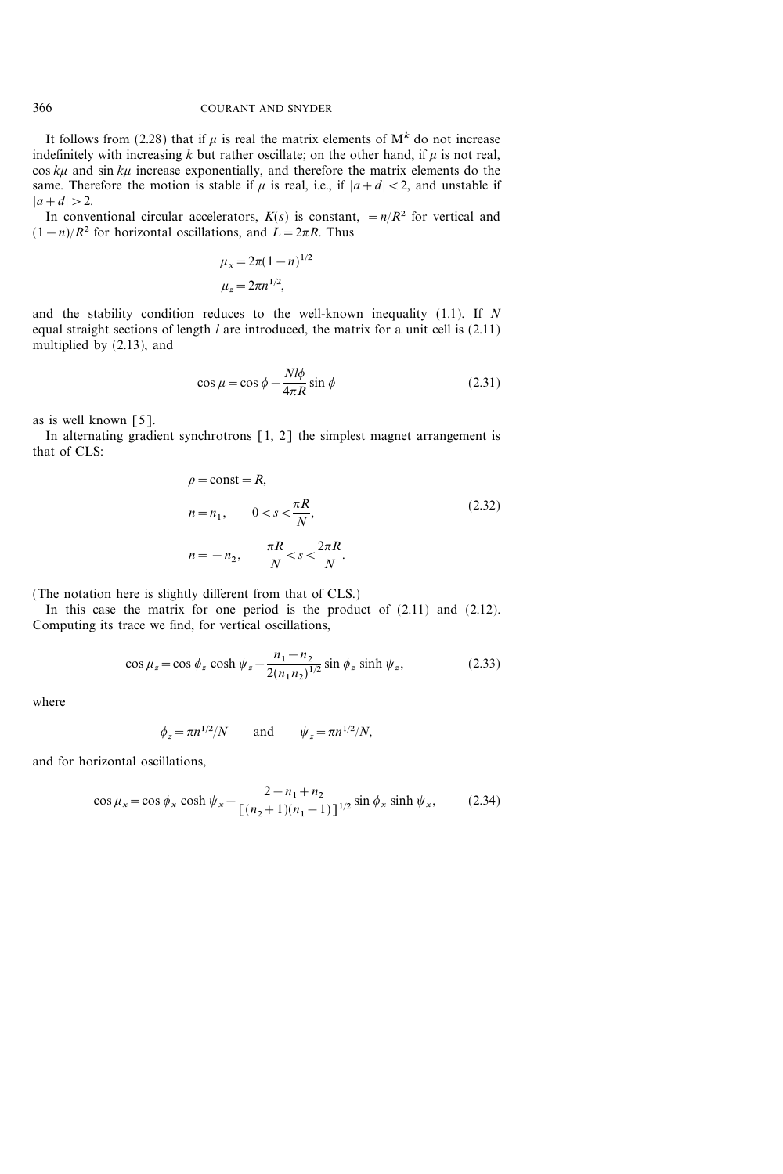It follows from (2.28) that if  $\mu$  is real the matrix elements of  $M^k$  do not increase indefinitely with increasing k but rather oscillate; on the other hand, if  $\mu$  is not real,  $\cos k\mu$  and  $\sin k\mu$  increase exponentially, and therefore the matrix elements do the same. Therefore the motion is stable if  $\mu$  is real, i.e., if  $|a+d| < 2$ , and unstable if  $|a+d|>2.$ 

In conventional circular accelerators,  $K(s)$  is constant,  $=n/R^2$  for vertical and  $(1-n)/R^2$  for horizontal oscillations, and  $L=2\pi R$ . Thus

$$
\mu_x = 2\pi (1 - n)^{1/2}
$$

$$
\mu_z = 2\pi n^{1/2},
$$

and the stability condition reduces to the well-known inequality  $(1.1)$ . If N equal straight sections of length  $l$  are introduced, the matrix for a unit cell is  $(2.11)$ multiplied by (2.13), and

$$
\cos \mu = \cos \phi - \frac{N l \phi}{4 \pi R} \sin \phi \tag{2.31}
$$

as is well known [5].

In alternating gradient synchrotrons [1, 2] the simplest magnet arrangement is that of CLS:

$$
\rho = \text{const} = R,
$$
  
\n
$$
n = n_1, \qquad 0 < s < \frac{\pi R}{N},
$$
  
\n
$$
n = -n_2, \qquad \frac{\pi R}{N} < s < \frac{2\pi R}{N}.
$$
\n
$$
(2.32)
$$

(The notation here is slightly different from that of CLS.)

In this case the matrix for one period is the product of (2.11) and (2.12). Computing its trace we find, for vertical oscillations,

$$
\cos \mu_z = \cos \phi_z \cosh \psi_z - \frac{n_1 - n_2}{2(n_1 n_2)^{1/2}} \sin \phi_z \sinh \psi_z, \tag{2.33}
$$

where

$$
\phi_z = \pi n^{1/2}/N \qquad \text{and} \qquad \psi_z = \pi n^{1/2}/N,
$$

and for horizontal oscillations,

$$
\cos \mu_x = \cos \phi_x \cosh \psi_x - \frac{2 - n_1 + n_2}{\left[ (n_2 + 1)(n_1 - 1) \right]^{1/2}} \sin \phi_x \sinh \psi_x, \tag{2.34}
$$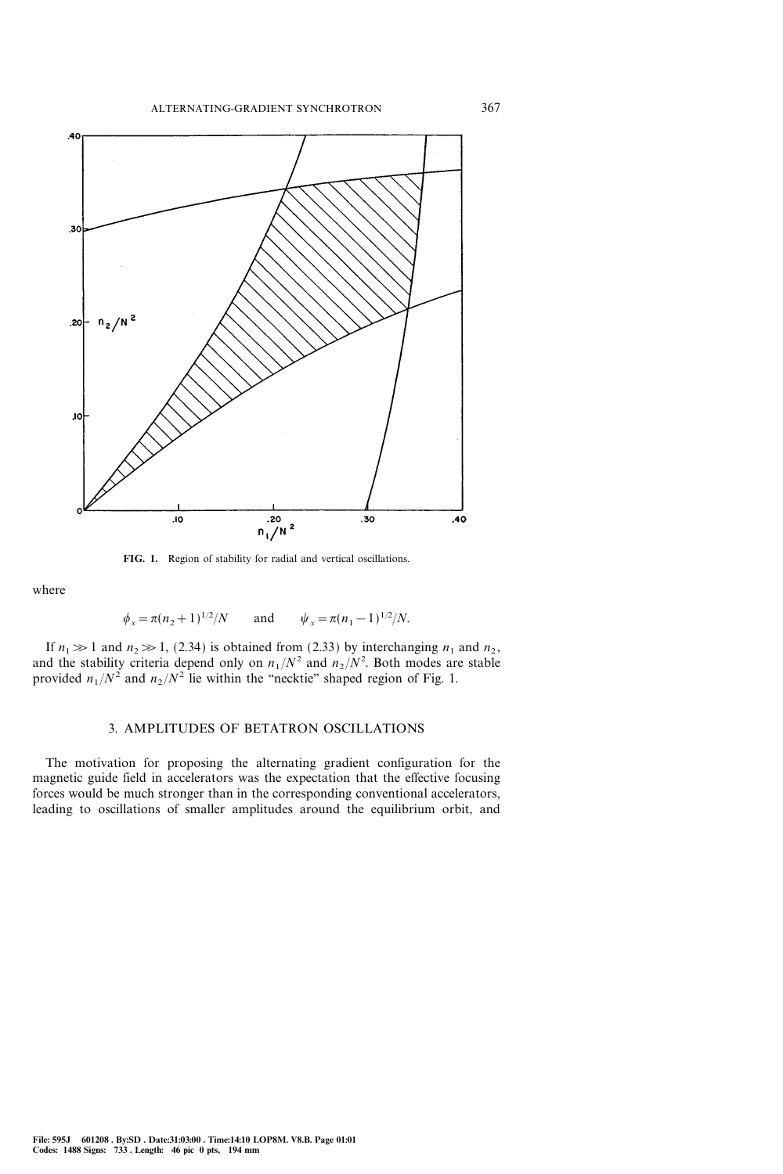

FIG. 1. Region of stability for radial and vertical oscillations.

where

$$
\phi_x = \pi (n_2 + 1)^{1/2} / N
$$
 and  $\psi_x = \pi (n_1 - 1)^{1/2} / N$ .

If  $n_1 \gg 1$  and  $n_2 \gg 1$ , (2.34) is obtained from (2.33) by interchanging  $n_1$  and  $n_2$ , and the stability criteria depend only on  $n_1/N^2$  and  $n_2/N^2$ . Both modes are stable provided  $n_1/N^2$  and  $n_2/N^2$  lie within the "necktie" shaped region of Fig. 1.

#### 3. AMPLITUDES OF BETATRON OSCILLATIONS

The motivation for proposing the alternating gradient configuration for the magnetic guide field in accelerators was the expectation that the effective focusing forces would be much stronger than in the corresponding conventional accelerators, leading to oscillations of smaller amplitudes around the equilibrium orbit, and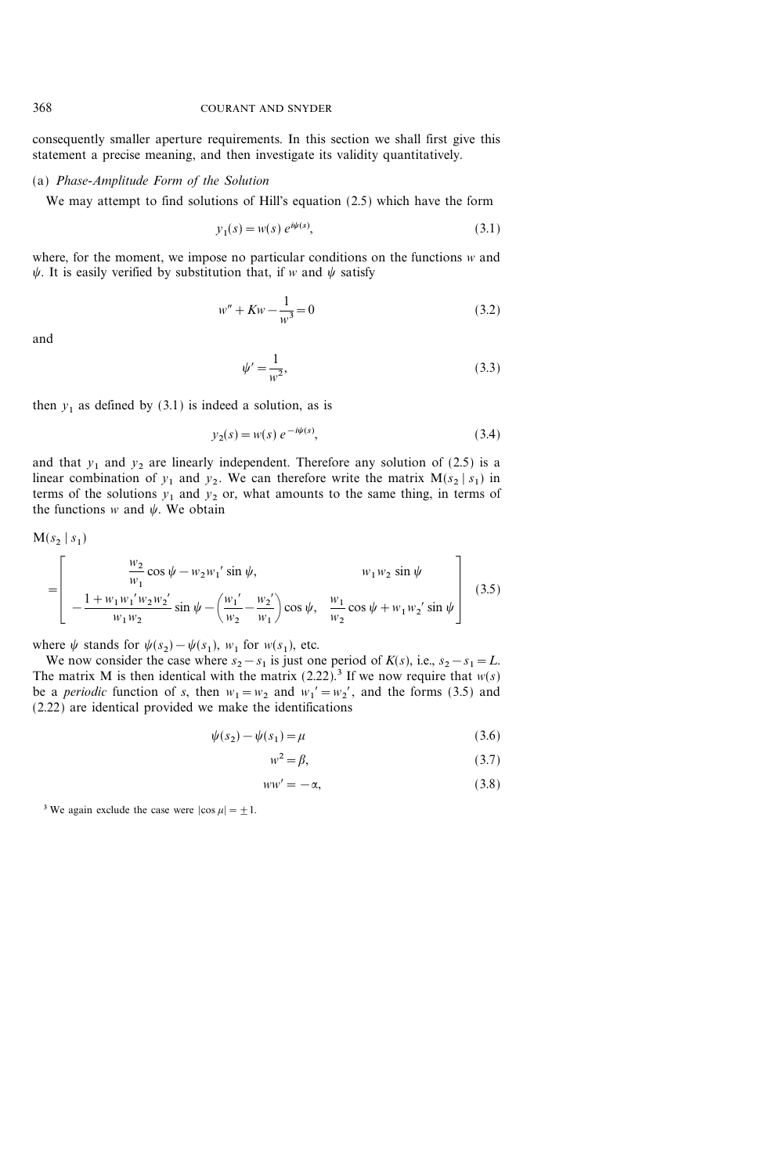consequently smaller aperture requirements. In this section we shall first give this statement a precise meaning, and then investigate its validity quantitatively.

## (a) Phase-Amplitude Form of the Solution

We may attempt to find solutions of Hill's equation (2.5) which have the form

$$
y_1(s) = w(s) e^{i\psi(s)},
$$
\n(3.1)

where, for the moment, we impose no particular conditions on the functions w and  $\psi$ . It is easily verified by substitution that, if w and  $\psi$  satisfy

$$
w'' + Kw - \frac{1}{w^3} = 0\tag{3.2}
$$

and

$$
\psi' = \frac{1}{w^2},\tag{3.3}
$$

then  $y_1$  as defined by (3.1) is indeed a solution, as is

$$
y_2(s) = w(s) e^{-i\psi(s)},
$$
\n(3.4)

and that  $y_1$  and  $y_2$  are linearly independent. Therefore any solution of (2.5) is a linear combination of  $y_1$  and  $y_2$ . We can therefore write the matrix  $M(s_2 | s_1)$  in terms of the solutions  $y_1$  and  $y_2$  or, what amounts to the same thing, in terms of the functions w and  $\psi$ . We obtain

$$
M(s_2 \mid s_1)
$$
\n
$$
= \left[ \begin{array}{ccc} & \frac{w_2}{w_1} \cos \psi - w_2 w_1' \sin \psi, & w_1 w_2 \sin \psi \\ & -\frac{1 + w_1 w_1' w_2 w_2'}{w_1 w_2} \sin \psi - \left(\frac{w_1'}{w_2} - \frac{w_2'}{w_1}\right) \cos \psi, & \frac{w_1}{w_2} \cos \psi + w_1 w_2' \sin \psi \end{array} \right] (3.5)
$$

where  $\psi$  stands for  $\psi(s_2) - \psi(s_1)$ ,  $w_1$  for  $w(s_1)$ , etc.

We now consider the case where  $s_2-s_1$  is just one period of  $K(s)$ , i.e.,  $s_2-s_1=L$ . The matrix M is then identical with the matrix  $(2.22)$ .<sup>3</sup> If we now require that  $w(s)$ be a *periodic* function of s, then  $w_1 = w_2$  and  $w_1' = w_2'$ , and the forms (3.5) and (2.22) are identical provided we make the identifications

$$
\psi(s_2) - \psi(s_1) = \mu \tag{3.6}
$$

$$
w^2 = \beta,\tag{3.7}
$$

$$
ww' = -\alpha,\tag{3.8}
$$

<sup>3</sup> We again exclude the case were  $|\cos \mu| = \pm 1$ .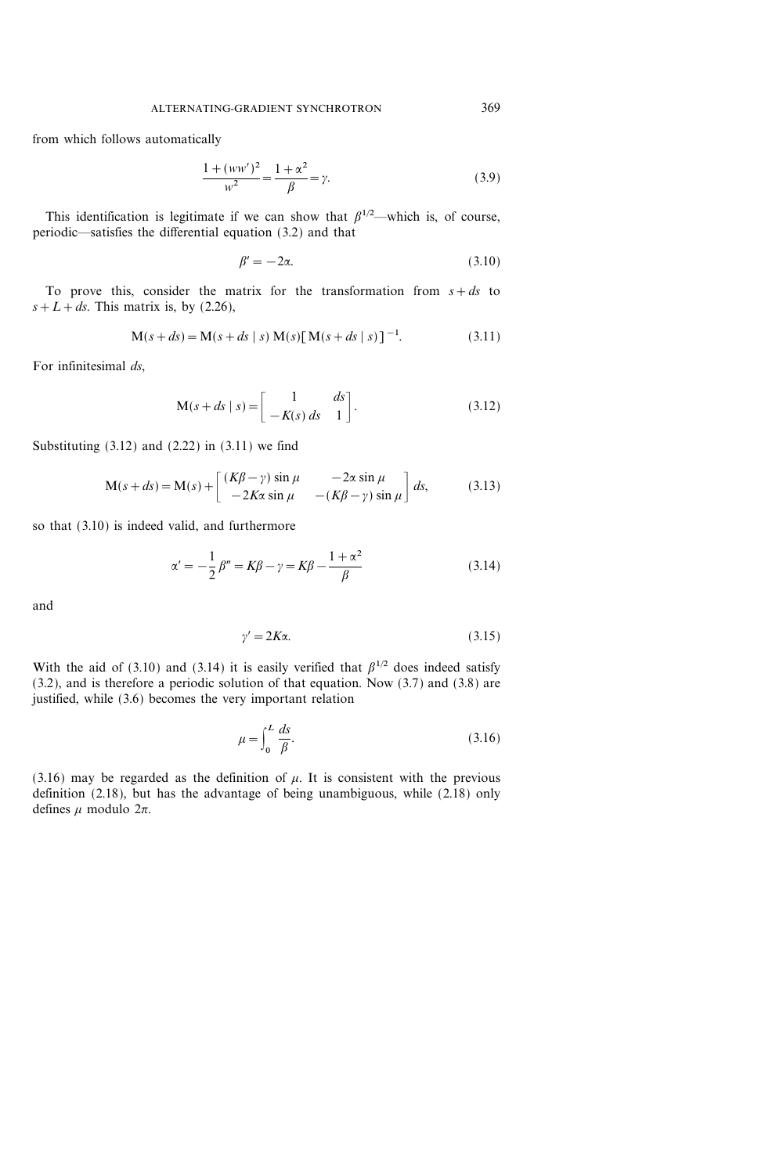from which follows automatically

$$
\frac{1 + (ww')^2}{w^2} = \frac{1 + \alpha^2}{\beta} = \gamma.
$$
 (3.9)

This identification is legitimate if we can show that  $\beta^{1/2}$ —which is, of course, periodic—satisfies the differential equation  $(3.2)$  and that

$$
\beta' = -2\alpha. \tag{3.10}
$$

To prove this, consider the matrix for the transformation from  $s + ds$  to  $s+L+ds$ . This matrix is, by (2.26),

$$
M(s+ds) = M(s+ds \mid s) M(s) [M(s+ds \mid s)]^{-1}.
$$
 (3.11)

For infinitesimal ds,

$$
\mathbf{M}(s+ds \mid s) = \begin{bmatrix} 1 & ds \\ -K(s) ds & 1 \end{bmatrix}.
$$
 (3.12)

Substituting  $(3.12)$  and  $(2.22)$  in  $(3.11)$  we find

$$
M(s+ds) = M(s) + \begin{bmatrix} (K\beta - \gamma) \sin \mu & -2\alpha \sin \mu \\ -2K\alpha \sin \mu & -(K\beta - \gamma) \sin \mu \end{bmatrix} ds,
$$
(3.13)

so that (3.10) is indeed valid, and furthermore

$$
\alpha' = -\frac{1}{2}\beta'' = K\beta - \gamma = K\beta - \frac{1+\alpha^2}{\beta} \tag{3.14}
$$

and

$$
\gamma' = 2K\alpha. \tag{3.15}
$$

With the aid of (3.10) and (3.14) it is easily verified that  $\beta^{1/2}$  does indeed satisfy (3.2), and is therefore a periodic solution of that equation. Now (3.7) and (3.8) are justified, while (3.6) becomes the very important relation

$$
\mu = \int_0^L \frac{ds}{\beta}.\tag{3.16}
$$

(3.16) may be regarded as the definition of  $\mu$ . It is consistent with the previous definition (2.18), but has the advantage of being unambiguous, while (2.18) only defines  $\mu$  modulo  $2\pi$ .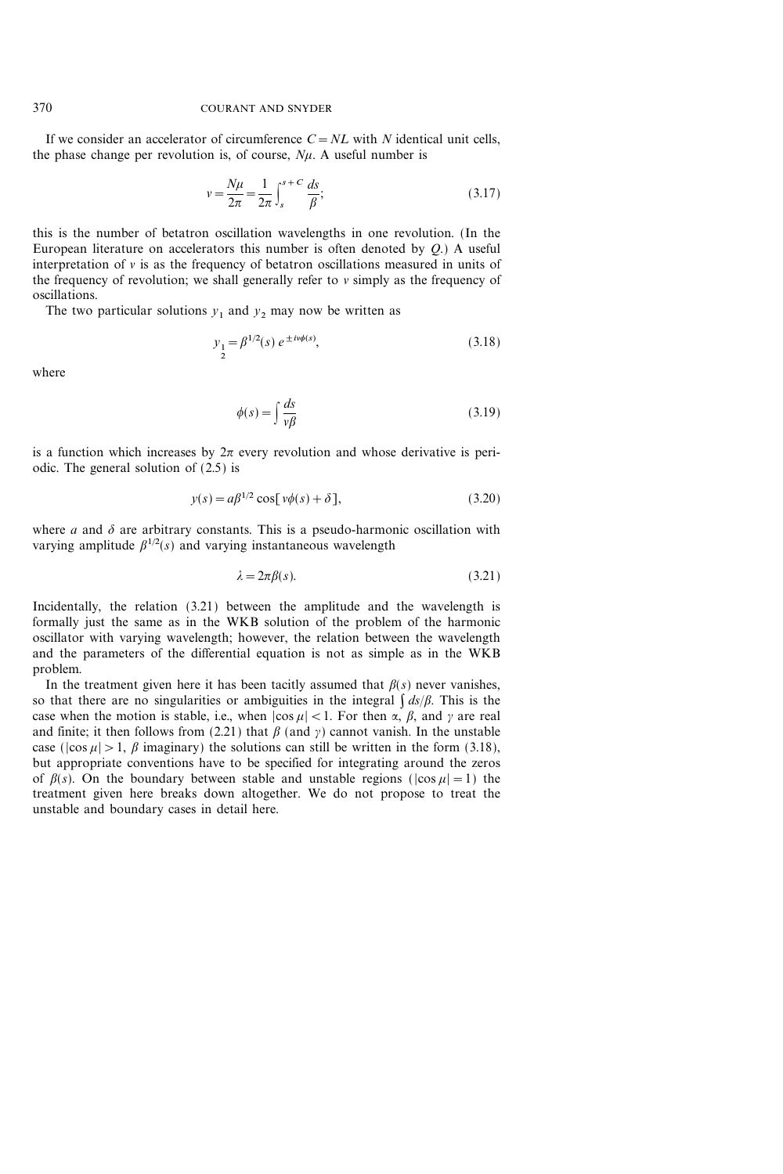If we consider an accelerator of circumference  $C = NL$  with N identical unit cells, the phase change per revolution is, of course,  $N_{\mu}$ . A useful number is

$$
v = \frac{N\mu}{2\pi} = \frac{1}{2\pi} \int_{s}^{s+C} \frac{ds}{\beta};
$$
\n(3.17)

this is the number of betatron oscillation wavelengths in one revolution. (In the European literature on accelerators this number is often denoted by  $Q$ .) A useful interpretation of  $\nu$  is as the frequency of betatron oscillations measured in units of the frequency of revolution; we shall generally refer to  $\nu$  simply as the frequency of oscillations.

The two particular solutions  $y_1$  and  $y_2$  may now be written as

$$
y_1 = \beta^{1/2}(s) e^{\pm i\nu\phi(s)},
$$
\n(3.18)

where

$$
\phi(s) = \int \frac{ds}{v\beta} \tag{3.19}
$$

is a function which increases by  $2\pi$  every revolution and whose derivative is periodic. The general solution of (2.5) is

$$
y(s) = a\beta^{1/2} \cos[\nu\phi(s) + \delta],\tag{3.20}
$$

where a and  $\delta$  are arbitrary constants. This is a pseudo-harmonic oscillation with varying amplitude  $\beta^{1/2}(s)$  and varying instantaneous wavelength

$$
\lambda = 2\pi \beta(s). \tag{3.21}
$$

Incidentally, the relation (3.21) between the amplitude and the wavelength is formally just the same as in the WKB solution of the problem of the harmonic oscillator with varying wavelength; however, the relation between the wavelength and the parameters of the differential equation is not as simple as in the WKB problem.

In the treatment given here it has been tacitly assumed that  $\beta(s)$  never vanishes, so that there are no singularities or ambiguities in the integral  $\int ds/\beta$ . This is the case when the motion is stable, i.e., when  $|\cos \mu| < 1$ . For then  $\alpha$ ,  $\beta$ , and  $\gamma$  are real and finite; it then follows from (2.21) that  $\beta$  (and  $\gamma$ ) cannot vanish. In the unstable case ( $|\cos \mu| > 1$ ,  $\beta$  imaginary) the solutions can still be written in the form (3.18), but appropriate conventions have to be specified for integrating around the zeros of  $\beta(s)$ . On the boundary between stable and unstable regions ( $|\cos \mu|=1$ ) the treatment given here breaks down altogether. We do not propose to treat the unstable and boundary cases in detail here.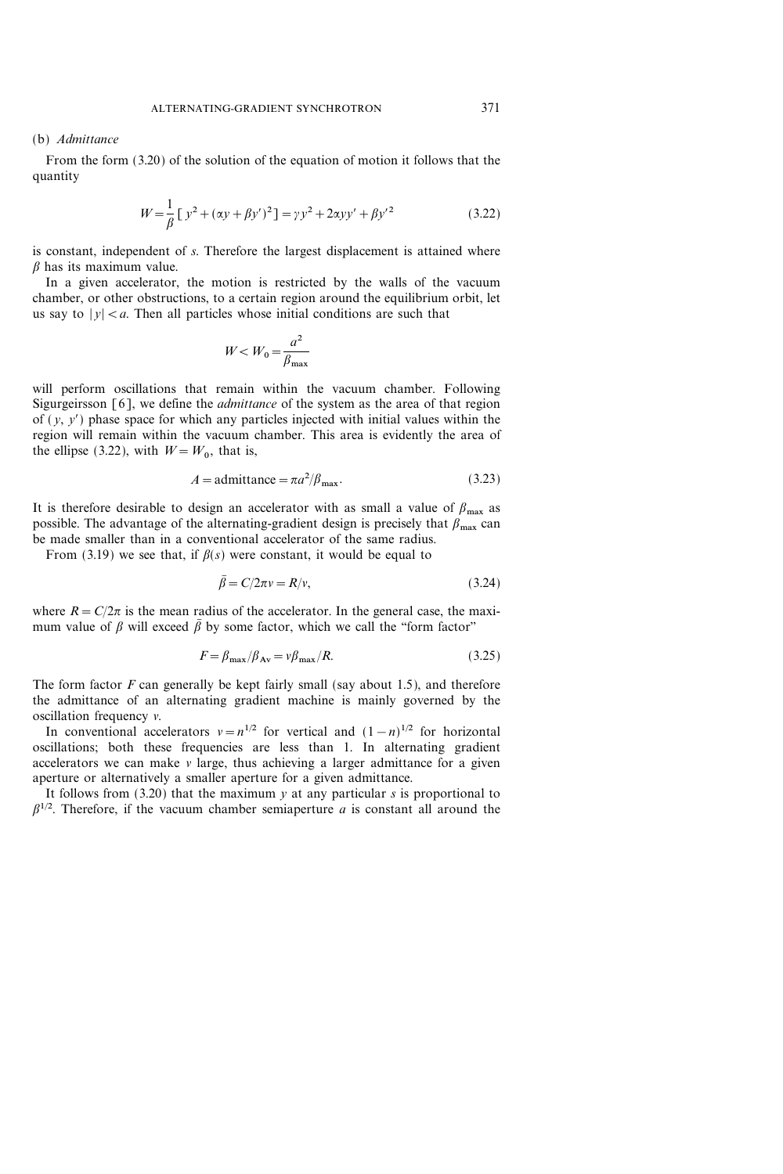#### (b) Admittance

From the form (3.20) of the solution of the equation of motion it follows that the quantity

$$
W = \frac{1}{\beta} \left[ y^2 + (\alpha y + \beta y')^2 \right] = \gamma y^2 + 2\alpha y y' + \beta y'^2 \tag{3.22}
$$

is constant, independent of s. Therefore the largest displacement is attained where  $\beta$  has its maximum value.

In a given accelerator, the motion is restricted by the walls of the vacuum chamber, or other obstructions, to a certain region around the equilibrium orbit, let us say to  $|y| < a$ . Then all particles whose initial conditions are such that

$$
W\!
$$

will perform oscillations that remain within the vacuum chamber. Following Sigurgeirsson [6], we define the *admittance* of the system as the area of that region of  $(y, y')$  phase space for which any particles injected with initial values within the region will remain within the vacuum chamber. This area is evidently the area of the ellipse (3.22), with  $W = W_0$ , that is,

$$
A = \text{admittance} = \pi a^2 / \beta_{\text{max}}.\tag{3.23}
$$

It is therefore desirable to design an accelerator with as small a value of  $\beta_{\text{max}}$  as possible. The advantage of the alternating-gradient design is precisely that  $\beta_{\text{max}}$  can be made smaller than in a conventional accelerator of the same radius.

From (3.19) we see that, if  $\beta(s)$  were constant, it would be equal to

$$
\beta = C/2\pi v = R/v,\tag{3.24}
$$

where  $R = C/2\pi$  is the mean radius of the accelerator. In the general case, the maximum value of  $\beta$  will exceed  $\overline{\beta}$  by some factor, which we call the "form factor"

$$
F = \beta_{\text{max}} / \beta_{\text{Av}} = v \beta_{\text{max}} / R. \tag{3.25}
$$

The form factor  $F$  can generally be kept fairly small (say about 1.5), and therefore the admittance of an alternating gradient machine is mainly governed by the oscillation frequency  $\nu$ .

In conventional accelerators  $v = n^{1/2}$  for vertical and  $(1-n)^{1/2}$  for horizontal oscillations; both these frequencies are less than 1. In alternating gradient accelerators we can make  $\nu$  large, thus achieving a larger admittance for a given aperture or alternatively a smaller aperture for a given admittance.

It follows from  $(3.20)$  that the maximum y at any particular s is proportional to  $\beta^{1/2}$ . Therefore, if the vacuum chamber semiaperture a is constant all around the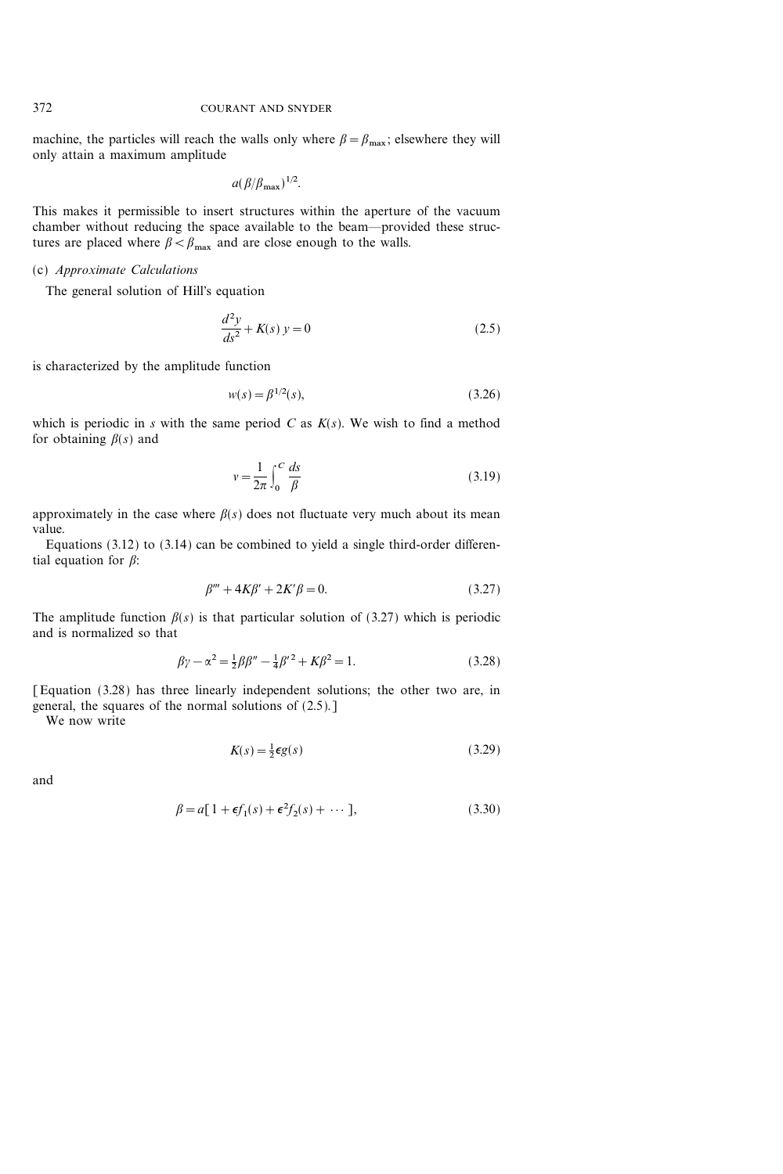machine, the particles will reach the walls only where  $\beta = \beta_{\text{max}}$ ; elsewhere they will only attain a maximum amplitude

$$
a(\beta/\beta_{\max})^{1/2}.
$$

This makes it permissible to insert structures within the aperture of the vacuum chamber without reducing the space available to the beam--provided these structures are placed where  $\beta < \beta_{\text{max}}$  and are close enough to the walls.

#### (c) Approximate Calculations

The general solution of Hill's equation

$$
\frac{d^2y}{ds^2} + K(s) y = 0
$$
\n(2.5)

is characterized by the amplitude function

$$
w(s) = \beta^{1/2}(s),\tag{3.26}
$$

which is periodic in s with the same period  $C$  as  $K(s)$ . We wish to find a method for obtaining  $\beta(s)$  and

$$
v = \frac{1}{2\pi} \int_0^C \frac{ds}{\beta} \tag{3.19}
$$

approximately in the case where  $\beta(s)$  does not fluctuate very much about its mean value.

Equations (3.12) to (3.14) can be combined to yield a single third-order differential equation for  $\beta$ :

$$
\beta''' + 4K\beta' + 2K'\beta = 0.
$$
\n(3.27)

The amplitude function  $\beta(s)$  is that particular solution of (3.27) which is periodic and is normalized so that

$$
\beta \gamma - \alpha^2 = \frac{1}{2} \beta \beta'' - \frac{1}{4} \beta'^2 + K \beta^2 = 1.
$$
 (3.28)

[Equation (3.28) has three linearly independent solutions; the other two are, in general, the squares of the normal solutions of (2.5).]

We now write

$$
K(s) = \frac{1}{2}\epsilon g(s) \tag{3.29}
$$

and

$$
\beta = a[1 + \epsilon f_1(s) + \epsilon^2 f_2(s) + \cdots],
$$
\n(3.30)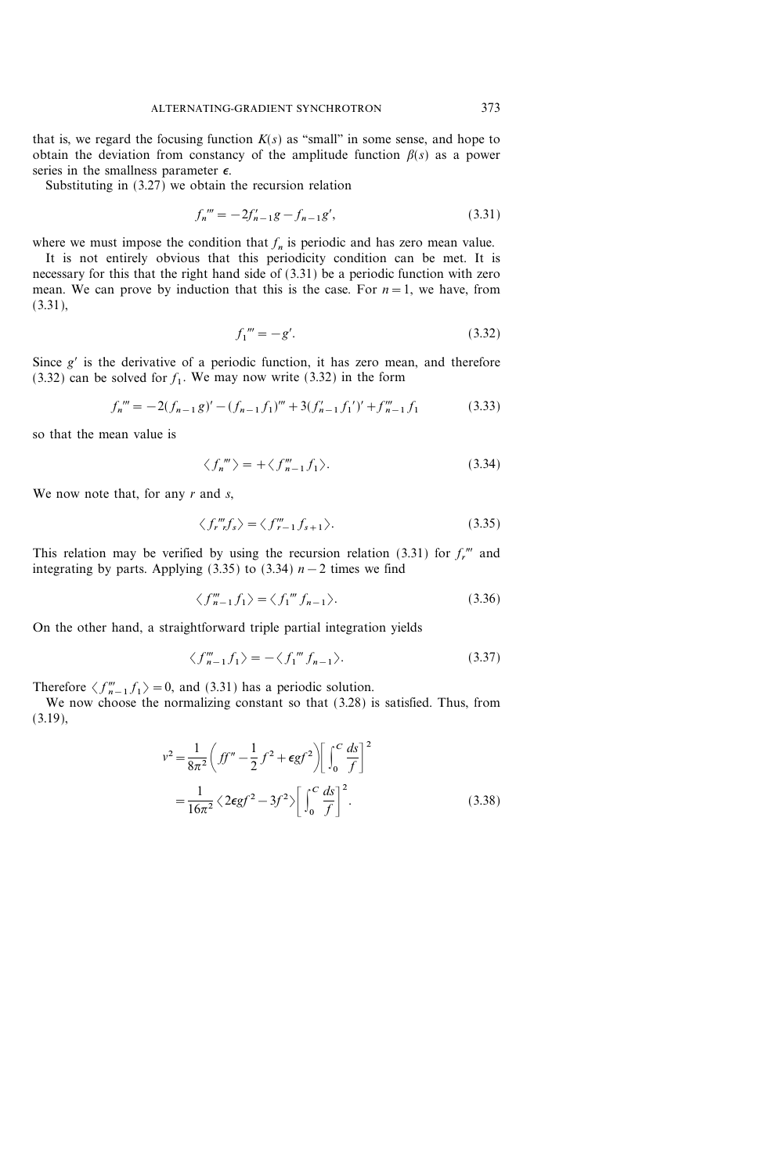that is, we regard the focusing function  $K(s)$  as "small" in some sense, and hope to obtain the deviation from constancy of the amplitude function  $\beta(s)$  as a power series in the smallness parameter  $\epsilon$ .

Substituting in (3.27) we obtain the recursion relation

$$
f_n''' = -2f'_{n-1}g - f_{n-1}g',\tag{3.31}
$$

where we must impose the condition that  $f_n$  is periodic and has zero mean value.

It is not entirely obvious that this periodicity condition can be met. It is necessary for this that the right hand side of (3.31) be a periodic function with zero mean. We can prove by induction that this is the case. For  $n=1$ , we have, from (3.31),

$$
f_1''' = -g'.\tag{3.32}
$$

Since  $g'$  is the derivative of a periodic function, it has zero mean, and therefore  $(3.32)$  can be solved for  $f_1$ . We may now write  $(3.32)$  in the form

$$
f_n''' = -2(f_{n-1}g)' - (f_{n-1}f_1)''' + 3(f'_{n-1}f_1')' + f_{n-1}'''f_1
$$
\n(3.33)

so that the mean value is

$$
\langle f_n \rangle = + \langle f_{n-1} \rangle. \tag{3.34}
$$

We now note that, for any  $r$  and  $s$ ,

$$
\langle f_{r}'''_{r}f_{s}\rangle = \langle f_{r-1}'''f_{s+1}\rangle. \tag{3.35}
$$

This relation may be verified by using the recursion relation (3.31) for  $f_r^{\prime\prime\prime}$  and integrating by parts. Applying (3.35) to (3.34)  $n-2$  times we find

$$
\langle f''_{n-1}f_1 \rangle = \langle f_1''' f_{n-1} \rangle. \tag{3.36}
$$

On the other hand, a straightforward triple partial integration yields

$$
\langle f_{n-1}^m f_1 \rangle = -\langle f_1^m f_{n-1} \rangle. \tag{3.37}
$$

Therefore  $\langle f'''_{n-1} f_1 \rangle = 0$ , and (3.31) has a periodic solution.

We now choose the normalizing constant so that (3.28) is satisfied. Thus, from (3.19),

$$
v^{2} = \frac{1}{8\pi^{2}} \left( ff'' - \frac{1}{2} f^{2} + \epsilon gf^{2} \right) \left[ \int_{0}^{C} \frac{ds}{f} \right]^{2}
$$
  
=  $\frac{1}{16\pi^{2}} \left\langle 2\epsilon gf^{2} - 3f^{2} \right\rangle \left[ \int_{0}^{C} \frac{ds}{f} \right]^{2}$ . (3.38)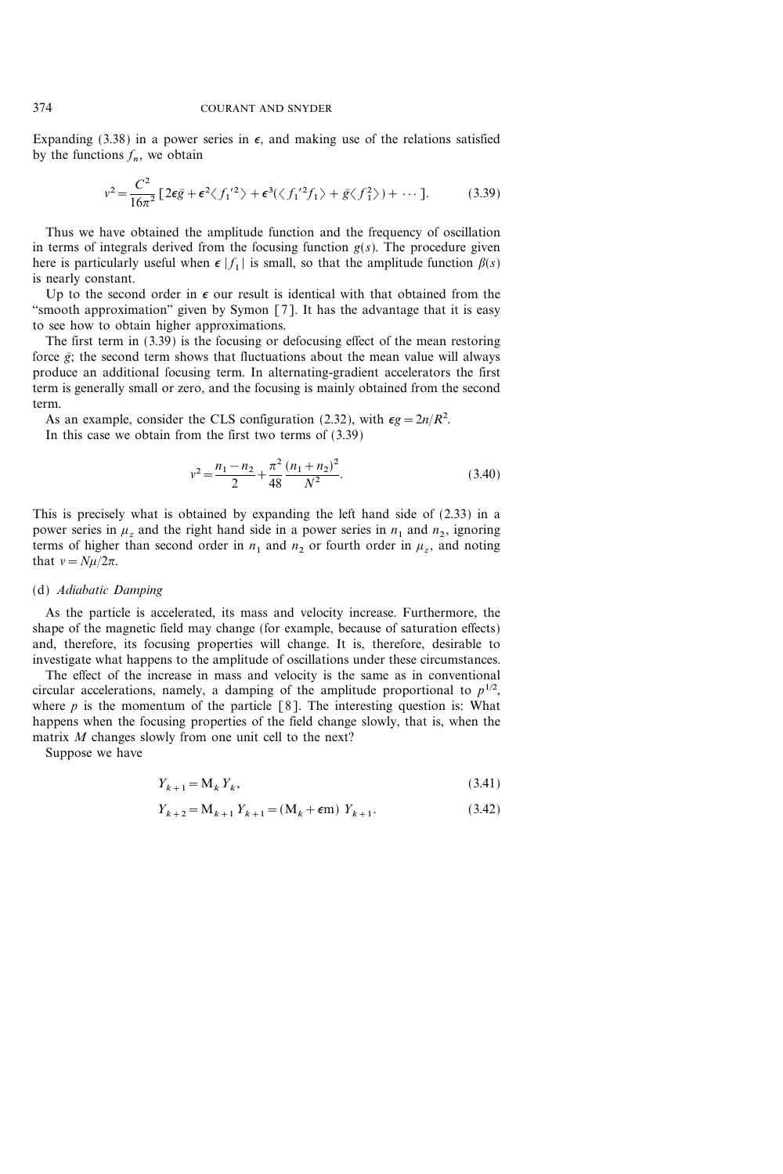Expanding (3.38) in a power series in  $\epsilon$ , and making use of the relations satisfied by the functions  $f_n$ , we obtain

$$
v^2 = \frac{C^2}{16\pi^2} \left[ 2\epsilon \bar{g} + \epsilon^2 \langle f_1'^2 \rangle + \epsilon^3 (\langle f_1'^2 f_1 \rangle + \bar{g} \langle f_1^2 \rangle) + \cdots \right].
$$
 (3.39)

Thus we have obtained the amplitude function and the frequency of oscillation in terms of integrals derived from the focusing function  $g(s)$ . The procedure given here is particularly useful when  $\epsilon |f_1|$  is small, so that the amplitude function  $\beta(s)$ is nearly constant.

Up to the second order in  $\epsilon$  our result is identical with that obtained from the "smooth approximation" given by Symon  $[7]$ . It has the advantage that it is easy to see how to obtain higher approximations.

The first term in (3.39) is the focusing or defocusing effect of the mean restoring force  $\bar{g}$ ; the second term shows that fluctuations about the mean value will always produce an additional focusing term. In alternating-gradient accelerators the first term is generally small or zero, and the focusing is mainly obtained from the second term.

As an example, consider the CLS configuration (2.32), with  $\epsilon g = 2n/R^2$ .

In this case we obtain from the first two terms of (3.39)

$$
v^{2} = \frac{n_{1} - n_{2}}{2} + \frac{\pi^{2}}{48} \frac{(n_{1} + n_{2})^{2}}{N^{2}}.
$$
 (3.40)

This is precisely what is obtained by expanding the left hand side of (2.33) in a power series in  $\mu_z$  and the right hand side in a power series in  $n_1$  and  $n_2$ , ignoring terms of higher than second order in  $n_1$  and  $n_2$  or fourth order in  $\mu_z$ , and noting that  $v = N\mu/2\pi$ .

### (d) Adiabatic Damping

As the particle is accelerated, its mass and velocity increase. Furthermore, the shape of the magnetic field may change (for example, because of saturation effects) and, therefore, its focusing properties will change. It is, therefore, desirable to investigate what happens to the amplitude of oscillations under these circumstances.

The effect of the increase in mass and velocity is the same as in conventional circular accelerations, namely, a damping of the amplitude proportional to  $p^{1/2}$ , where  $p$  is the momentum of the particle [8]. The interesting question is: What happens when the focusing properties of the field change slowly, that is, when the matrix M changes slowly from one unit cell to the next?

Suppose we have

$$
Y_{k+1} = \mathbf{M}_k Y_k,\tag{3.41}
$$

$$
Y_{k+2} = M_{k+1} Y_{k+1} = (M_k + \epsilon m) Y_{k+1}.
$$
 (3.42)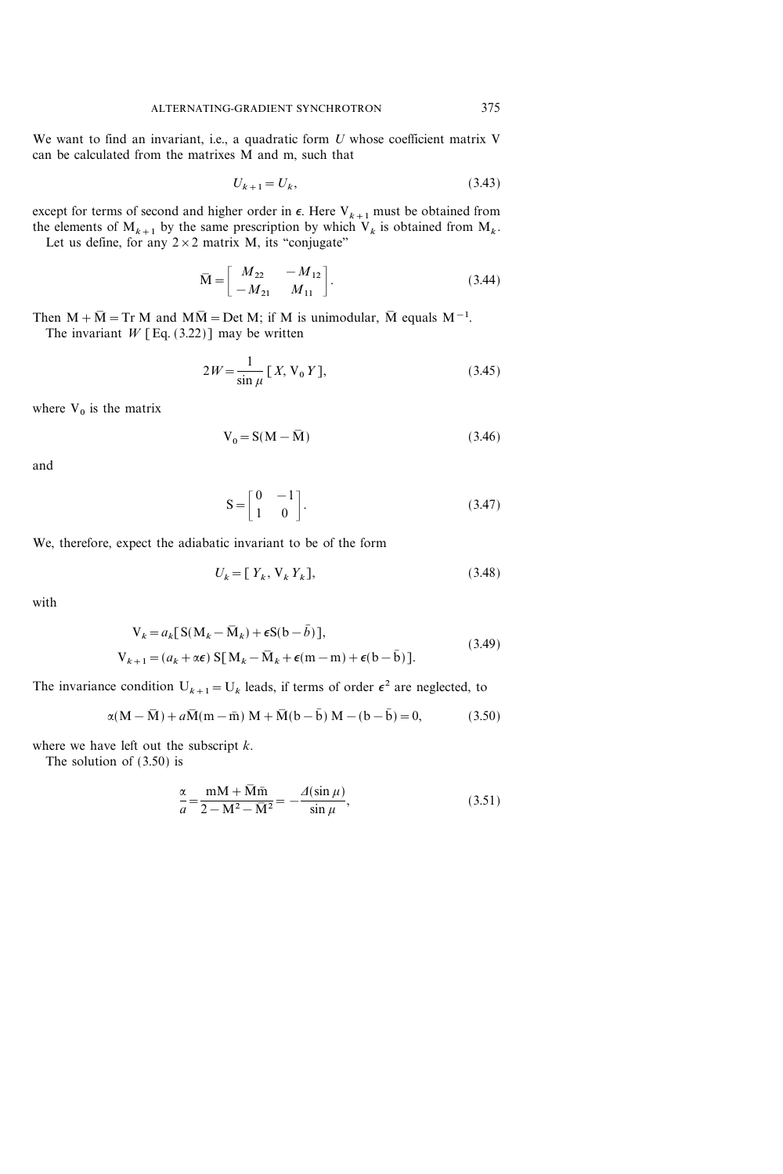We want to find an invariant, i.e., a quadratic form  $U$  whose coefficient matrix  $V$ can be calculated from the matrixes M and m, such that

$$
U_{k+1} = U_k,\t\t(3.43)
$$

except for terms of second and higher order in  $\epsilon$ . Here  $V_{k+1}$  must be obtained from the elements of  $M_{k+1}$  by the same prescription by which  $V_k$  is obtained from  $M_k$ . Let us define, for any  $2 \times 2$  matrix M, its "conjugate"

$$
\bar{M} = \begin{bmatrix} M_{22} & -M_{12} \\ -M_{21} & M_{11} \end{bmatrix}.
$$
 (3.44)

Then  $M + \overline{M} = Tr M$  and  $M\overline{M} = Det M$ ; if M is unimodular,  $\overline{M}$  equals  $M^{-1}$ . The invariant  $W$  [Eq. (3.22)] may be written

$$
2W = \frac{1}{\sin \mu} [X, V_0 Y],
$$
 (3.45)

where  $V_0$  is the matrix

$$
V_0 = S(M - \overline{M})
$$
\n(3.46)

and

$$
S = \begin{bmatrix} 0 & -1 \\ 1 & 0 \end{bmatrix}.
$$
 (3.47)

We, therefore, expect the adiabatic invariant to be of the form

$$
U_k = [Y_k, V_k Y_k],\tag{3.48}
$$

with

$$
V_k = a_k [S(M_k - \bar{M}_k) + \epsilon S(b - \bar{b})],
$$
  
\n
$$
V_{k+1} = (a_k + \alpha \epsilon) S[M_k - \bar{M}_k + \epsilon (m - m) + \epsilon (b - \bar{b})].
$$
\n(3.49)

The invariance condition  $U_{k+1} = U_k$  leads, if terms of order  $\epsilon^2$  are neglected, to

$$
\alpha(M - \overline{M}) + a\overline{M}(m - \overline{m}) M + \overline{M}(b - \overline{b}) M - (b - \overline{b}) = 0,
$$
 (3.50)

where we have left out the subscript  $k$ .

The solution of (3.50) is

$$
\frac{\alpha}{a} = \frac{mM + \overline{M}\overline{m}}{2 - M^2 - \overline{M}^2} = -\frac{\Delta(\sin\mu)}{\sin\mu},
$$
\n(3.51)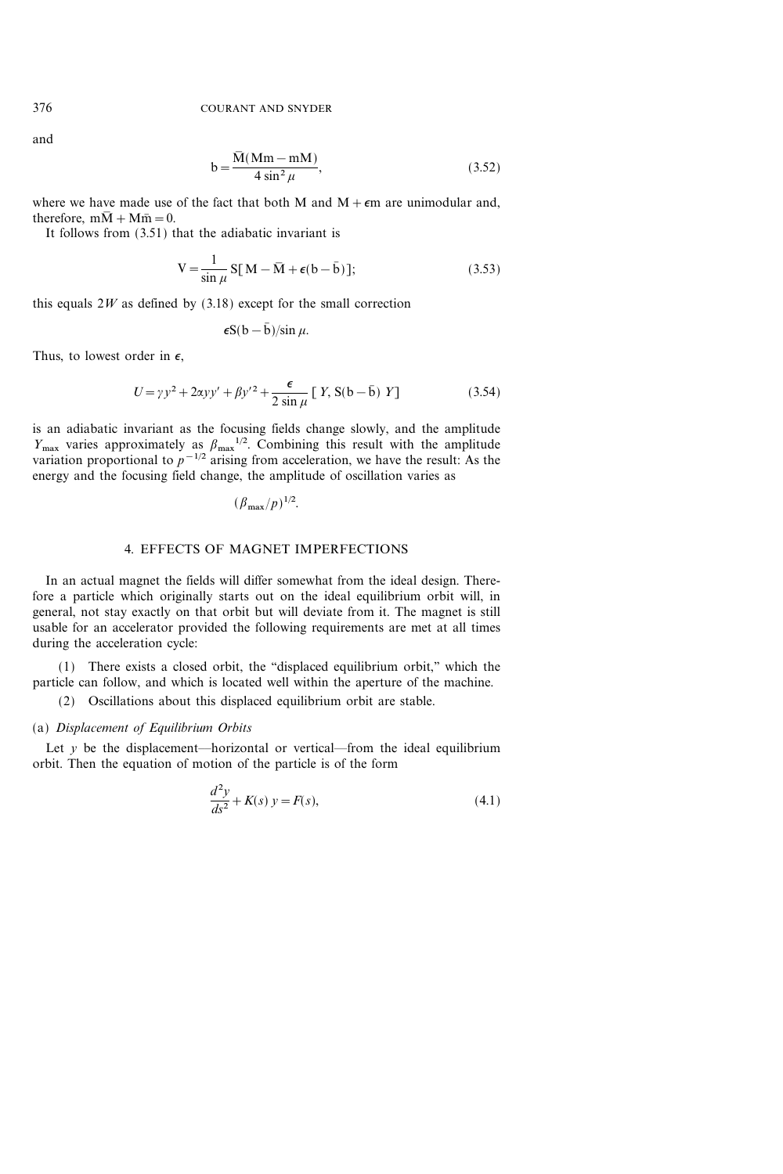and

$$
b = \frac{\overline{M}(Mm - mM)}{4 \sin^2 \mu},
$$
\n(3.52)

where we have made use of the fact that both M and  $M + \epsilon m$  are unimodular and, therefore,  $m\overline{M} + M\overline{m} = 0$ .

It follows from (3.51) that the adiabatic invariant is

$$
V = \frac{1}{\sin \mu} S[M - \overline{M} + \epsilon(b - \overline{b})];
$$
 (3.53)

this equals  $2W$  as defined by (3.18) except for the small correction

$$
\epsilon S(b-b)/\sin\mu.
$$

Thus, to lowest order in  $\epsilon$ ,

$$
U = \gamma y^2 + 2\alpha y y' + \beta y'^2 + \frac{\epsilon}{2 \sin \mu} [Y, S(b - \bar{b}) Y]
$$
 (3.54)

is an adiabatic invariant as the focusing fields change slowly, and the amplitude  $Y_{\text{max}}$  varies approximately as  $\beta_{\text{max}}^{1/2}$ . Combining this result with the amplitude variation proportional to  $p^{-1/2}$  arising from acceleration, we have the result: As the energy and the focusing field change, the amplitude of oscillation varies as

$$
(\beta_{\max}/p)^{1/2}.
$$

## 4. EFFECTS OF MAGNET IMPERFECTIONS

In an actual magnet the fields will differ somewhat from the ideal design. Therefore a particle which originally starts out on the ideal equilibrium orbit will, in general, not stay exactly on that orbit but will deviate from it. The magnet is still usable for an accelerator provided the following requirements are met at all times during the acceleration cycle:

 $(1)$  There exists a closed orbit, the "displaced equilibrium orbit," which the particle can follow, and which is located well within the aperture of the machine.

(2) Oscillations about this displaced equilibrium orbit are stable.

### (a) Displacement of Equilibrium Orbits

Let  $y$  be the displacement—horizontal or vertical—from the ideal equilibrium orbit. Then the equation of motion of the particle is of the form

$$
\frac{d^2y}{ds^2} + K(s) y = F(s),
$$
\n(4.1)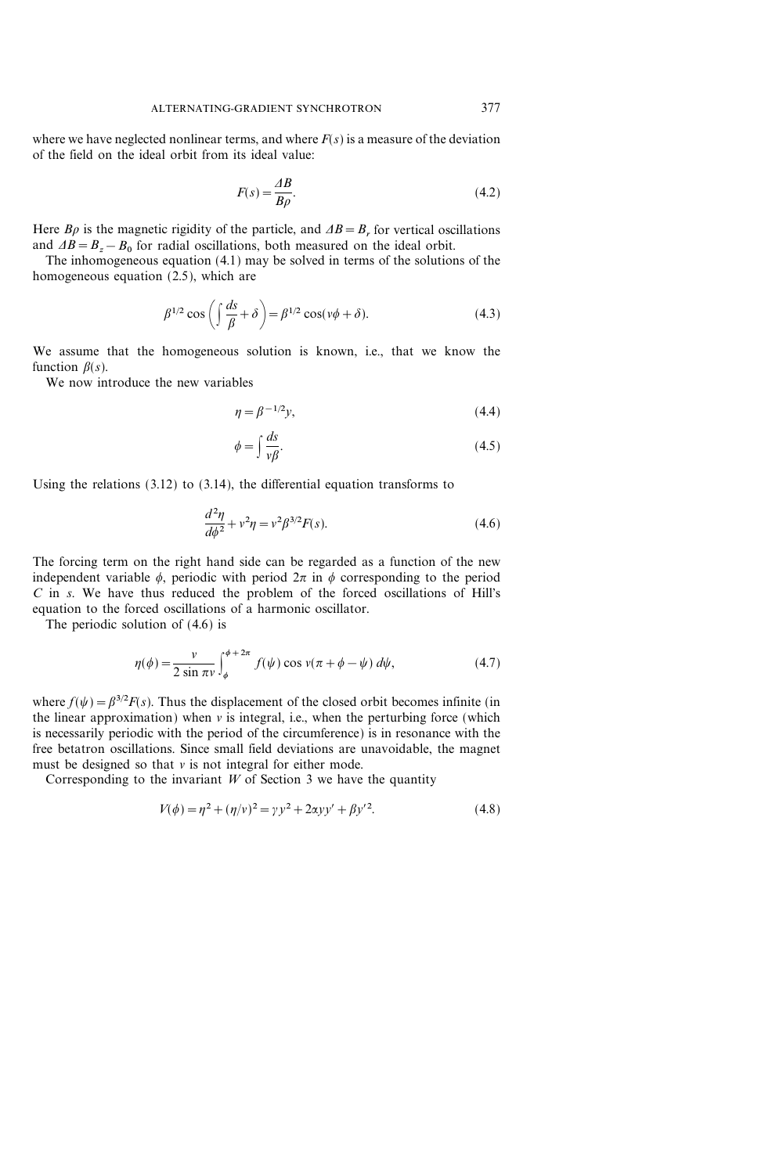where we have neglected nonlinear terms, and where  $F(s)$  is a measure of the deviation of the field on the ideal orbit from its ideal value:

$$
F(s) = \frac{\Delta B}{B\rho}.\tag{4.2}
$$

Here  $B\rho$  is the magnetic rigidity of the particle, and  $\Delta B = B_r$  for vertical oscillations and  $\Delta B = B_z - B_0$  for radial oscillations, both measured on the ideal orbit.

The inhomogeneous equation (4.1) may be solved in terms of the solutions of the homogeneous equation (2.5), which are

$$
\beta^{1/2} \cos\left(\int \frac{ds}{\beta} + \delta\right) = \beta^{1/2} \cos(\nu\phi + \delta). \tag{4.3}
$$

We assume that the homogeneous solution is known, i.e., that we know the function  $\beta(s)$ .

We now introduce the new variables

$$
\eta = \beta^{-1/2} y,\tag{4.4}
$$

$$
\phi = \int \frac{ds}{v\beta}.\tag{4.5}
$$

Using the relations (3.12) to (3.14), the differential equation transforms to

$$
\frac{d^2\eta}{d\phi^2} + v^2 \eta = v^2 \beta^{3/2} F(s).
$$
 (4.6)

The forcing term on the right hand side can be regarded as a function of the new independent variable  $\phi$ , periodic with period  $2\pi$  in  $\phi$  corresponding to the period  $C$  in  $s$ . We have thus reduced the problem of the forced oscillations of Hill's equation to the forced oscillations of a harmonic oscillator.

The periodic solution of (4.6) is

$$
\eta(\phi) = \frac{\nu}{2\sin\pi\nu} \int_{\phi}^{\phi+2\pi} f(\psi)\cos\nu(\pi+\phi-\psi)\,d\psi,\tag{4.7}
$$

where  $f(\psi) = \beta^{3/2} F(s)$ . Thus the displacement of the closed orbit becomes infinite (in the linear approximation) when  $\nu$  is integral, i.e., when the perturbing force (which is necessarily periodic with the period of the circumference) is in resonance with the free betatron oscillations. Since small field deviations are unavoidable, the magnet must be designed so that  $v$  is not integral for either mode.

Corresponding to the invariant  $W$  of Section 3 we have the quantity

$$
V(\phi) = \eta^2 + (\eta/\nu)^2 = \gamma y^2 + 2\alpha y y' + \beta y'^2.
$$
 (4.8)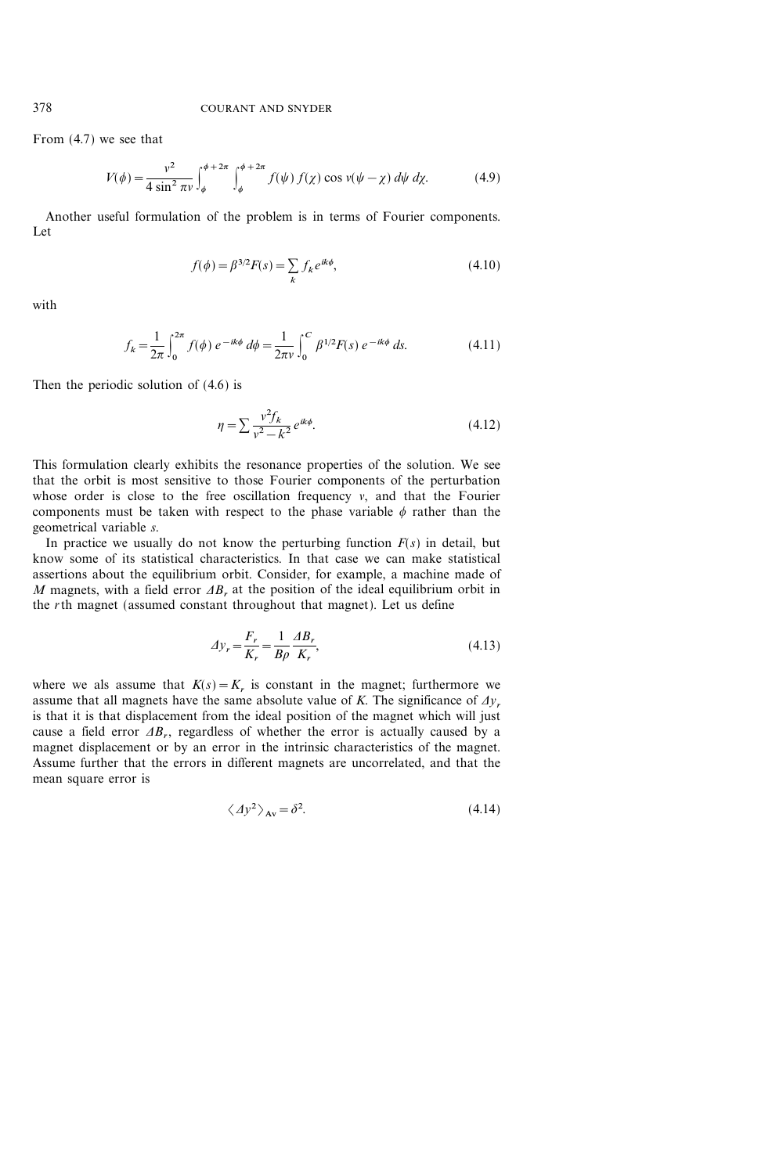From (4.7) we see that

$$
V(\phi) = \frac{v^2}{4\sin^2 \pi v} \int_{\phi}^{\phi + 2\pi} \int_{\phi}^{\phi + 2\pi} f(\psi) f(\chi) \cos v(\psi - \chi) d\psi d\chi.
$$
 (4.9)

Another useful formulation of the problem is in terms of Fourier components. Let

$$
f(\phi) = \beta^{3/2} F(s) = \sum_{k} f_k e^{ik\phi},
$$
\n(4.10)

with

$$
f_k = \frac{1}{2\pi} \int_0^{2\pi} f(\phi) \ e^{-ik\phi} \ d\phi = \frac{1}{2\pi\nu} \int_0^C \beta^{1/2} F(s) \ e^{-ik\phi} \ ds.
$$
 (4.11)

Then the periodic solution of (4.6) is

$$
\eta = \sum \frac{v^2 f_k}{v^2 - k^2} e^{ik\phi}.
$$
\n(4.12)

This formulation clearly exhibits the resonance properties of the solution. We see that the orbit is most sensitive to those Fourier components of the perturbation whose order is close to the free oscillation frequency  $v$ , and that the Fourier components must be taken with respect to the phase variable  $\phi$  rather than the geometrical variable s.

In practice we usually do not know the perturbing function  $F(s)$  in detail, but know some of its statistical characteristics. In that case we can make statistical assertions about the equilibrium orbit. Consider, for example, a machine made of M magnets, with a field error  $\Delta B_r$  at the position of the ideal equilibrium orbit in the rth magnet (assumed constant throughout that magnet). Let us define

$$
\Delta y_r = \frac{F_r}{K_r} = \frac{1}{B\rho} \frac{\Delta B_r}{K_r},\tag{4.13}
$$

where we als assume that  $K(s) = K<sub>r</sub>$  is constant in the magnet; furthermore we assume that all magnets have the same absolute value of K. The significance of  $\Delta y_r$ is that it is that displacement from the ideal position of the magnet which will just cause a field error  $\Delta B_r$ , regardless of whether the error is actually caused by a magnet displacement or by an error in the intrinsic characteristics of the magnet. Assume further that the errors in different magnets are uncorrelated, and that the mean square error is

$$
\langle \Delta y^2 \rangle_{\text{Av}} = \delta^2. \tag{4.14}
$$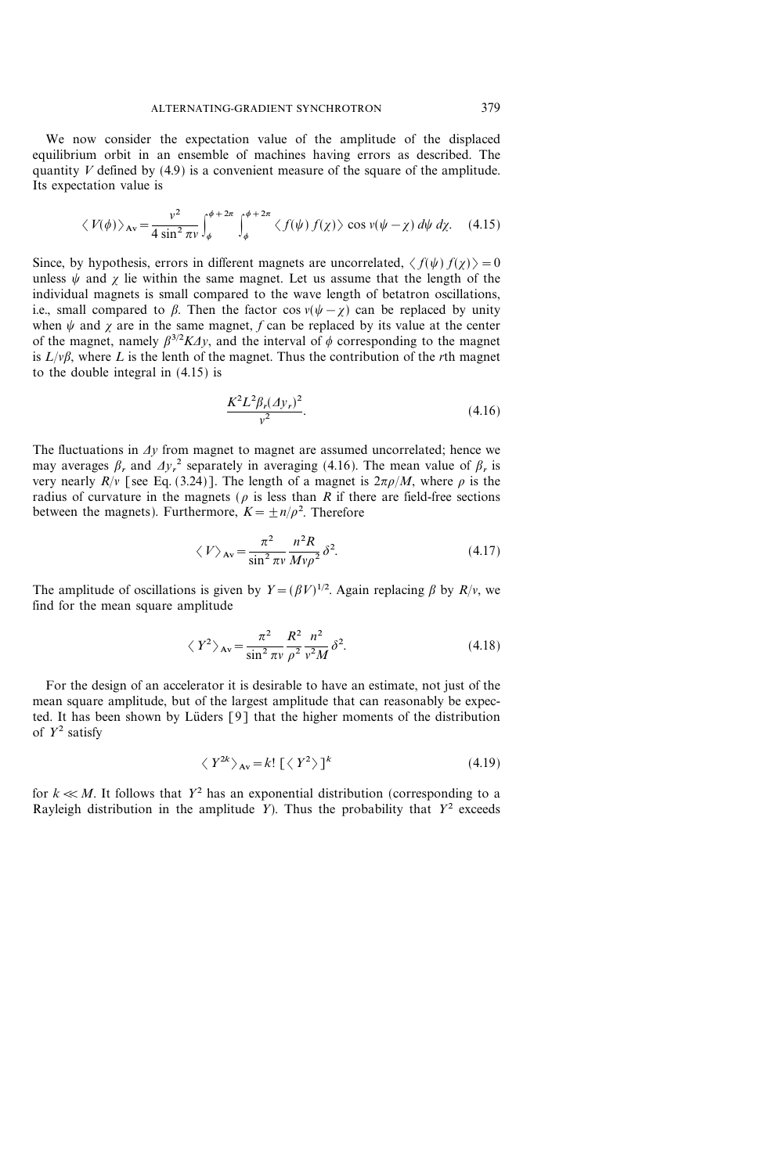We now consider the expectation value of the amplitude of the displaced equilibrium orbit in an ensemble of machines having errors as described. The quantity  $V$  defined by (4.9) is a convenient measure of the square of the amplitude. Its expectation value is

$$
\langle V(\phi) \rangle_{\text{Av}} = \frac{v^2}{4 \sin^2 \pi v} \int_{\phi}^{\phi + 2\pi} \int_{\phi}^{\phi + 2\pi} \langle f(\psi) f(\chi) \rangle \cos v(\psi - \chi) d\psi d\chi. \quad (4.15)
$$

Since, by hypothesis, errors in different magnets are uncorrelated,  $\langle f(\psi) f(\chi) \rangle = 0$ unless  $\psi$  and  $\gamma$  lie within the same magnet. Let us assume that the length of the individual magnets is small compared to the wave length of betatron oscillations, i.e., small compared to  $\beta$ . Then the factor cos  $v(\psi - \gamma)$  can be replaced by unity when  $\psi$  and  $\chi$  are in the same magnet, f can be replaced by its value at the center of the magnet, namely  $\beta^{3/2} K \Delta y$ , and the interval of  $\phi$  corresponding to the magnet is  $L/\nu\beta$ , where L is the lenth of the magnet. Thus the contribution of the rth magnet to the double integral in (4.15) is

$$
\frac{K^2 L^2 \beta_r (\Delta y_r)^2}{v^2}.
$$
\n(4.16)

The fluctuations in  $\Delta y$  from magnet to magnet are assumed uncorrelated; hence we may averages  $\beta_r$ , and  $\Delta y_r^2$  separately in averaging (4.16). The mean value of  $\beta_r$  is very nearly  $R/v$  [see Eq. (3.24)]. The length of a magnet is  $2\pi\rho/M$ , where  $\rho$  is the radius of curvature in the magnets ( $\rho$  is less than R if there are field-free sections between the magnets). Furthermore,  $K = \pm n/\rho^2$ . Therefore

$$
\langle V \rangle_{\text{Av}} = \frac{\pi^2}{\sin^2 \pi v} \frac{n^2 R}{M v \rho^2} \delta^2. \tag{4.17}
$$

The amplitude of oscillations is given by  $Y = (\beta V)^{1/2}$ . Again replacing  $\beta$  by  $R/v$ , we find for the mean square amplitude

$$
\langle Y^2 \rangle_{\text{Av}} = \frac{\pi^2}{\sin^2 \pi v} \frac{R^2}{\rho^2} \frac{n^2}{v^2 M} \delta^2. \tag{4.18}
$$

For the design of an accelerator it is desirable to have an estimate, not just of the mean square amplitude, but of the largest amplitude that can reasonably be expected. It has been shown by Lüders [9] that the higher moments of the distribution of  $Y^2$  satisfy

$$
\langle Y^{2k} \rangle_{\text{Av}} = k! \left[ \langle Y^2 \rangle \right]^k \tag{4.19}
$$

for  $k \ll M$ . It follows that  $Y^2$  has an exponential distribution (corresponding to a Rayleigh distribution in the amplitude Y). Thus the probability that  $Y^2$  exceeds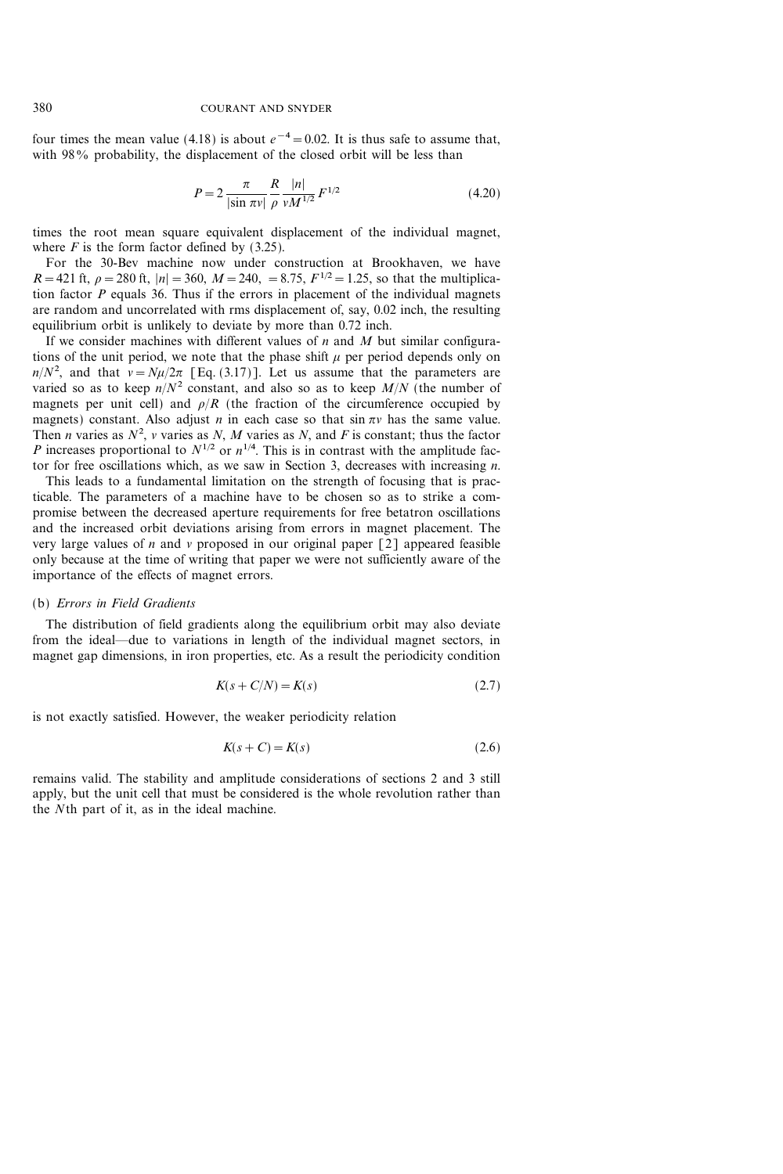four times the mean value (4.18) is about  $e^{-4}=0.02$ . It is thus safe to assume that, with 98% probability, the displacement of the closed orbit will be less than

$$
P = 2 \frac{\pi}{|\sin \pi v|} \frac{R}{\rho} \frac{|n|}{v M^{1/2}} F^{1/2}
$$
 (4.20)

times the root mean square equivalent displacement of the individual magnet, where  $F$  is the form factor defined by (3.25).

For the 30-Bev machine now under construction at Brookhaven, we have  $R = 421$  ft,  $\rho = 280$  ft,  $|n| = 360$ ,  $M = 240$ ,  $= 8.75$ ,  $F^{1/2} = 1.25$ , so that the multiplication factor  $P$  equals 36. Thus if the errors in placement of the individual magnets are random and uncorrelated with rms displacement of, say, 0.02 inch, the resulting equilibrium orbit is unlikely to deviate by more than 0.72 inch.

If we consider machines with different values of  $n$  and  $M$  but similar configurations of the unit period, we note that the phase shift  $\mu$  per period depends only on  $n/N^2$ , and that  $v = N\mu/2\pi$  [Eq. (3.17)]. Let us assume that the parameters are varied so as to keep  $n/N^2$  constant, and also so as to keep  $M/N$  (the number of magnets per unit cell) and  $\rho/R$  (the fraction of the circumference occupied by magnets) constant. Also adjust *n* in each case so that  $\sin \pi v$  has the same value. Then *n* varies as  $N^2$ , *v* varies as *N*, *M* varies as *N*, and *F* is constant; thus the factor P increases proportional to  $N^{1/2}$  or  $n^{1/4}$ . This is in contrast with the amplitude factor for free oscillations which, as we saw in Section 3, decreases with increasing  $n$ .

This leads to a fundamental limitation on the strength of focusing that is practicable. The parameters of a machine have to be chosen so as to strike a compromise between the decreased aperture requirements for free betatron oscillations and the increased orbit deviations arising from errors in magnet placement. The very large values of n and v proposed in our original paper  $\lceil 2 \rceil$  appeared feasible only because at the time of writing that paper we were not sufficiently aware of the importance of the effects of magnet errors.

### (b) Errors in Field Gradients

The distribution of field gradients along the equilibrium orbit may also deviate from the ideal—due to variations in length of the individual magnet sectors, in magnet gap dimensions, in iron properties, etc. As a result the periodicity condition

$$
K(s+C/N) = K(s)
$$
\n<sup>(2.7)</sup>

is not exactly satisfied. However, the weaker periodicity relation

$$
K(s+C) = K(s) \tag{2.6}
$$

remains valid. The stability and amplitude considerations of sections 2 and 3 still apply, but the unit cell that must be considered is the whole revolution rather than the Nth part of it, as in the ideal machine.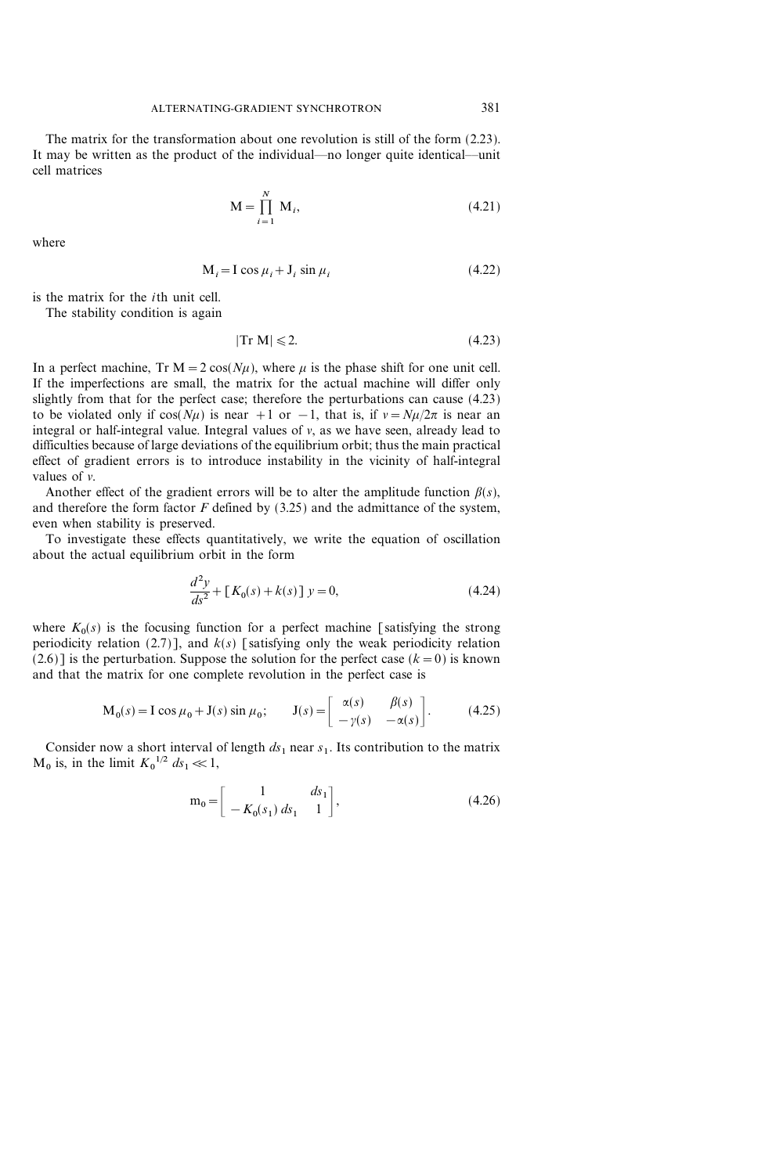The matrix for the transformation about one revolution is still of the form (2.23). It may be written as the product of the individual—no longer quite identical—unit cell matrices

$$
\mathbf{M} = \prod_{i=1}^{N} \mathbf{M}_i, \tag{4.21}
$$

where

$$
M_i = I \cos \mu_i + J_i \sin \mu_i \tag{4.22}
$$

is the matrix for the ith unit cell.

The stability condition is again

$$
|\text{Tr } \mathbf{M}| \leqslant 2. \tag{4.23}
$$

In a perfect machine, Tr  $M = 2 \cos(N\mu)$ , where  $\mu$  is the phase shift for one unit cell. If the imperfections are small, the matrix for the actual machine will differ only slightly from that for the perfect case; therefore the perturbations can cause (4.23) to be violated only if  $cos(N\mu)$  is near +1 or -1, that is, if  $v = N\mu/2\pi$  is near an integral or half-integral value. Integral values of  $v$ , as we have seen, already lead to difficulties because of large deviations of the equilibrium orbit; thus the main practical effect of gradient errors is to introduce instability in the vicinity of half-integral values of  $\nu$ .

Another effect of the gradient errors will be to alter the amplitude function  $\beta(s)$ , and therefore the form factor  $F$  defined by  $(3.25)$  and the admittance of the system, even when stability is preserved.

To investigate these effects quantitatively, we write the equation of oscillation about the actual equilibrium orbit in the form

$$
\frac{d^2y}{ds^2} + [K_0(s) + k(s)] y = 0,
$$
\n(4.24)

where  $K_0(s)$  is the focusing function for a perfect machine [satisfying the strong periodicity relation (2.7)], and  $k(s)$  [satisfying only the weak periodicity relation  $(2.6)$ ] is the perturbation. Suppose the solution for the perfect case  $(k=0)$  is known and that the matrix for one complete revolution in the perfect case is

$$
\mathbf{M}_0(s) = \mathbf{I}\cos\mu_0 + \mathbf{J}(s)\sin\mu_0; \qquad \mathbf{J}(s) = \begin{bmatrix} \alpha(s) & \beta(s) \\ -\gamma(s) & -\alpha(s) \end{bmatrix}.
$$
 (4.25)

Consider now a short interval of length  $ds_1$  near  $s_1$ . Its contribution to the matrix  $M_0$  is, in the limit  $K_0^{1/2}$   $ds_1 \ll 1$ ,

$$
\mathbf{m}_0 = \begin{bmatrix} 1 & ds_1 \\ -K_0(s_1) \, ds_1 & 1 \end{bmatrix},\tag{4.26}
$$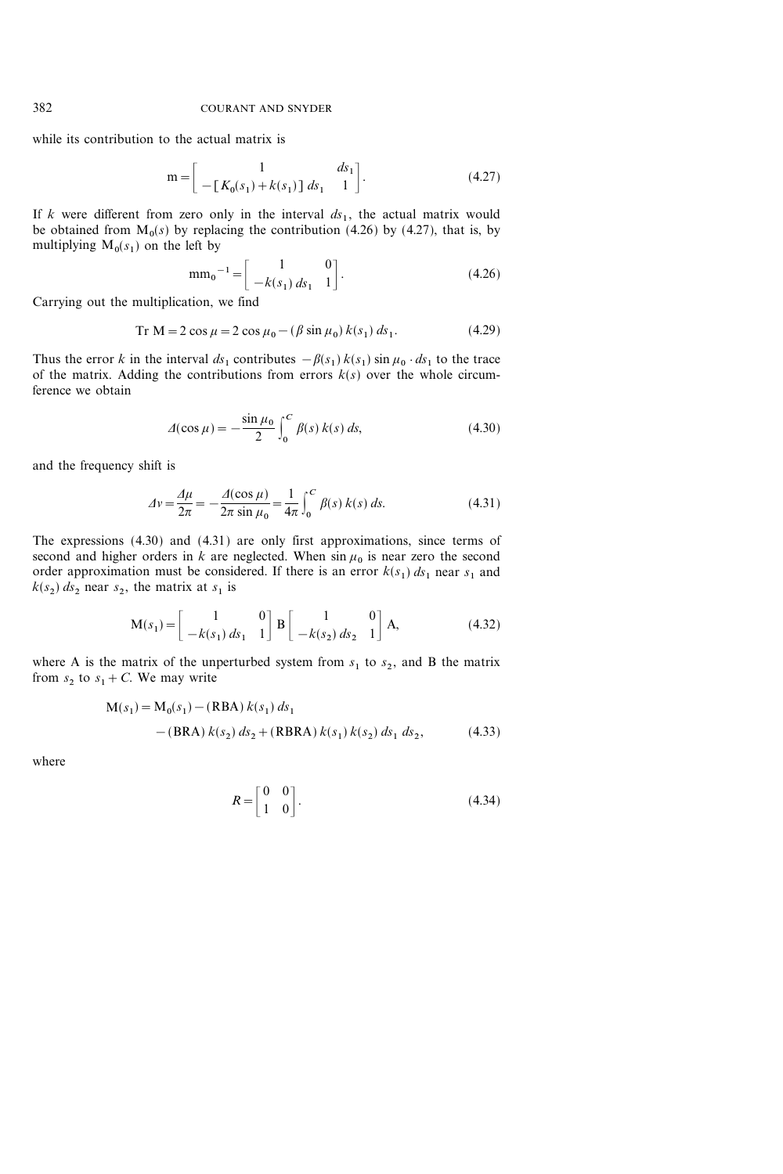while its contribution to the actual matrix is

$$
\mathbf{m} = \begin{bmatrix} 1 & ds_1 \\ -[K_0(s_1) + k(s_1)] & ds_1 & 1 \end{bmatrix}.
$$
 (4.27)

If k were different from zero only in the interval  $ds_1$ , the actual matrix would be obtained from  $M_0(s)$  by replacing the contribution (4.26) by (4.27), that is, by multiplying  $M_0(s_1)$  on the left by

$$
\text{mm}_0^{\text{-1}} = \begin{bmatrix} 1 & 0 \\ -k(s_1) \, ds_1 & 1 \end{bmatrix} . \tag{4.26}
$$

Carrying out the multiplication, we find

$$
Tr M = 2 \cos \mu = 2 \cos \mu_0 - (\beta \sin \mu_0) k(s_1) ds_1.
$$
 (4.29)

Thus the error k in the interval  $ds_1$  contributes  $-\beta(s_1) k(s_1) \sin \mu_0 \cdot ds_1$  to the trace of the matrix. Adding the contributions from errors  $k(s)$  over the whole circumference we obtain

$$
\Delta(\cos \mu) = -\frac{\sin \mu_0}{2} \int_0^C \beta(s) \, k(s) \, ds,\tag{4.30}
$$

and the frequency shift is

$$
\Delta v = \frac{\Delta \mu}{2\pi} = -\frac{\Delta(\cos \mu)}{2\pi \sin \mu_0} = \frac{1}{4\pi} \int_0^C \beta(s) k(s) ds.
$$
 (4.31)

The expressions (4.30) and (4.31) are only first approximations, since terms of second and higher orders in k are neglected. When  $\sin \mu_0$  is near zero the second order approximation must be considered. If there is an error  $k(s_1) ds_1$  near  $s_1$  and  $k(s_2)$  ds<sub>2</sub> near s<sub>2</sub>, the matrix at s<sub>1</sub> is

$$
\mathbf{M}(s_1) = \begin{bmatrix} 1 & 0 \\ -k(s_1) ds_1 & 1 \end{bmatrix} \mathbf{B} \begin{bmatrix} 1 & 0 \\ -k(s_2) ds_2 & 1 \end{bmatrix} \mathbf{A}, \tag{4.32}
$$

where A is the matrix of the unperturbed system from  $s_1$  to  $s_2$ , and B the matrix from  $s_2$  to  $s_1 + C$ . We may write

$$
M(s_1) = M_0(s_1) - (RBA) k(s_1) ds_1
$$
  
-(BRA) k(s<sub>2</sub>) ds<sub>2</sub> + (RBRA) k(s<sub>1</sub>) k(s<sub>2</sub>) ds<sub>1</sub> ds<sub>2</sub>, (4.33)

where

$$
R = \begin{bmatrix} 0 & 0 \\ 1 & 0 \end{bmatrix}.
$$
 (4.34)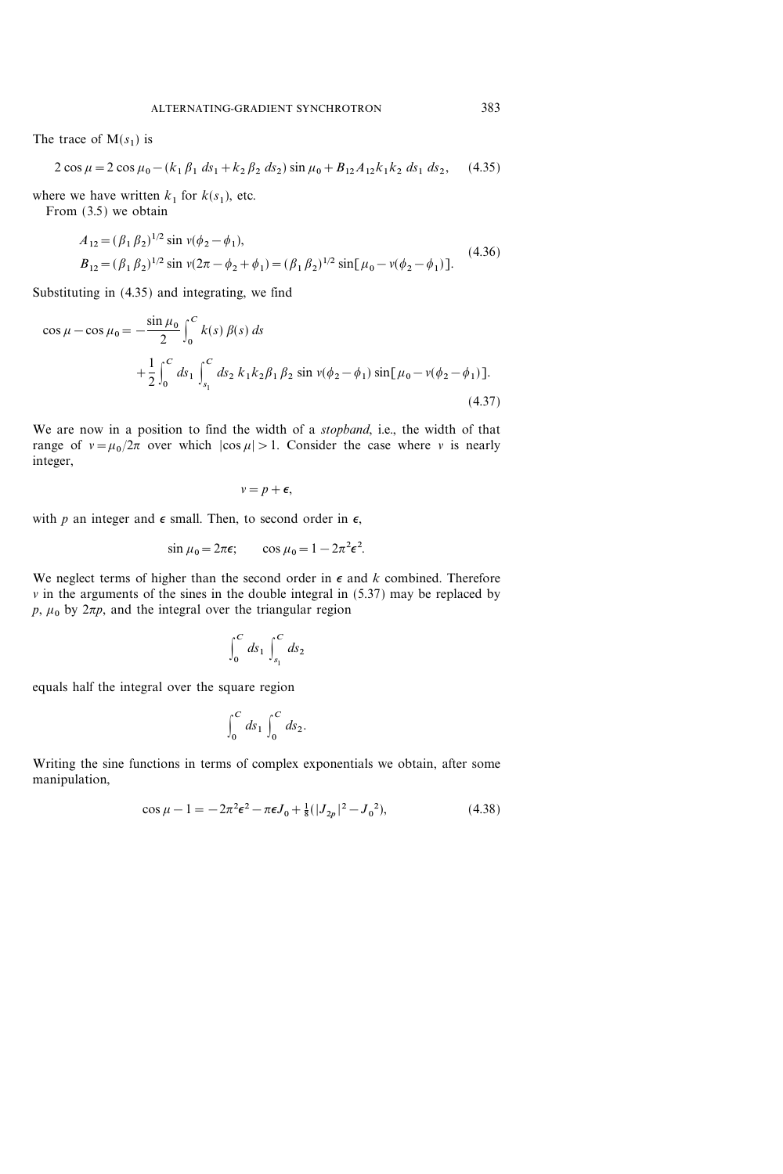The trace of  $M(s_1)$  is

$$
2\cos\mu = 2\cos\mu_0 - (k_1\beta_1\ ds_1 + k_2\beta_2\ ds_2)\sin\mu_0 + B_{12}A_{12}k_1k_2\ ds_1\ ds_2,\tag{4.35}
$$

where we have written  $k_1$  for  $k(s_1)$ , etc.

From (3.5) we obtain

$$
A_{12} = (\beta_1 \beta_2)^{1/2} \sin \nu (\phi_2 - \phi_1),
$$
  
\n
$$
B_{12} = (\beta_1 \beta_2)^{1/2} \sin \nu (2\pi - \phi_2 + \phi_1) = (\beta_1 \beta_2)^{1/2} \sin [\mu_0 - \nu (\phi_2 - \phi_1)].
$$
\n(4.36)

Substituting in (4.35) and integrating, we find

$$
\cos \mu - \cos \mu_0 = -\frac{\sin \mu_0}{2} \int_0^C k(s) \beta(s) ds
$$
  
 
$$
+ \frac{1}{2} \int_0^C ds_1 \int_{s_1}^C ds_2 k_1 k_2 \beta_1 \beta_2 \sin v(\phi_2 - \phi_1) \sin[\mu_0 - v(\phi_2 - \phi_1)].
$$
  
(4.37)

We are now in a position to find the width of a *stopband*, i.e., the width of that range of  $v=\mu_0/2\pi$  over which  $|\cos \mu|>1$ . Consider the case where v is nearly integer,

$$
v=p+\epsilon,
$$

with p an integer and  $\epsilon$  small. Then, to second order in  $\epsilon$ ,

$$
\sin \mu_0 = 2\pi \epsilon; \qquad \cos \mu_0 = 1 - 2\pi^2 \epsilon^2.
$$

We neglect terms of higher than the second order in  $\epsilon$  and k combined. Therefore  $\nu$  in the arguments of the sines in the double integral in (5.37) may be replaced by  $p, \mu_0$  by  $2\pi p$ , and the integral over the triangular region

$$
\int_0^C ds_1 \int_{s_1}^C ds_2
$$

equals half the integral over the square region

$$
\int_0^C ds_1 \int_0^C ds_2.
$$

Writing the sine functions in terms of complex exponentials we obtain, after some manipulation,

$$
\cos \mu - 1 = -2\pi^2 \epsilon^2 - \pi \epsilon J_0 + \frac{1}{8} (|J_{2p}|^2 - J_0^2), \tag{4.38}
$$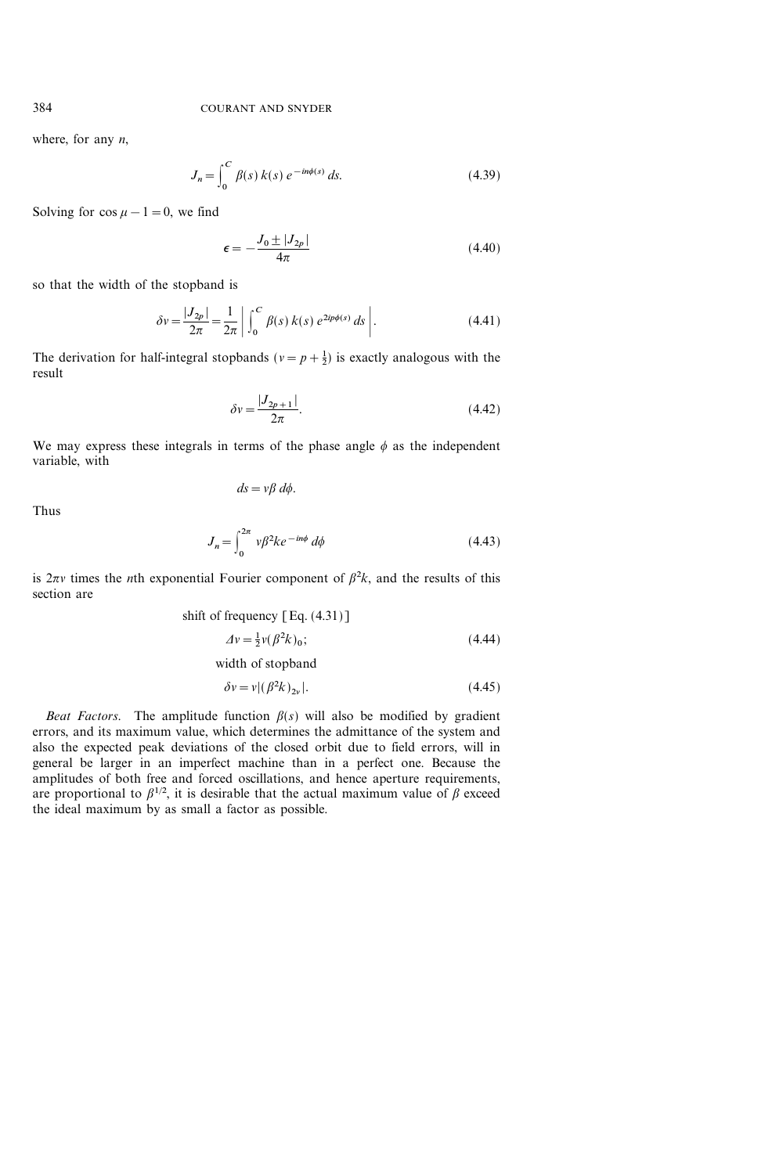where, for any  $n$ ,

$$
J_n = \int_0^C \beta(s) \, k(s) \, e^{-in\phi(s)} \, ds. \tag{4.39}
$$

Solving for  $\cos \mu - 1 = 0$ , we find

$$
\epsilon = -\frac{J_0 \pm |J_{2p}|}{4\pi} \tag{4.40}
$$

so that the width of the stopband is

$$
\delta v = \frac{|J_{2p}|}{2\pi} = \frac{1}{2\pi} \left| \int_0^C \beta(s) \, k(s) \, e^{2ip\phi(s)} \, ds \right|.
$$
 (4.41)

The derivation for half-integral stopbands ( $v = p + \frac{1}{2}$ ) is exactly analogous with the result

$$
\delta v = \frac{|J_{2p+1}|}{2\pi}.
$$
\n(4.42)

We may express these integrals in terms of the phase angle  $\phi$  as the independent variable, with

 $ds = v\beta \, d\phi.$ 

Thus

$$
J_n = \int_0^{2\pi} v\beta^2 k e^{-in\phi} d\phi \tag{4.43}
$$

is  $2\pi v$  times the *n*th exponential Fourier component of  $\beta^2 k$ , and the results of this section are

shift of frequency [Eq. (4.31)]  
\n
$$
\Delta v = \frac{1}{2}v(\beta^2 k)_0;
$$
\n
$$
(4.44)
$$
\nwidth of stopband

$$
\delta v = v |(\beta^2 k)_{2v}|. \tag{4.45}
$$

Beat Factors. The amplitude function  $\beta(s)$  will also be modified by gradient errors, and its maximum value, which determines the admittance of the system and also the expected peak deviations of the closed orbit due to field errors, will in general be larger in an imperfect machine than in a perfect one. Because the amplitudes of both free and forced oscillations, and hence aperture requirements, are proportional to  $\beta^{1/2}$ , it is desirable that the actual maximum value of  $\beta$  exceed the ideal maximum by as small a factor as possible.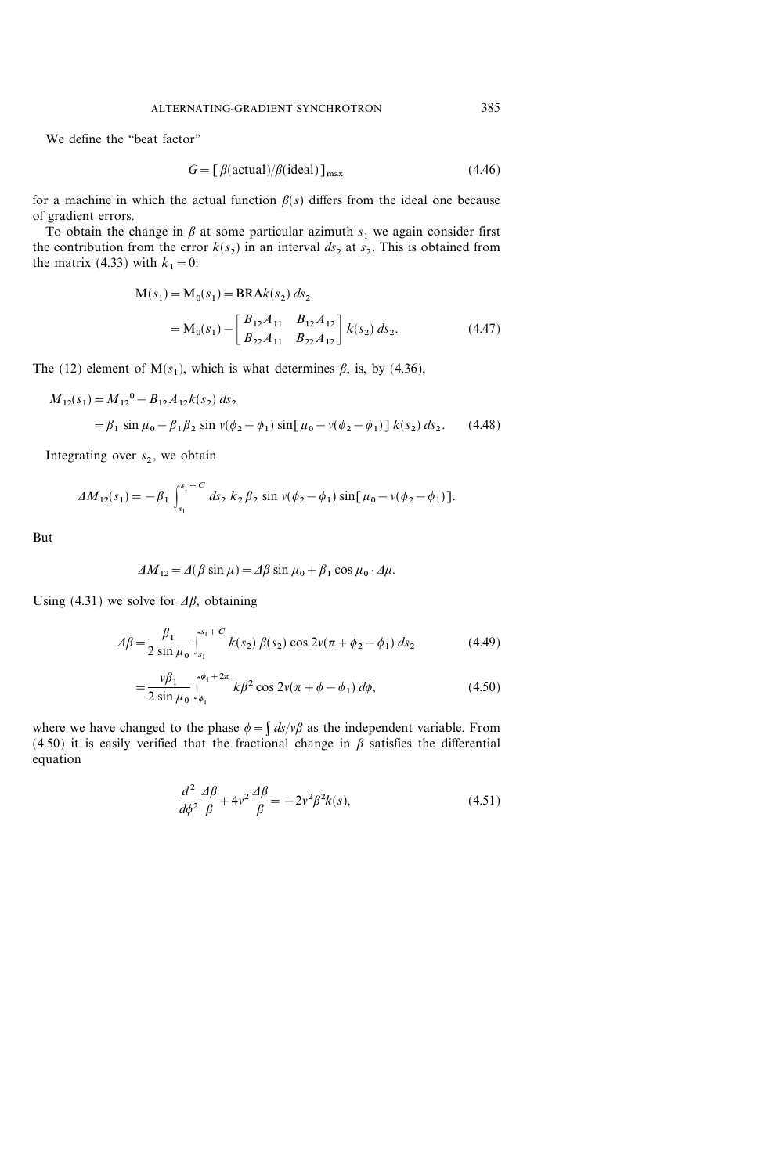We define the "beat factor"

$$
G = \left[ \frac{\beta(\text{actual})}{\beta(\text{ideal})} \right]_{\text{max}} \tag{4.46}
$$

for a machine in which the actual function  $\beta(s)$  differs from the ideal one because of gradient errors.

To obtain the change in  $\beta$  at some particular azimuth  $s_1$  we again consider first the contribution from the error  $k(s_2)$  in an interval  $ds_2$  at  $s_2$ . This is obtained from the matrix (4.33) with  $k_1=0$ :

$$
M(s_1) = M_0(s_1) = BRAk(s_2) ds_2
$$
  
=  $M_0(s_1) - \begin{bmatrix} B_{12}A_{11} & B_{12}A_{12} \ B_{22}A_{11} & B_{22}A_{12} \end{bmatrix} k(s_2) ds_2.$  (4.47)

The (12) element of  $M(s_1)$ , which is what determines  $\beta$ , is, by (4.36),

$$
M_{12}(s_1) = M_{12}^0 - B_{12} A_{12} k(s_2) ds_2
$$
  
=  $\beta_1 \sin \mu_0 - \beta_1 \beta_2 \sin \nu (\phi_2 - \phi_1) \sin[\mu_0 - \nu (\phi_2 - \phi_1)] k(s_2) ds_2.$  (4.48)

Integrating over  $s_2$ , we obtain

$$
\Delta M_{12}(s_1) = -\beta_1 \int_{s_1}^{s_1+C} ds_2 \, k_2 \, \beta_2 \, \sin \, v (\phi_2 - \phi_1) \, \sin[\mu_0 - v (\phi_2 - \phi_1)].
$$

But

$$
\Delta M_{12} = \Delta(\beta \sin \mu) = \Delta \beta \sin \mu_0 + \beta_1 \cos \mu_0 \cdot \Delta \mu.
$$

Using (4.31) we solve for  $\Delta \beta$ , obtaining

$$
\Delta \beta = \frac{\beta_1}{2 \sin \mu_0} \int_{s_1}^{s_1 + C} k(s_2) \beta(s_2) \cos 2\nu (\pi + \phi_2 - \phi_1) \, ds_2 \tag{4.49}
$$

$$
= \frac{\nu \beta_1}{2 \sin \mu_0} \int_{\phi_1}^{\phi_1 + 2\pi} k \beta^2 \cos 2\nu (\pi + \phi - \phi_1) \, d\phi,\tag{4.50}
$$

where we have changed to the phase  $\phi = \int ds / v \beta$  as the independent variable. From (4.50) it is easily verified that the fractional change in  $\beta$  satisfies the differential equation

$$
\frac{d^2}{d\phi^2} \frac{\Delta \beta}{\beta} + 4v^2 \frac{\Delta \beta}{\beta} = -2v^2 \beta^2 k(s),\tag{4.51}
$$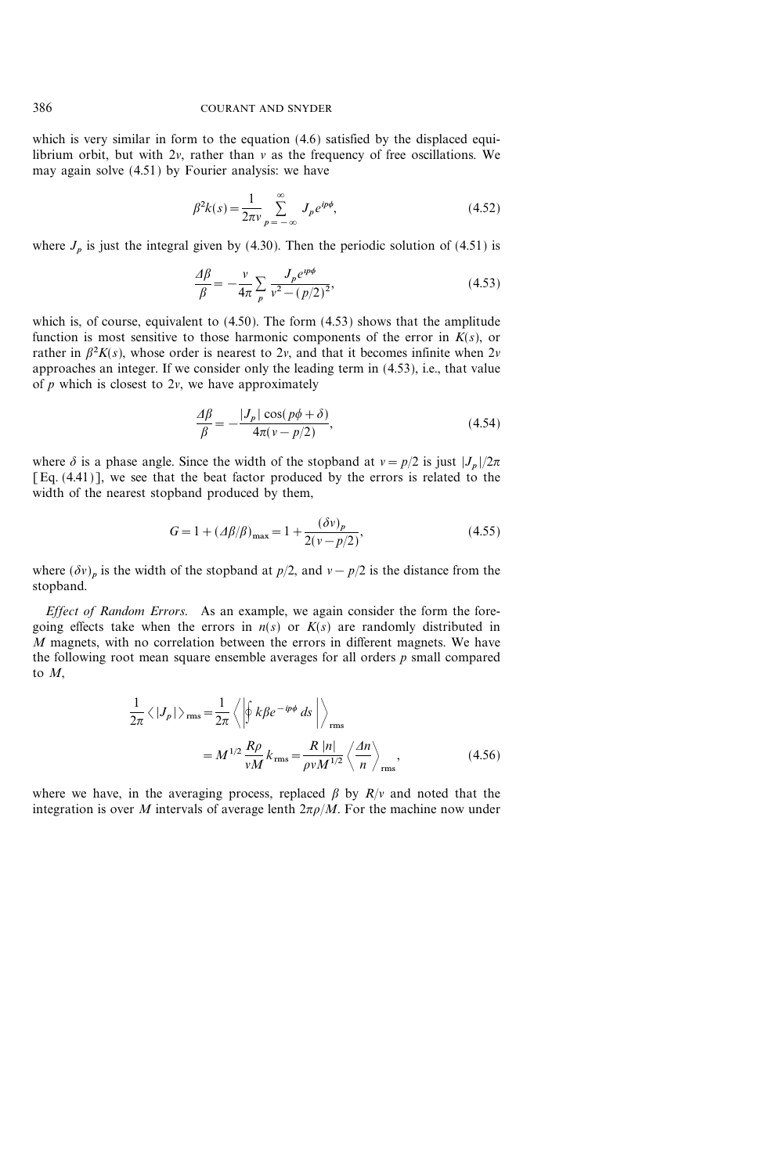which is very similar in form to the equation (4.6) satisfied by the displaced equilibrium orbit, but with  $2v$ , rather than  $v$  as the frequency of free oscillations. We may again solve (4.51) by Fourier analysis: we have

$$
\beta^2 k(s) = \frac{1}{2\pi v} \sum_{p=-\infty}^{\infty} J_p e^{ip\phi},\tag{4.52}
$$

where  $J_p$  is just the integral given by (4.30). Then the periodic solution of (4.51) is

$$
\frac{A\beta}{\beta} = -\frac{v}{4\pi} \sum_{p} \frac{J_{p}e^{ip\phi}}{v^{2} - (p/2)^{2}},
$$
\n(4.53)

which is, of course, equivalent to  $(4.50)$ . The form  $(4.53)$  shows that the amplitude function is most sensitive to those harmonic components of the error in  $K(s)$ , or rather in  $\beta^2 K(s)$ , whose order is nearest to 2v, and that it becomes infinite when 2v approaches an integer. If we consider only the leading term in (4.53), i.e., that value of  $p$  which is closest to  $2v$ , we have approximately

$$
\frac{d\beta}{\beta} = -\frac{|J_p| \cos(p\phi + \delta)}{4\pi (v - p/2)},
$$
\n(4.54)

where  $\delta$  is a phase angle. Since the width of the stopband at  $v = p/2$  is just  $|J_p|/2\pi$ [Eq. (4.41)], we see that the beat factor produced by the errors is related to the width of the nearest stopband produced by them,

$$
G = 1 + (A\beta/\beta)_{\text{max}} = 1 + \frac{(\delta v)_p}{2(v - p/2)},
$$
\n(4.55)

where  $(\delta v)_p$  is the width of the stopband at  $p/2$ , and  $v - p/2$  is the distance from the stopband.

Effect of Random Errors. As an example, we again consider the form the foregoing effects take when the errors in  $n(s)$  or  $K(s)$  are randomly distributed in  $M$  magnets, with no correlation between the errors in different magnets. We have the following root mean square ensemble averages for all orders  $p$  small compared to M,

$$
\frac{1}{2\pi} \langle |J_p| \rangle_{\rm rms} = \frac{1}{2\pi} \langle \left| \oint k \beta e^{-ip\phi} ds \right| \rangle_{\rm rms}
$$

$$
= M^{1/2} \frac{R\rho}{vM} k_{\rm rms} = \frac{R |n|}{\rho v M^{1/2}} \langle \frac{An}{n} \rangle_{\rm rms}, \qquad (4.56)
$$

where we have, in the averaging process, replaced  $\beta$  by  $R/v$  and noted that the integration is over M intervals of average lenth  $2\pi\rho/M$ . For the machine now under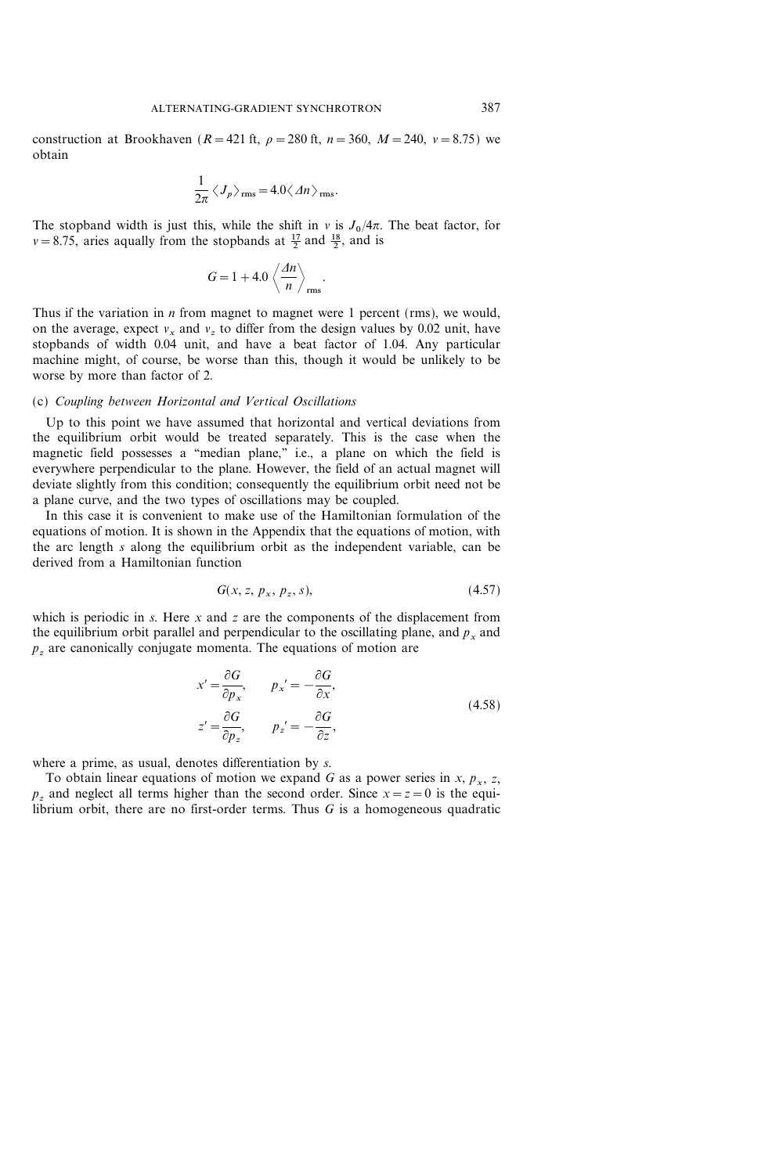construction at Brookhaven ( $R = 421$  ft,  $\rho = 280$  ft,  $n = 360$ ,  $M = 240$ ,  $v = 8.75$ ) we obtain

$$
\frac{1}{2\pi} \langle J_p \rangle_{\rm rms} = 4.0 \langle \Delta n \rangle_{\rm rms}.
$$

The stopband width is just this, while the shift in  $v$  is  $J_0/4\pi$ . The beat factor, for  $v = 8.75$ , aries aqually from the stopbands at  $\frac{17}{2}$  and  $\frac{18}{2}$ , and is

$$
G=1+4.0\left\langle \frac{\Delta n}{n}\right\rangle_{\rm rms}.
$$

Thus if the variation in *n* from magnet to magnet were 1 percent (rms), we would, on the average, expect  $v_x$  and  $v_z$  to differ from the design values by 0.02 unit, have stopbands of width 0.04 unit, and have a beat factor of 1.04. Any particular machine might, of course, be worse than this, though it would be unlikely to be worse by more than factor of 2.

## (c) Coupling between Horizontal and Vertical Oscillations

Up to this point we have assumed that horizontal and vertical deviations from the equilibrium orbit would be treated separately. This is the case when the magnetic field possesses a "median plane," i.e., a plane on which the field is everywhere perpendicular to the plane. However, the field of an actual magnet will deviate slightly from this condition; consequently the equilibrium orbit need not be a plane curve, and the two types of oscillations may be coupled.

In this case it is convenient to make use of the Hamiltonian formulation of the equations of motion. It is shown in the Appendix that the equations of motion, with the arc length s along the equilibrium orbit as the independent variable, can be derived from a Hamiltonian function

$$
G(x, z, p_x, p_z, s), \tag{4.57}
$$

which is periodic in s. Here x and z are the components of the displacement from the equilibrium orbit parallel and perpendicular to the oscillating plane, and  $p_x$  and  $p<sub>z</sub>$  are canonically conjugate momenta. The equations of motion are

$$
x' = \frac{\partial G}{\partial p_x}, \qquad p_x' = -\frac{\partial G}{\partial x},
$$
  

$$
z' = \frac{\partial G}{\partial p_z}, \qquad p_z' = -\frac{\partial G}{\partial z},
$$
 (4.58)

where a prime, as usual, denotes differentiation by s.

To obtain linear equations of motion we expand G as a power series in x,  $p_x$ , z,  $p<sub>z</sub>$  and neglect all terms higher than the second order. Since  $x=z=0$  is the equilibrium orbit, there are no first-order terms. Thus  $G$  is a homogeneous quadratic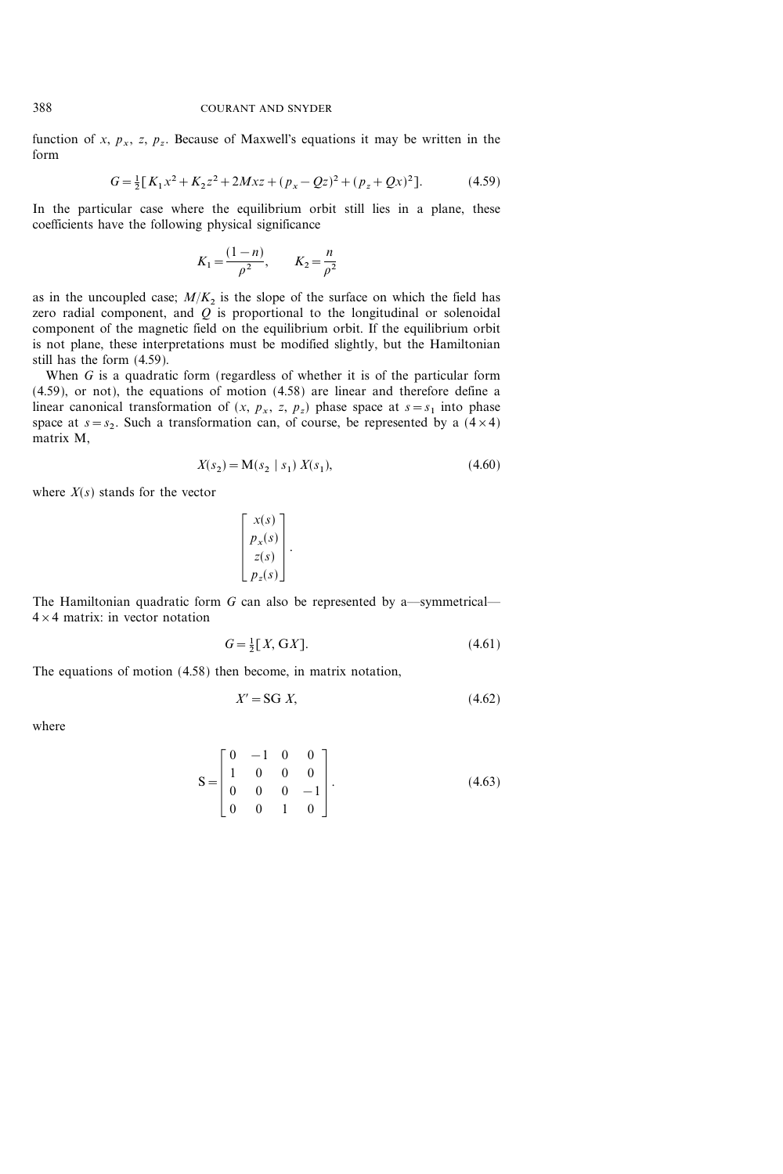function of x,  $p_x$ , z,  $p_z$ . Because of Maxwell's equations it may be written in the form

$$
G = \frac{1}{2} [K_1 x^2 + K_2 z^2 + 2Mxz + (p_x - Qz)^2 + (p_z + Qx)^2].
$$
 (4.59)

In the particular case where the equilibrium orbit still lies in a plane, these coefficients have the following physical significance

$$
K_1 = \frac{(1-n)}{\rho^2}, \qquad K_2 = \frac{n}{\rho^2}
$$

as in the uncoupled case;  $M/K_2$  is the slope of the surface on which the field has zero radial component, and  $Q$  is proportional to the longitudinal or solenoidal component of the magnetic field on the equilibrium orbit. If the equilibrium orbit is not plane, these interpretations must be modified slightly, but the Hamiltonian still has the form (4.59).

When  $G$  is a quadratic form (regardless of whether it is of the particular form (4.59), or not), the equations of motion (4.58) are linear and therefore define a linear canonical transformation of  $(x, p_x, z, p_z)$  phase space at  $s = s_1$  into phase space at  $s=s_2$ . Such a transformation can, of course, be represented by a  $(4\times4)$ matrix M,

$$
X(s_2) = \mathbf{M}(s_2 \mid s_1) \ X(s_1),\tag{4.60}
$$

where  $X(s)$  stands for the vector

$$
\left[\begin{array}{c} x(s) \\ p_x(s) \\ z(s) \\ p_z(s) \end{array}\right].
$$

The Hamiltonian quadratic form G can also be represented by a—symmetrical—  $4 \times 4$  matrix: in vector notation

$$
G = \frac{1}{2}[X, GX].\tag{4.61}
$$

The equations of motion (4.58) then become, in matrix notation,

$$
X' = \mathbf{SG} \ X,\tag{4.62}
$$

where

$$
S = \begin{bmatrix} 0 & -1 & 0 & 0 \\ 1 & 0 & 0 & 0 \\ 0 & 0 & 0 & -1 \\ 0 & 0 & 1 & 0 \end{bmatrix}.
$$
 (4.63)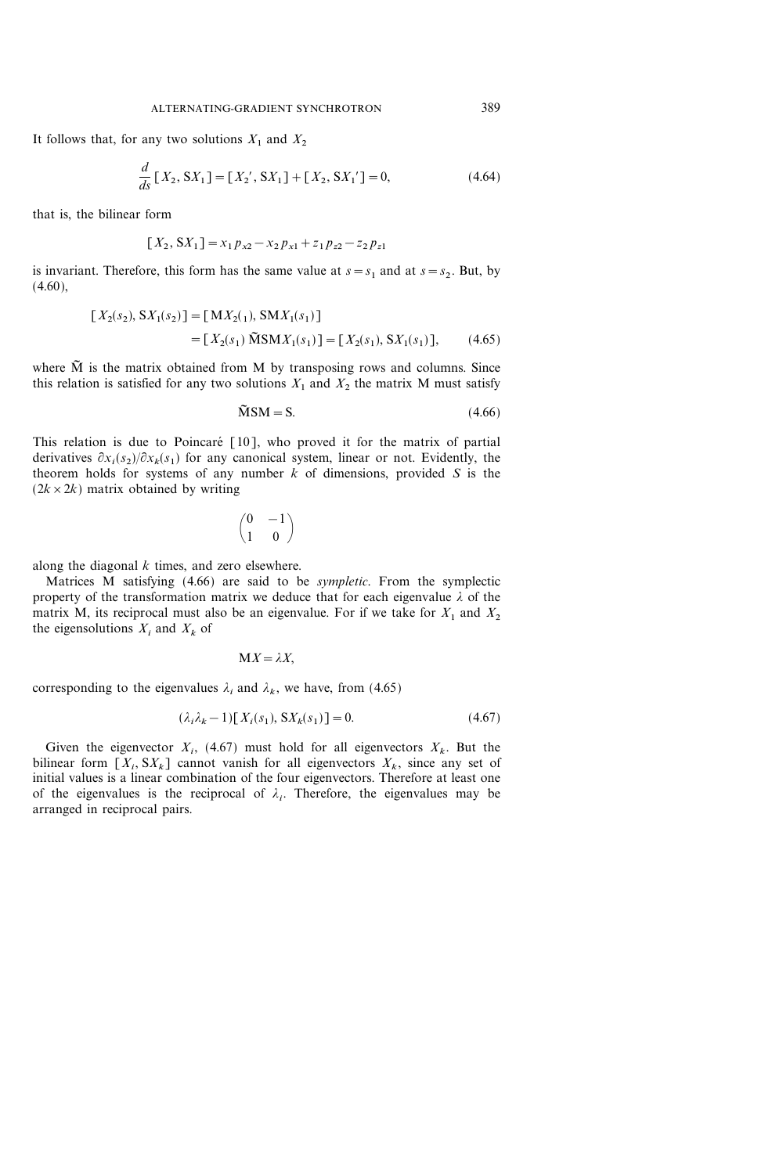It follows that, for any two solutions  $X_1$  and  $X_2$ 

$$
\frac{d}{ds}[X_2, \, S X_1] = [X_2', \, S X_1] + [X_2, \, S X_1'] = 0,\tag{4.64}
$$

that is, the bilinear form

$$
[X_2, S X_1] = x_1 p_{x2} - x_2 p_{x1} + z_1 p_{z2} - z_2 p_{z1}
$$

is invariant. Therefore, this form has the same value at  $s = s_1$  and at  $s = s_2$ . But, by  $(4.60)$ ,

$$
[X_2(s_2), SX_1(s_2)] = [MX_2(1), SMX_1(s_1)]
$$
  
= 
$$
[X_2(s_1) \widetilde{M}SMX_1(s_1)] = [X_2(s_1), SX_1(s_1)],
$$
 (4.65)

where  $\tilde{M}$  is the matrix obtained from M by transposing rows and columns. Since this relation is satisfied for any two solutions  $X_1$  and  $X_2$  the matrix M must satisfy

$$
\tilde{M}SM = S. \tag{4.66}
$$

This relation is due to Poincaré  $[10]$ , who proved it for the matrix of partial derivatives  $\partial x_i(s_2)/\partial x_k(s_1)$  for any canonical system, linear or not. Evidently, the theorem holds for systems of any number  $k$  of dimensions, provided  $S$  is the  $(2k \times 2k)$  matrix obtained by writing

$$
\begin{pmatrix} 0 & -1 \\ 1 & 0 \end{pmatrix}
$$

along the diagonal  $k$  times, and zero elsewhere.

Matrices M satisfying (4.66) are said to be sympletic. From the symplectic property of the transformation matrix we deduce that for each eigenvalue  $\lambda$  of the matrix M, its reciprocal must also be an eigenvalue. For if we take for  $X_1$  and  $X_2$ the eigensolutions  $X_i$  and  $X_k$  of

#### $MX = \lambda X$ .

corresponding to the eigenvalues  $\lambda_i$  and  $\lambda_k$ , we have, from (4.65)

$$
(\lambda_i \lambda_k - 1)[X_i(s_1), S X_k(s_1)] = 0.
$$
\n(4.67)

Given the eigenvector  $X_i$ , (4.67) must hold for all eigenvectors  $X_k$ . But the bilinear form  $[X_i, SX_k]$  cannot vanish for all eigenvectors  $X_k$ , since any set of initial values is a linear combination of the four eigenvectors. Therefore at least one of the eigenvalues is the reciprocal of  $\lambda_i$ . Therefore, the eigenvalues may be arranged in reciprocal pairs.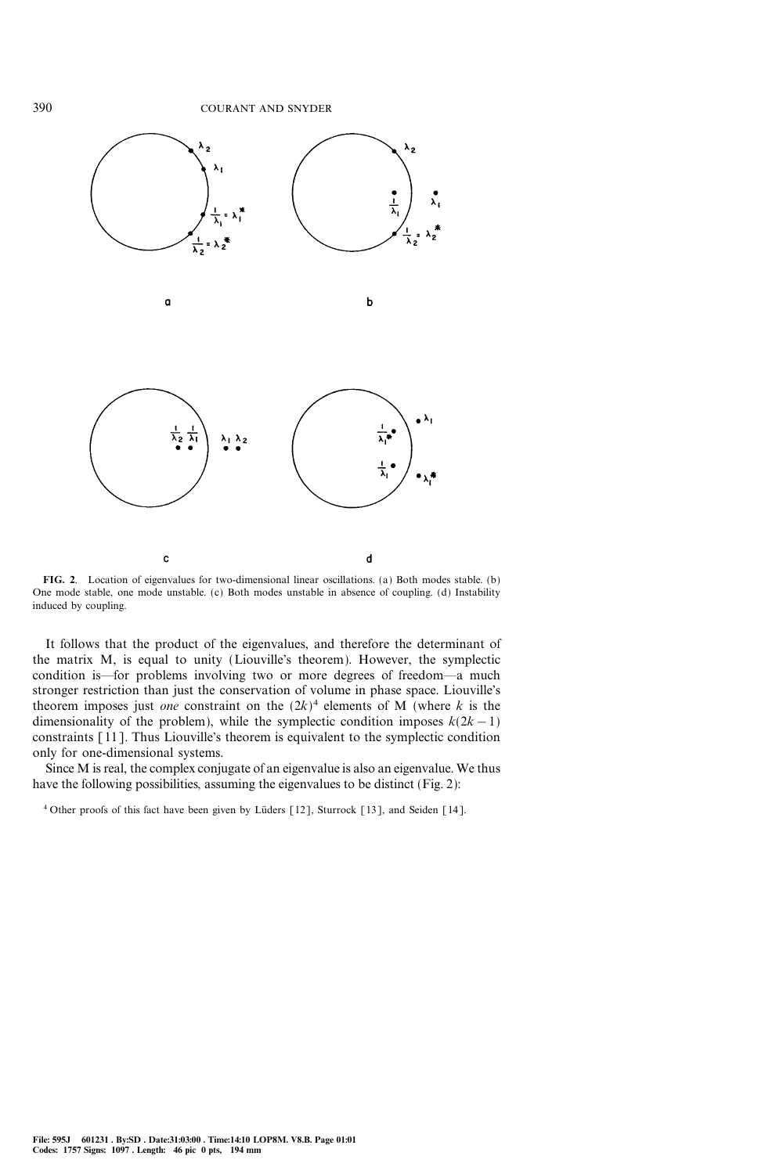

FIG. 2. Location of eigenvalues for two-dimensional linear oscillations. (a) Both modes stable. (b) One mode stable, one mode unstable. (c) Both modes unstable in absence of coupling. (d) Instability induced by coupling.

It follows that the product of the eigenvalues, and therefore the determinant of the matrix M, is equal to unity (Liouville's theorem). However, the symplectic condition is—for problems involving two or more degrees of freedom—a much stronger restriction than just the conservation of volume in phase space. Liouville's theorem imposes just one constraint on the  $(2k)^4$  elements of M (where k is the dimensionality of the problem), while the symplectic condition imposes  $k(2k-1)$ constraints [11]. Thus Liouville's theorem is equivalent to the symplectic condition only for one-dimensional systems.

Since M is real, the complex conjugate of an eigenvalue is also an eigenvalue. We thus have the following possibilities, assuming the eigenvalues to be distinct (Fig. 2):

 $4$  Other proofs of this fact have been given by Lüders [12], Sturrock [13], and Seiden [14].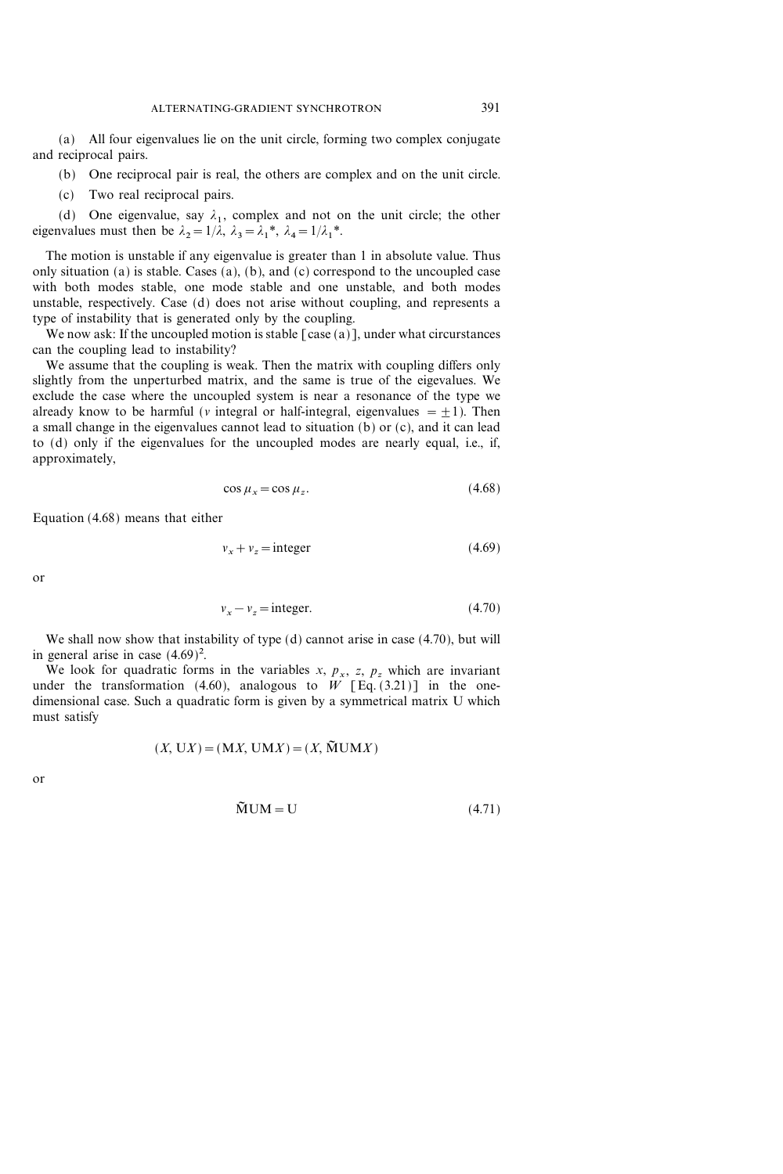(a) All four eigenvalues lie on the unit circle, forming two complex conjugate and reciprocal pairs.

(b) One reciprocal pair is real, the others are complex and on the unit circle.

(c) Two real reciprocal pairs.

(d) One eigenvalue, say  $\lambda_1$ , complex and not on the unit circle; the other eigenvalues must then be  $\lambda_2=1/\lambda$ ,  $\lambda_3=\lambda_1^*$ ,  $\lambda_4=1/\lambda_1^*$ .

The motion is unstable if any eigenvalue is greater than 1 in absolute value. Thus only situation (a) is stable. Cases (a), (b), and (c) correspond to the uncoupled case with both modes stable, one mode stable and one unstable, and both modes unstable, respectively. Case (d) does not arise without coupling, and represents a type of instability that is generated only by the coupling.

We now ask: If the uncoupled motion is stable  $\lceil \text{case} (a) \rceil$ , under what circurstances can the coupling lead to instability?

We assume that the coupling is weak. Then the matrix with coupling differs only slightly from the unperturbed matrix, and the same is true of the eigevalues. We exclude the case where the uncoupled system is near a resonance of the type we already know to be harmful (v integral or half-integral, eigenvalues =  $\pm$ 1). Then a small change in the eigenvalues cannot lead to situation (b) or (c), and it can lead to (d) only if the eigenvalues for the uncoupled modes are nearly equal, i.e., if, approximately,

$$
\cos \mu_x = \cos \mu_z. \tag{4.68}
$$

Equation (4.68) means that either

$$
v_x + v_z = \text{integer} \tag{4.69}
$$

or

$$
v_x - v_z = \text{integer.} \tag{4.70}
$$

We shall now show that instability of type (d) cannot arise in case (4.70), but will in general arise in case  $(4.69)^2$ .

We look for quadratic forms in the variables x,  $p_x$ , z,  $p_z$ , which are invariant under the transformation (4.60), analogous to W [Eq. (3.21)] in the onedimensional case. Such a quadratic form is given by a symmetrical matrix U which must satisfy

$$
(X, \mathbf{U}X) = (\mathbf{M}X, \mathbf{U}\mathbf{M}X) = (X, \widetilde{\mathbf{M}}\mathbf{U}\mathbf{M}X)
$$

or

$$
\tilde{M} \text{UM} = \text{U} \tag{4.71}
$$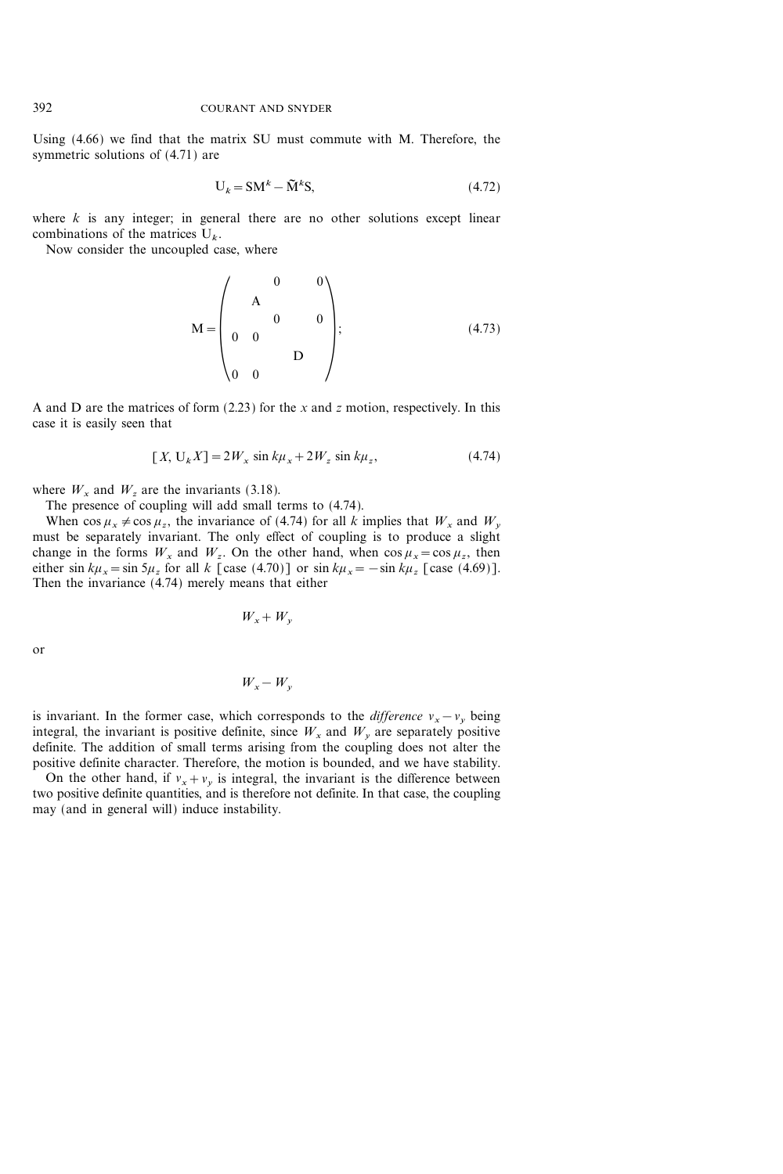Using (4.66) we find that the matrix SU must commute with M. Therefore, the symmetric solutions of (4.71) are

$$
U_k = SM^k - \tilde{M}^k S,\tag{4.72}
$$

where  $k$  is any integer; in general there are no other solutions except linear combinations of the matrices  $U_k$ .

Now consider the uncoupled case, where

$$
M = \begin{pmatrix} 0 & 0 \\ A & 0 & 0 \\ 0 & 0 & 0 \\ 0 & 0 & D \end{pmatrix};
$$
 (4.73)

A and D are the matrices of form  $(2.23)$  for the x and z motion, respectively. In this case it is easily seen that

$$
[X, U_k X] = 2W_x \sin k\mu_x + 2W_z \sin k\mu_z,
$$
 (4.74)

where  $W_x$  and  $W_z$  are the invariants (3.18).

The presence of coupling will add small terms to (4.74).

When  $\cos \mu_x \neq \cos \mu_z$ , the invariance of (4.74) for all k implies that  $W_x$  and  $W_y$ must be separately invariant. The only effect of coupling is to produce a slight change in the forms  $W_x$  and  $W_z$ . On the other hand, when  $\cos \mu_x = \cos \mu_z$ , then either sin  $k\mu_x=\sin 5\mu_z$  for all k [case (4.70)] or sin  $k\mu_x=-\sin k\mu_z$  [case (4.69)]. Then the invariance (4.74) merely means that either

$$
W_x + W_y
$$

or

$$
W_x - W_y
$$

is invariant. In the former case, which corresponds to the *difference*  $v_x - v_y$  being integral, the invariant is positive definite, since  $W_x$  and  $W_y$  are separately positive definite. The addition of small terms arising from the coupling does not alter the positive definite character. Therefore, the motion is bounded, and we have stability.

On the other hand, if  $v_x + v_y$  is integral, the invariant is the difference between two positive definite quantities, and is therefore not definite. In that case, the coupling may (and in general will) induce instability.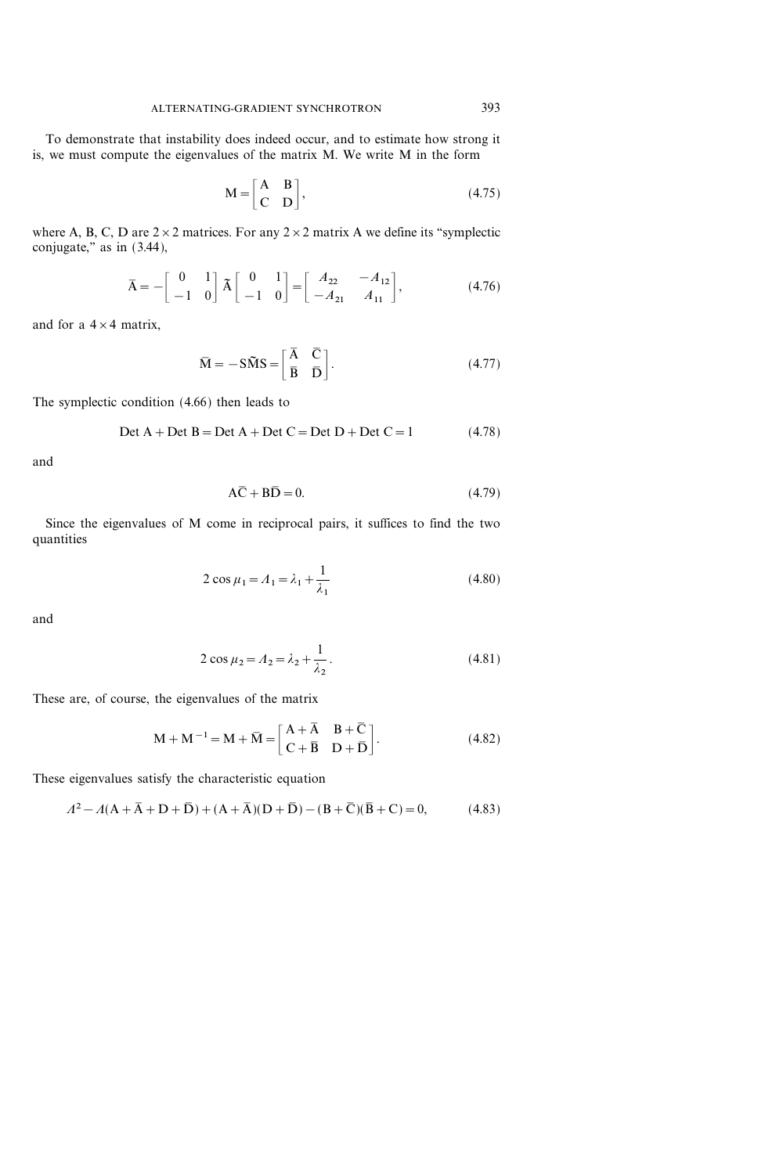To demonstrate that instability does indeed occur, and to estimate how strong it is, we must compute the eigenvalues of the matrix M. We write M in the form

$$
M = \begin{bmatrix} A & B \\ C & D \end{bmatrix}, \tag{4.75}
$$

where A, B, C, D are  $2 \times 2$  matrices. For any  $2 \times 2$  matrix A we define its "symplectic conjugate," as in  $(3.44)$ ,

$$
\bar{A} = -\begin{bmatrix} 0 & 1 \\ -1 & 0 \end{bmatrix} \tilde{A} \begin{bmatrix} 0 & 1 \\ -1 & 0 \end{bmatrix} = \begin{bmatrix} A_{22} & -A_{12} \\ -A_{21} & A_{11} \end{bmatrix},
$$
(4.76)

and for a  $4 \times 4$  matrix,

$$
\overline{\mathbf{M}} = -\mathbf{S}\widetilde{\mathbf{M}}\mathbf{S} = \begin{bmatrix} \overline{\mathbf{A}} & \overline{\mathbf{C}} \\ \overline{\mathbf{B}} & \overline{\mathbf{D}} \end{bmatrix}.
$$
 (4.77)

The symplectic condition (4.66) then leads to

$$
Det A + Det B = Det A + Det C = Det D + Det C = 1
$$
 (4.78)

and

$$
A\overline{C} + B\overline{D} = 0. \tag{4.79}
$$

Since the eigenvalues of M come in reciprocal pairs, it suffices to find the two quantities

$$
2\cos\mu_1 = A_1 = \lambda_1 + \frac{1}{\lambda_1}
$$
 (4.80)

and

$$
2\cos\mu_2 = A_2 = \lambda_2 + \frac{1}{\lambda_2}.
$$
 (4.81)

These are, of course, the eigenvalues of the matrix

$$
\mathbf{M} + \mathbf{M}^{-1} = \mathbf{M} + \overline{\mathbf{M}} = \begin{bmatrix} \mathbf{A} + \overline{\mathbf{A}} & \mathbf{B} + \overline{\mathbf{C}} \\ \mathbf{C} + \overline{\mathbf{B}} & \mathbf{D} + \overline{\mathbf{D}} \end{bmatrix} .
$$
 (4.82)

These eigenvalues satisfy the characteristic equation

$$
\Lambda^2 - A(A + \overline{A} + D + \overline{D}) + (A + \overline{A})(D + \overline{D}) - (B + \overline{C})(\overline{B} + C) = 0,
$$
 (4.83)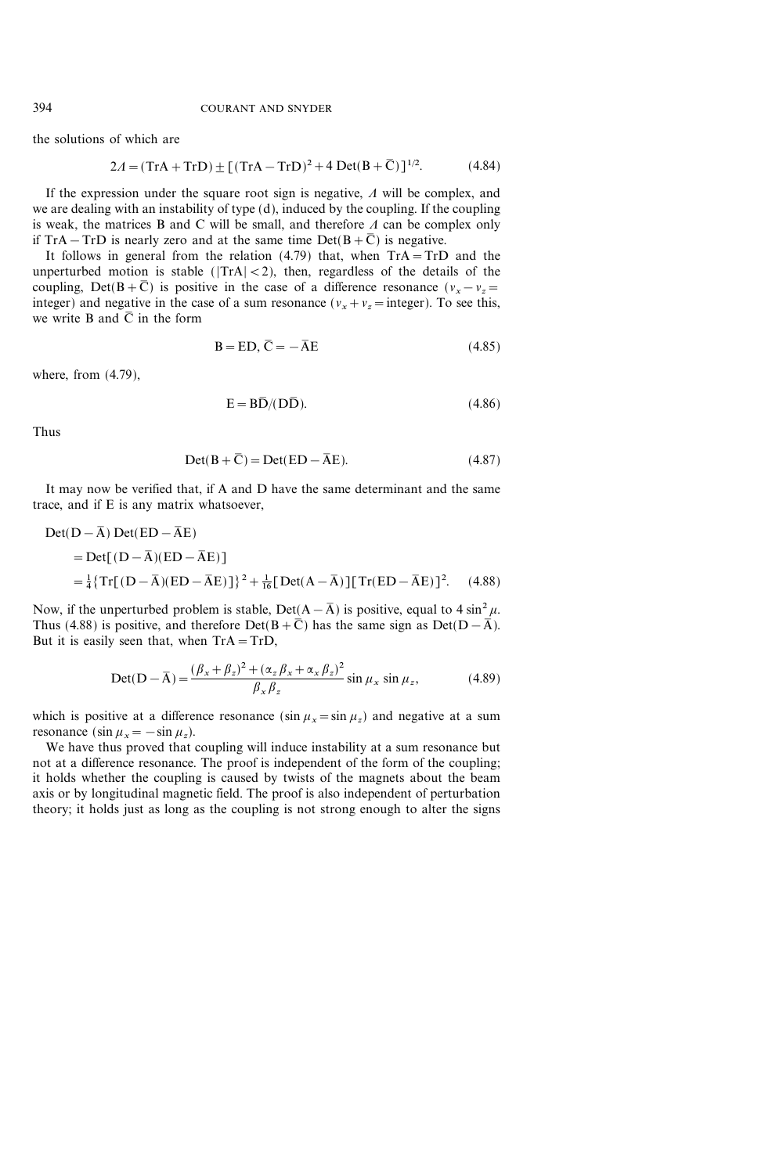the solutions of which are

$$
2A = (TrA + TrD) \pm [(TrA - TrD)^{2} + 4 Det(B + \bar{C})]^{1/2}.
$$
 (4.84)

If the expression under the square root sign is negative,  $\Lambda$  will be complex, and we are dealing with an instability of type (d), induced by the coupling. If the coupling is weak, the matrices B and C will be small, and therefore  $\Lambda$  can be complex only if TrA – TrD is nearly zero and at the same time Det( $B+\overline{C}$ ) is negative.

It follows in general from the relation  $(4.79)$  that, when  $TrA = TrD$  and the unperturbed motion is stable ( $|TrA| < 2$ ), then, regardless of the details of the coupling, Det(B+ $\overline{C}$ ) is positive in the case of a difference resonance ( $v_x - v_z =$ integer) and negative in the case of a sum resonance ( $v_x + v_z =$ integer). To see this, we write B and  $\overline{C}$  in the form

$$
B = ED, \overline{C} = -\overline{A}E \tag{4.85}
$$

where, from (4.79),

$$
E = B\overline{D}/(D\overline{D}).\tag{4.86}
$$

Thus

$$
Det(B + \overline{C}) = Det(ED - \overline{AE}).
$$
\n(4.87)

It may now be verified that, if A and D have the same determinant and the same trace, and if E is any matrix whatsoever,

$$
Det(D - \overline{A}) Det(ED - \overline{A}E)
$$
  
= Det[(D - \overline{A})(ED - \overline{A}E)]  
=  $\frac{1}{4}$ {Tr[(D - \overline{A})(ED - \overline{A}E)]}<sup>2</sup> +  $\frac{1}{16}$ [Det(A - \overline{A})][Tr(ED - \overline{A}E)]<sup>2</sup>. (4.88)

Now, if the unperturbed problem is stable, Det( $A - \overline{A}$ ) is positive, equal to 4 sin<sup>2</sup>  $\mu$ . Thus (4.88) is positive, and therefore Det( $B + \overline{C}$ ) has the same sign as Det( $D - \overline{A}$ ). But it is easily seen that, when  $Tr A = Tr D$ ,

$$
Det(D - \overline{A}) = \frac{(\beta_x + \beta_z)^2 + (\alpha_z \beta_x + \alpha_x \beta_z)^2}{\beta_x \beta_z} \sin \mu_x \sin \mu_z,
$$
 (4.89)

which is positive at a difference resonance  $(\sin \mu_x = \sin \mu_z)$  and negative at a sum resonance (sin  $\mu_x = -\sin \mu_z$ ).

We have thus proved that coupling will induce instability at a sum resonance but not at a difference resonance. The proof is independent of the form of the coupling; it holds whether the coupling is caused by twists of the magnets about the beam axis or by longitudinal magnetic field. The proof is also independent of perturbation theory; it holds just as long as the coupling is not strong enough to alter the signs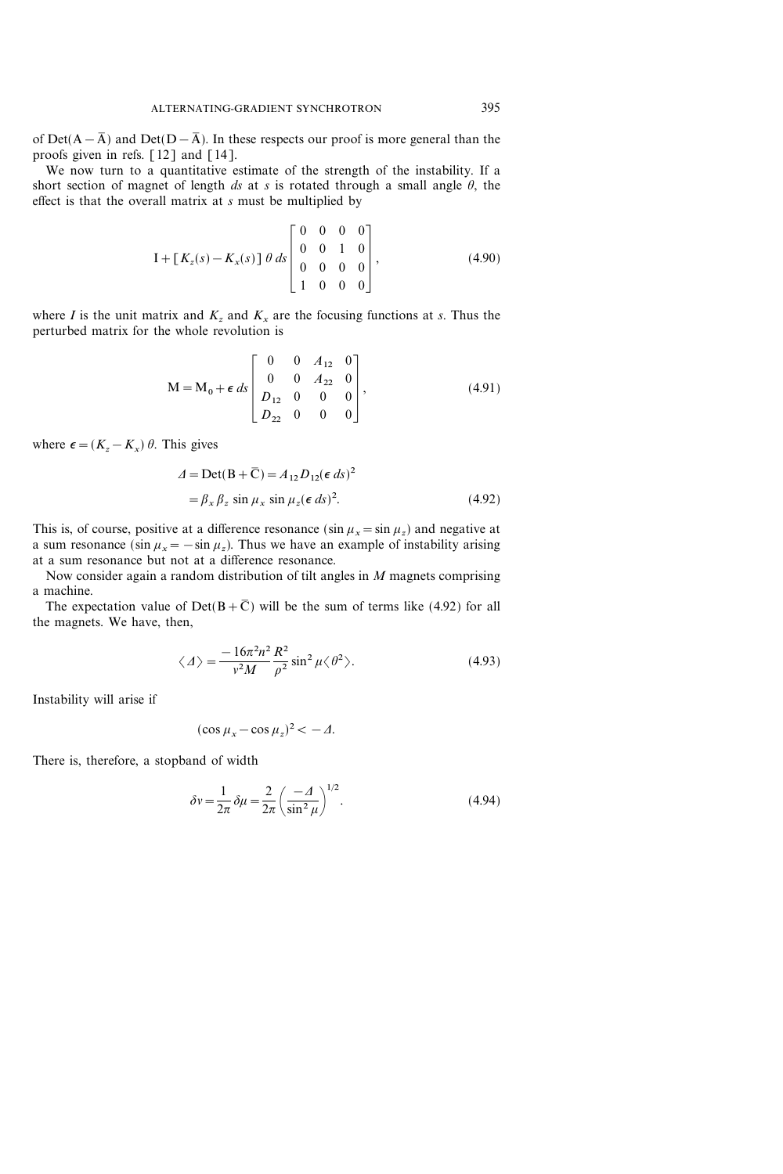of Det( $A-\overline{A}$ ) and Det( $D-\overline{A}$ ). In these respects our proof is more general than the proofs given in refs. [12] and [14].

We now turn to a quantitative estimate of the strength of the instability. If a short section of magnet of length ds at s is rotated through a small angle  $\theta$ , the effect is that the overall matrix at s must be multiplied by

$$
I + [K_z(s) - K_x(s)] \theta ds \begin{bmatrix} 0 & 0 & 0 & 0 \\ 0 & 0 & 1 & 0 \\ 0 & 0 & 0 & 0 \\ 1 & 0 & 0 & 0 \end{bmatrix},
$$
(4.90)

where I is the unit matrix and  $K_z$  and  $K_x$  are the focusing functions at s. Thus the perturbed matrix for the whole revolution is

$$
M = M_0 + \epsilon \, ds \begin{bmatrix} 0 & 0 & A_{12} & 0 \\ 0 & 0 & A_{22} & 0 \\ D_{12} & 0 & 0 & 0 \\ D_{22} & 0 & 0 & 0 \end{bmatrix},
$$
(4.91)

where  $\epsilon = (K_z - K_x) \theta$ . This gives

$$
\Delta = \text{Det}(B + \overline{C}) = A_{12} D_{12} (\epsilon \, ds)^2
$$
  
=  $\beta_x \beta_z \sin \mu_x \sin \mu_z (\epsilon \, ds)^2$ . (4.92)

This is, of course, positive at a difference resonance ( $\sin \mu_x = \sin \mu_z$ ) and negative at a sum resonance (sin  $\mu_x = -\sin \mu_z$ ). Thus we have an example of instability arising at a sum resonance but not at a difference resonance.

Now consider again a random distribution of tilt angles in  $M$  magnets comprising a machine.

The expectation value of Det( $B + \overline{C}$ ) will be the sum of terms like (4.92) for all the magnets. We have, then,

$$
\langle \varDelta \rangle = \frac{-16\pi^2 n^2}{v^2 M} \frac{R^2}{\rho^2} \sin^2 \mu \langle \vartheta^2 \rangle. \tag{4.93}
$$

Instability will arise if

$$
(\cos \mu_x - \cos \mu_z)^2 < -\Delta.
$$

There is, therefore, a stopband of width

$$
\delta v = \frac{1}{2\pi} \delta \mu = \frac{2}{2\pi} \left( \frac{-\Delta}{\sin^2 \mu} \right)^{1/2}.
$$
 (4.94)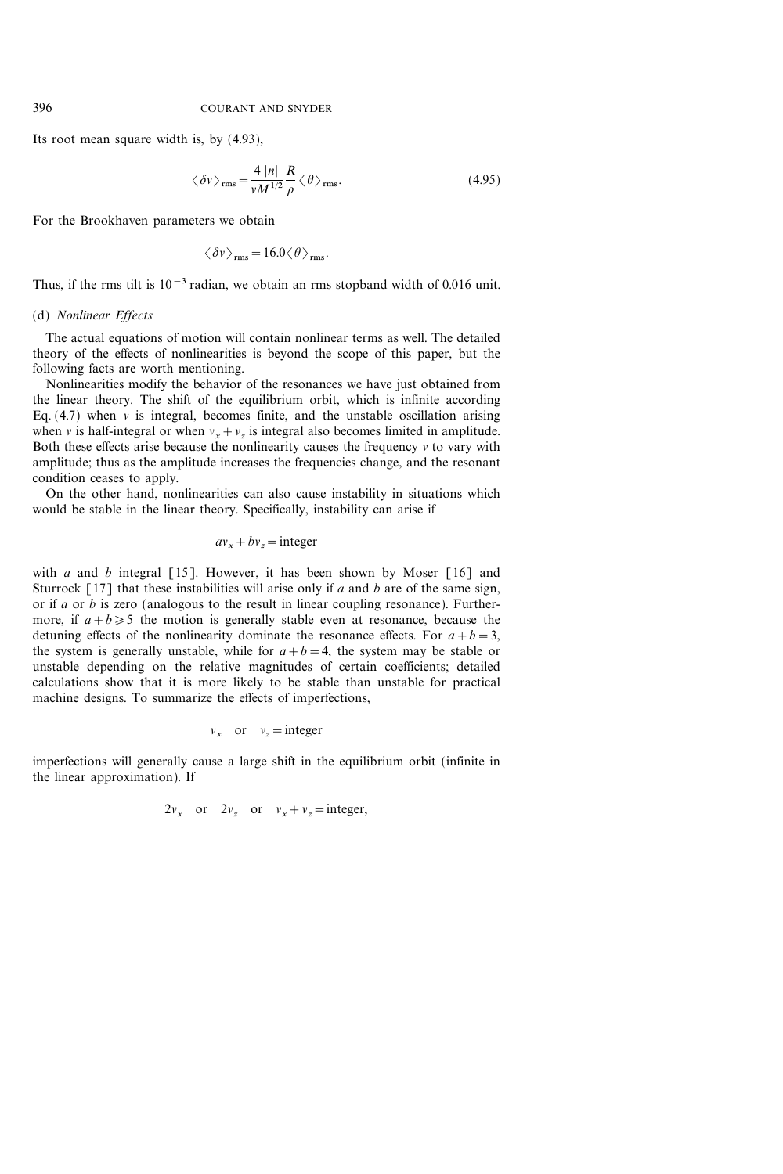Its root mean square width is, by (4.93),

$$
\langle \delta v \rangle_{\rm rms} = \frac{4 |n|}{v M^{1/2}} \frac{R}{\rho} \langle \theta \rangle_{\rm rms}.
$$
 (4.95)

For the Brookhaven parameters we obtain

$$
\langle \delta v \rangle_{\rm rms} = 16.0 \langle \theta \rangle_{\rm rms}.
$$

Thus, if the rms tilt is  $10^{-3}$  radian, we obtain an rms stopband width of 0.016 unit.

## (d) Nonlinear Effects

The actual equations of motion will contain nonlinear terms as well. The detailed theory of the effects of nonlinearities is beyond the scope of this paper, but the following facts are worth mentioning.

Nonlinearities modify the behavior of the resonances we have just obtained from the linear theory. The shift of the equilibrium orbit, which is infinite according Eq.  $(4.7)$  when v is integral, becomes finite, and the unstable oscillation arising when v is half-integral or when  $v_x + v_z$  is integral also becomes limited in amplitude. Both these effects arise because the nonlinearity causes the frequency  $\nu$  to vary with amplitude; thus as the amplitude increases the frequencies change, and the resonant condition ceases to apply.

On the other hand, nonlinearities can also cause instability in situations which would be stable in the linear theory. Specifically, instability can arise if

$$
av_x + bv_z = \text{integer}
$$

with a and b integral [15]. However, it has been shown by Moser [16] and Sturrock [17] that these instabilities will arise only if  $a$  and  $b$  are of the same sign, or if a or b is zero (analogous to the result in linear coupling resonance). Furthermore, if  $a+b\geq 5$  the motion is generally stable even at resonance, because the detuning effects of the nonlinearity dominate the resonance effects. For  $a+b=3$ , the system is generally unstable, while for  $a+b=4$ , the system may be stable or unstable depending on the relative magnitudes of certain coefficients; detailed calculations show that it is more likely to be stable than unstable for practical machine designs. To summarize the effects of imperfections,

$$
v_x
$$
 or  $v_z$  = integer

imperfections will generally cause a large shift in the equilibrium orbit (infinite in the linear approximation). If

$$
2v_x
$$
 or  $2v_z$  or  $v_x + v_z =$ integer,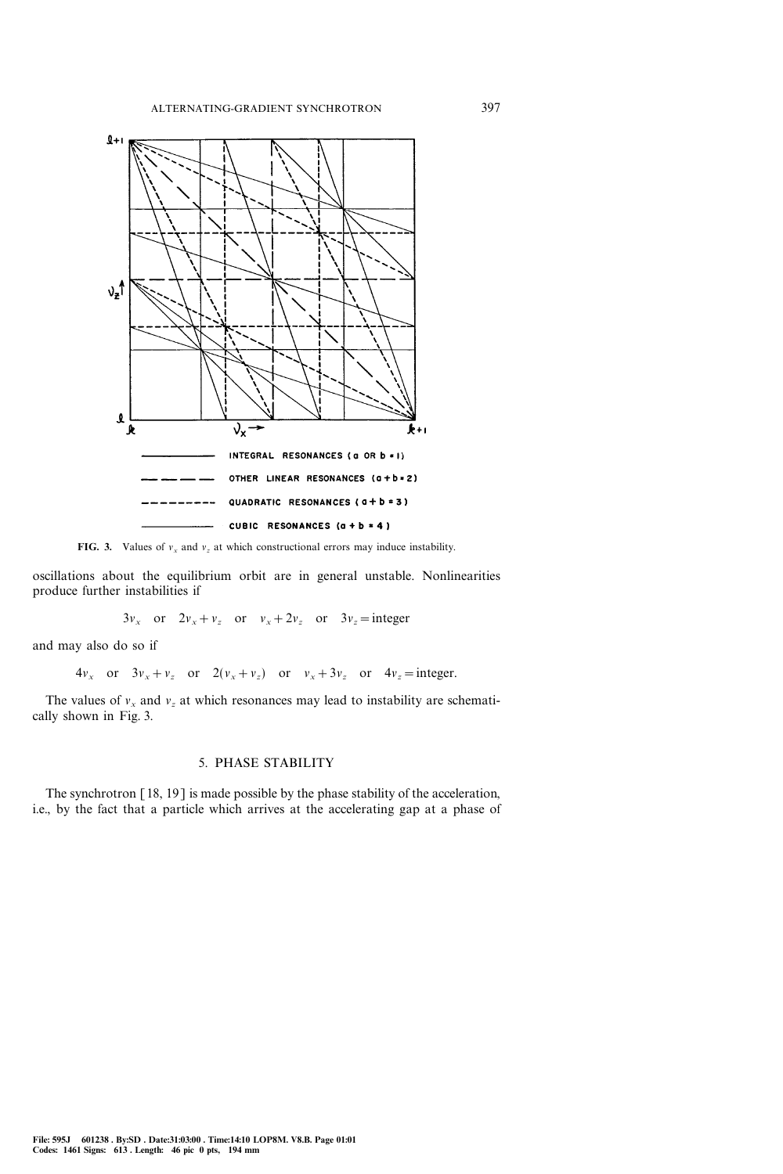

FIG. 3. Values of  $v_x$  and  $v_z$  at which constructional errors may induce instability.

oscillations about the equilibrium orbit are in general unstable. Nonlinearities produce further instabilities if

 $3v_x$  or  $2v_x+v_z$  or  $v_x+2v_z$  or  $3v_z=$  integer

and may also do so if

 $4v_x$  or  $3v_x+v_z$  or  $2(v_x+v_z)$  or  $v_x+3v_z$  or  $4v_z=$  integer.

The values of  $v_x$  and  $v_z$  at which resonances may lead to instability are schematically shown in Fig. 3.

### 5. PHASE STABILITY

The synchrotron [18, 19] is made possible by the phase stability of the acceleration, i.e., by the fact that a particle which arrives at the accelerating gap at a phase of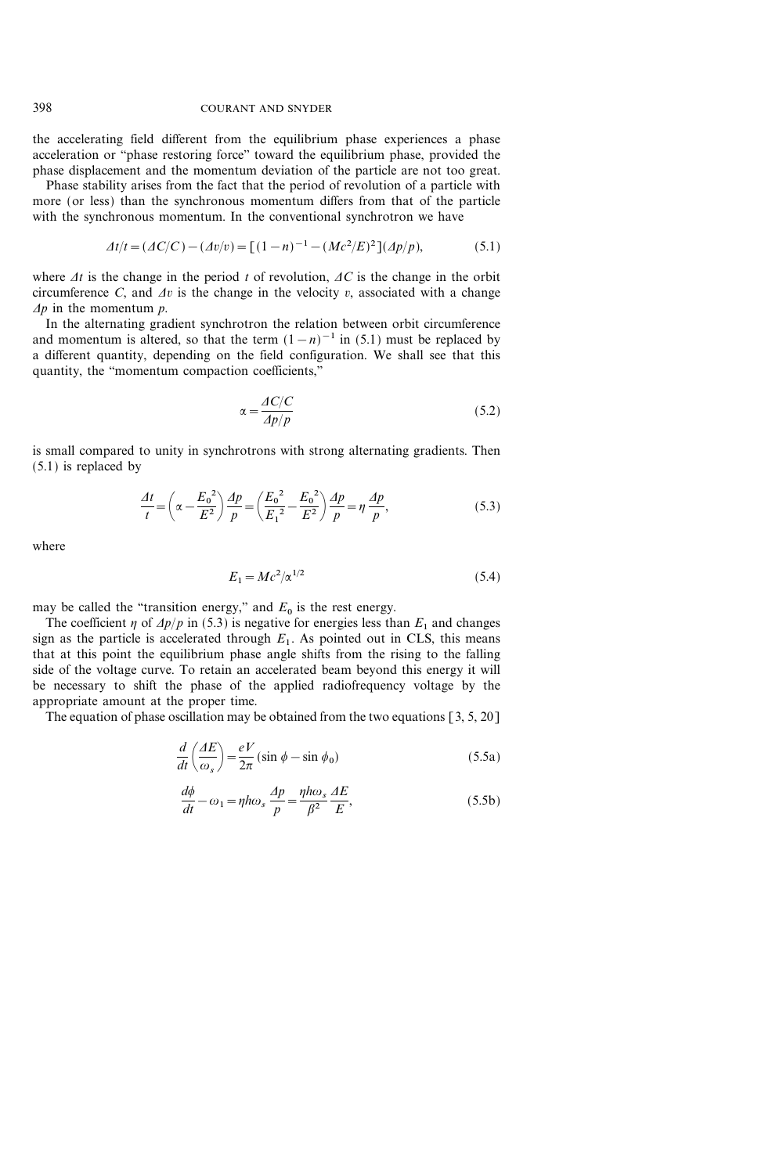the accelerating field different from the equilibrium phase experiences a phase acceleration or "phase restoring force" toward the equilibrium phase, provided the phase displacement and the momentum deviation of the particle are not too great.

Phase stability arises from the fact that the period of revolution of a particle with more (or less) than the synchronous momentum differs from that of the particle with the synchronous momentum. In the conventional synchrotron we have

$$
\Delta t/t = (\Delta C/C) - (\Delta v/v) = [(1 - n)^{-1} - (Mc^2/E)^2](\Delta p/p),\tag{5.1}
$$

where  $\Delta t$  is the change in the period t of revolution,  $\Delta C$  is the change in the orbit circumference C, and  $\Delta v$  is the change in the velocity v, associated with a change  $\Delta p$  in the momentum p.

In the alternating gradient synchrotron the relation between orbit circumference and momentum is altered, so that the term  $(1-n)^{-1}$  in (5.1) must be replaced by a different quantity, depending on the field configuration. We shall see that this quantity, the "momentum compaction coefficients,"

$$
\alpha = \frac{AC/C}{Ap/p} \tag{5.2}
$$

is small compared to unity in synchrotrons with strong alternating gradients. Then (5.1) is replaced by

$$
\frac{At}{t} = \left(\alpha - \frac{E_0^2}{E^2}\right)\frac{dp}{p} = \left(\frac{E_0^2}{E_1^2} - \frac{E_0^2}{E^2}\right)\frac{dp}{p} = \eta \frac{dp}{p},\tag{5.3}
$$

where

$$
E_1 = Mc^2 / \alpha^{1/2} \tag{5.4}
$$

may be called the "transition energy," and  $E_0$  is the rest energy.

The coefficient  $\eta$  of  $\Delta p/p$  in (5.3) is negative for energies less than  $E_1$  and changes sign as the particle is accelerated through  $E_1$ . As pointed out in CLS, this means that at this point the equilibrium phase angle shifts from the rising to the falling side of the voltage curve. To retain an accelerated beam beyond this energy it will be necessary to shift the phase of the applied radiofrequency voltage by the appropriate amount at the proper time.

The equation of phase oscillation may be obtained from the two equations  $[3, 5, 20]$ 

$$
\frac{d}{dt}\left(\frac{AE}{\omega_s}\right) = \frac{eV}{2\pi} \left(\sin\phi - \sin\phi_0\right) \tag{5.5a}
$$

$$
\frac{d\phi}{dt} - \omega_1 = \eta h \omega_s \frac{dp}{p} = \frac{\eta h \omega_s}{\beta^2} \frac{AE}{E},
$$
\n(5.5b)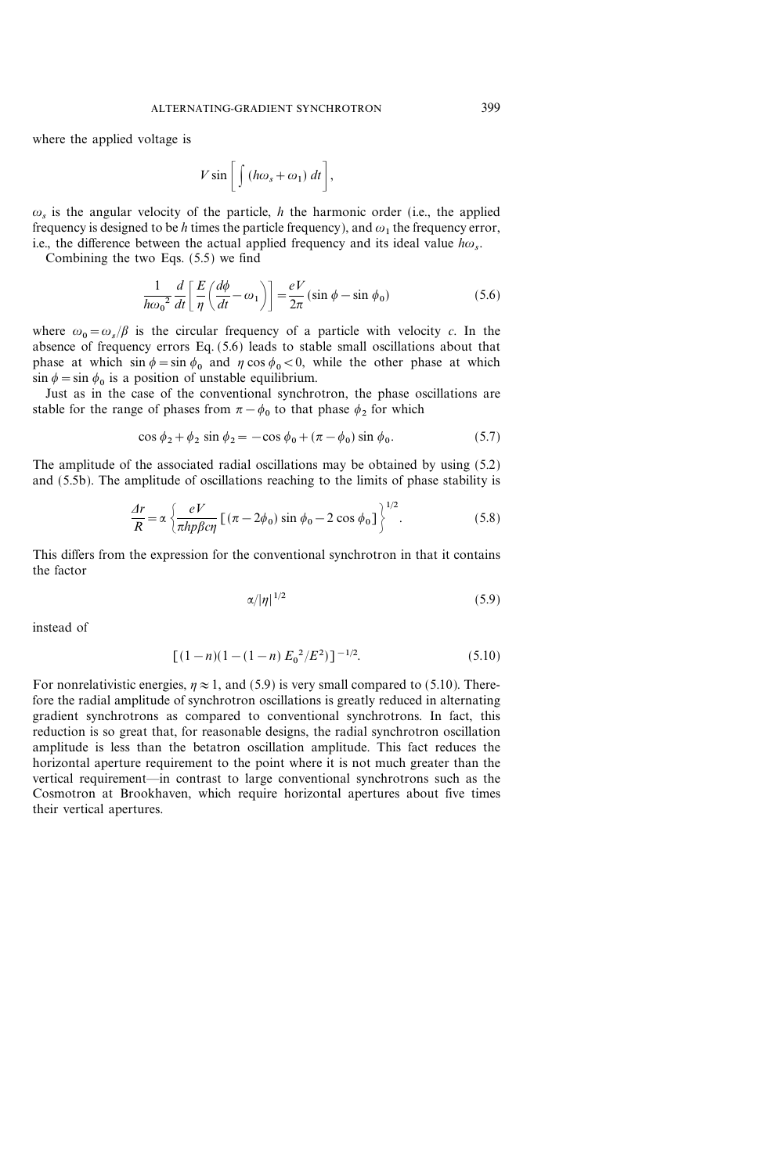where the applied voltage is

$$
V\sin\bigg[\int\left(h\omega_s+\omega_1\right)dt\bigg],
$$

 $\omega_s$  is the angular velocity of the particle, h the harmonic order (i.e., the applied frequency is designed to be h times the particle frequency), and  $\omega_1$  the frequency error, i.e., the difference between the actual applied frequency and its ideal value  $h\omega$ .

Combining the two Eqs. (5.5) we find

$$
\frac{1}{h\omega_0^2} \frac{d}{dt} \left[ \frac{E}{\eta} \left( \frac{d\phi}{dt} - \omega_1 \right) \right] = \frac{eV}{2\pi} (\sin \phi - \sin \phi_0)
$$
\n(5.6)

where  $\omega_0 = \omega_s/\beta$  is the circular frequency of a particle with velocity c. In the absence of frequency errors Eq. (5.6) leads to stable small oscillations about that phase at which  $\sin \phi = \sin \phi_0$  and  $\eta \cos \phi_0 < 0$ , while the other phase at which  $\sin \phi = \sin \phi_0$  is a position of unstable equilibrium.

Just as in the case of the conventional synchrotron, the phase oscillations are stable for the range of phases from  $\pi - \phi_0$  to that phase  $\phi_2$  for which

$$
\cos \phi_2 + \phi_2 \sin \phi_2 = -\cos \phi_0 + (\pi - \phi_0) \sin \phi_0. \tag{5.7}
$$

The amplitude of the associated radial oscillations may be obtained by using (5.2) and (5.5b). The amplitude of oscillations reaching to the limits of phase stability is

$$
\frac{\Delta r}{R} = \alpha \left\{ \frac{eV}{\pi h p \beta c \eta} \left[ \left( \pi - 2\phi_0 \right) \sin \phi_0 - 2 \cos \phi_0 \right] \right\}^{1/2}.
$$
 (5.8)

This differs from the expression for the conventional synchrotron in that it contains the factor

$$
\alpha/|\eta|^{1/2} \tag{5.9}
$$

instead of

$$
[(1-n)(1-(1-n) E_0^2/E^2)]^{-1/2}.
$$
 (5.10)

For nonrelativistic energies,  $\eta \approx 1$ , and (5.9) is very small compared to (5.10). Therefore the radial amplitude of synchrotron oscillations is greatly reduced in alternating gradient synchrotrons as compared to conventional synchrotrons. In fact, this reduction is so great that, for reasonable designs, the radial synchrotron oscillation amplitude is less than the betatron oscillation amplitude. This fact reduces the horizontal aperture requirement to the point where it is not much greater than the vertical requirement—in contrast to large conventional synchrotrons such as the Cosmotron at Brookhaven, which require horizontal apertures about five times their vertical apertures.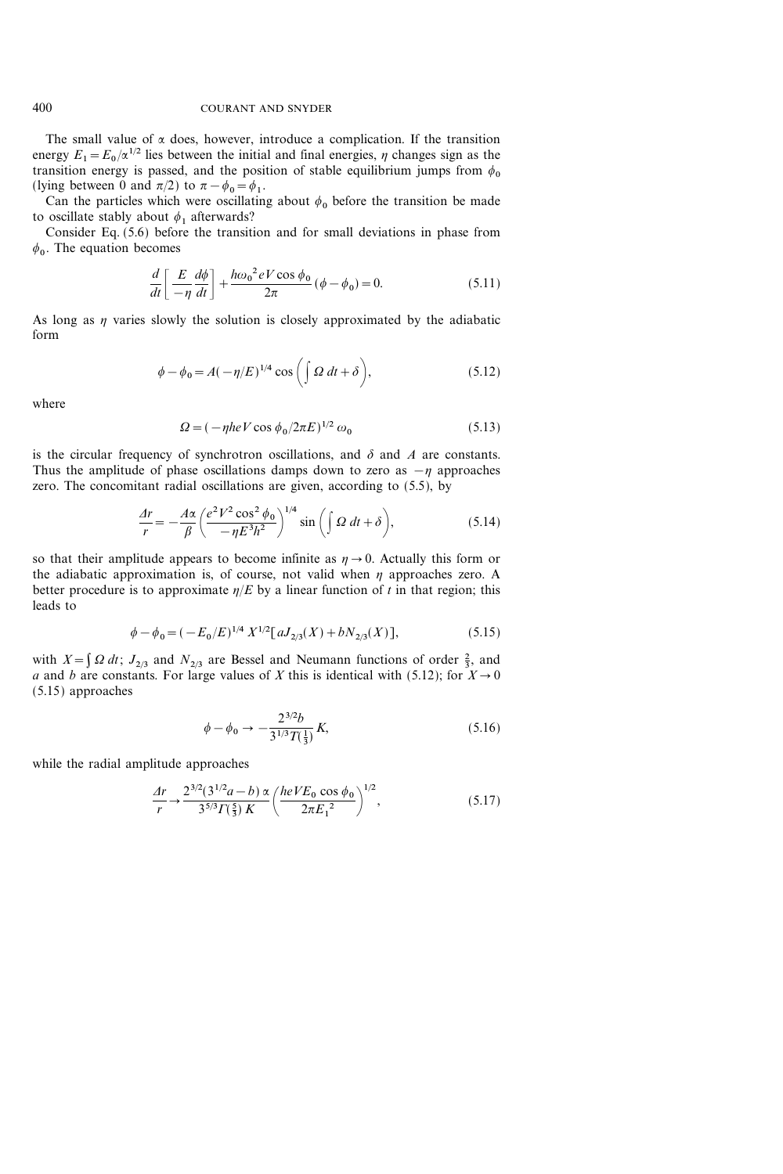The small value of  $\alpha$  does, however, introduce a complication. If the transition energy  $E_1 = E_0 / \alpha^{1/2}$  lies between the initial and final energies,  $\eta$  changes sign as the transition energy is passed, and the position of stable equilibrium jumps from  $\phi_0$ (lying between 0 and  $\pi/2$ ) to  $\pi - \phi_0 = \phi_1$ .

Can the particles which were oscillating about  $\phi_0$  before the transition be made to oscillate stably about  $\phi_1$  afterwards?

Consider Eq. (5.6) before the transition and for small deviations in phase from  $\phi$ <sub>0</sub>. The equation becomes

$$
\frac{d}{dt}\left[\frac{E}{-\eta}\frac{d\phi}{dt}\right] + \frac{h\omega_0^2 eV\cos\phi_0}{2\pi}(\phi - \phi_0) = 0.
$$
\n(5.11)

As long as  $\eta$  varies slowly the solution is closely approximated by the adiabatic form

$$
\phi - \phi_0 = A(-\eta/E)^{1/4} \cos\left(\int \Omega dt + \delta\right),\tag{5.12}
$$

where

$$
\Omega = (-\eta h e V \cos \phi_0 / 2\pi E)^{1/2} \omega_0 \tag{5.13}
$$

is the circular frequency of synchrotron oscillations, and  $\delta$  and  $\hat{A}$  are constants. Thus the amplitude of phase oscillations damps down to zero as  $-\eta$  approaches zero. The concomitant radial oscillations are given, according to (5.5), by

$$
\frac{\Delta r}{r} = -\frac{A\alpha}{\beta} \left( \frac{e^2 V^2 \cos^2 \phi_0}{-\eta E^3 h^2} \right)^{1/4} \sin \left( \int \mathcal{Q} \, dt + \delta \right),\tag{5.14}
$$

so that their amplitude appears to become infinite as  $\eta \rightarrow 0$ . Actually this form or the adiabatic approximation is, of course, not valid when  $\eta$  approaches zero. A better procedure is to approximate  $\eta/E$  by a linear function of t in that region; this leads to

$$
\phi - \phi_0 = (-E_0/E)^{1/4} X^{1/2} [aJ_{2/3}(X) + bN_{2/3}(X)], \tag{5.15}
$$

with  $X = \int \Omega dt$ ;  $J_{2/3}$  and  $N_{2/3}$  are Bessel and Neumann functions of order  $\frac{2}{3}$ , and a and b are constants. For large values of X this is identical with (5.12); for  $X\rightarrow 0$ (5.15) approaches

$$
\phi - \phi_0 \to -\frac{2^{3/2}b}{3^{1/3}T(\frac{1}{3})}K,\tag{5.16}
$$

while the radial amplitude approaches

$$
\frac{Ar}{r} \to \frac{2^{3/2} (3^{1/2} a - b) \propto (heV E_0 \cos \phi_0)}{3^{5/3} \Gamma(\frac{5}{3}) K} \left(\frac{heV E_0 \cos \phi_0}{2\pi E_1^2}\right)^{1/2},
$$
\n(5.17)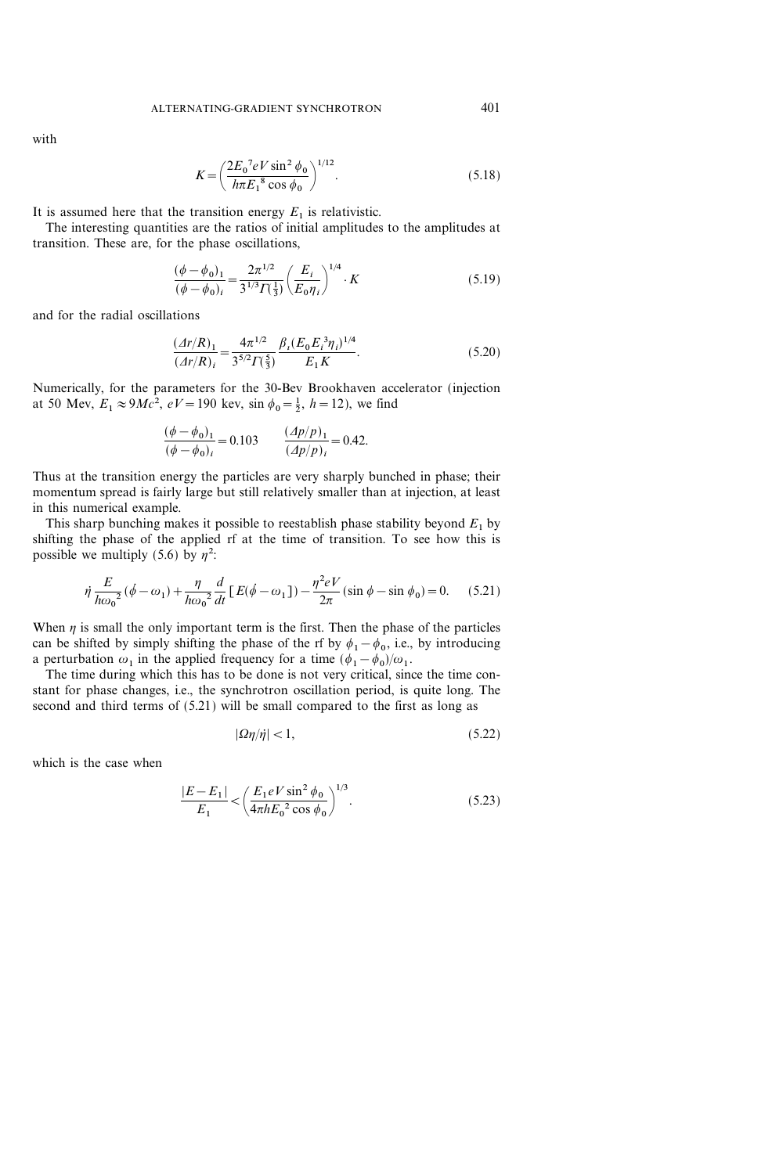with

$$
K = \left(\frac{2E_0^7 eV \sin^2 \phi_0}{h\pi E_1^8 \cos \phi_0}\right)^{1/12}.
$$
 (5.18)

It is assumed here that the transition energy  $E_1$  is relativistic.

The interesting quantities are the ratios of initial amplitudes to the amplitudes at transition. These are, for the phase oscillations,

$$
\frac{(\phi - \phi_0)_1}{(\phi - \phi_0)_i} = \frac{2\pi^{1/2}}{3^{1/3}\Gamma(\frac{1}{3})} \left(\frac{E_i}{E_0 \eta_i}\right)^{1/4} \cdot K
$$
\n(5.19)

and for the radial oscillations

$$
\frac{(Ar/R)_1}{(Ar/R)_i} = \frac{4\pi^{1/2}}{3^{5/2}\Gamma(\frac{5}{3})} \frac{\beta_i (E_0 E_i^3 \eta_i)^{1/4}}{E_1 K}.
$$
\n(5.20)

Numerically, for the parameters for the 30-Bev Brookhaven accelerator (injection at 50 Mev,  $E_1 \approx 9Mc^2$ ,  $eV = 190$  kev,  $\sin \phi_0 = \frac{1}{2}$ ,  $h = 12$ ), we find

$$
\frac{(\phi - \phi_0)_1}{(\phi - \phi_0)_i} = 0.103 \qquad \frac{(A p/p)_1}{(A p/p)_i} = 0.42.
$$

Thus at the transition energy the particles are very sharply bunched in phase; their momentum spread is fairly large but still relatively smaller than at injection, at least in this numerical example.

This sharp bunching makes it possible to reestablish phase stability beyond  $E_1$  by shifting the phase of the applied rf at the time of transition. To see how this is possible we multiply (5.6) by  $\eta^2$ :

$$
\dot{\eta} \frac{E}{h\omega_0^2} (\dot{\phi} - \omega_1) + \frac{\eta}{h\omega_0^2} \frac{d}{dt} [E(\dot{\phi} - \omega_1]) - \frac{\eta^2 eV}{2\pi} (\sin \phi - \sin \phi_0) = 0. \quad (5.21)
$$

When  $\eta$  is small the only important term is the first. Then the phase of the particles can be shifted by simply shifting the phase of the rf by  $\phi_1 - \phi_0$ , i.e., by introducing a perturbation  $\omega_1$  in the applied frequency for a time  $(\phi_1 - \phi_0)/\omega_1$ .

The time during which this has to be done is not very critical, since the time constant for phase changes, i.e., the synchrotron oscillation period, is quite long. The second and third terms of (5.21) will be small compared to the first as long as

$$
|\Omega \eta / \dot{\eta}| < 1,\tag{5.22}
$$

which is the case when

$$
\frac{|E - E_1|}{E_1} < \left(\frac{E_1 eV \sin^2 \phi_0}{4\pi h E_0^2 \cos \phi_0}\right)^{1/3}.
$$
\n(5.23)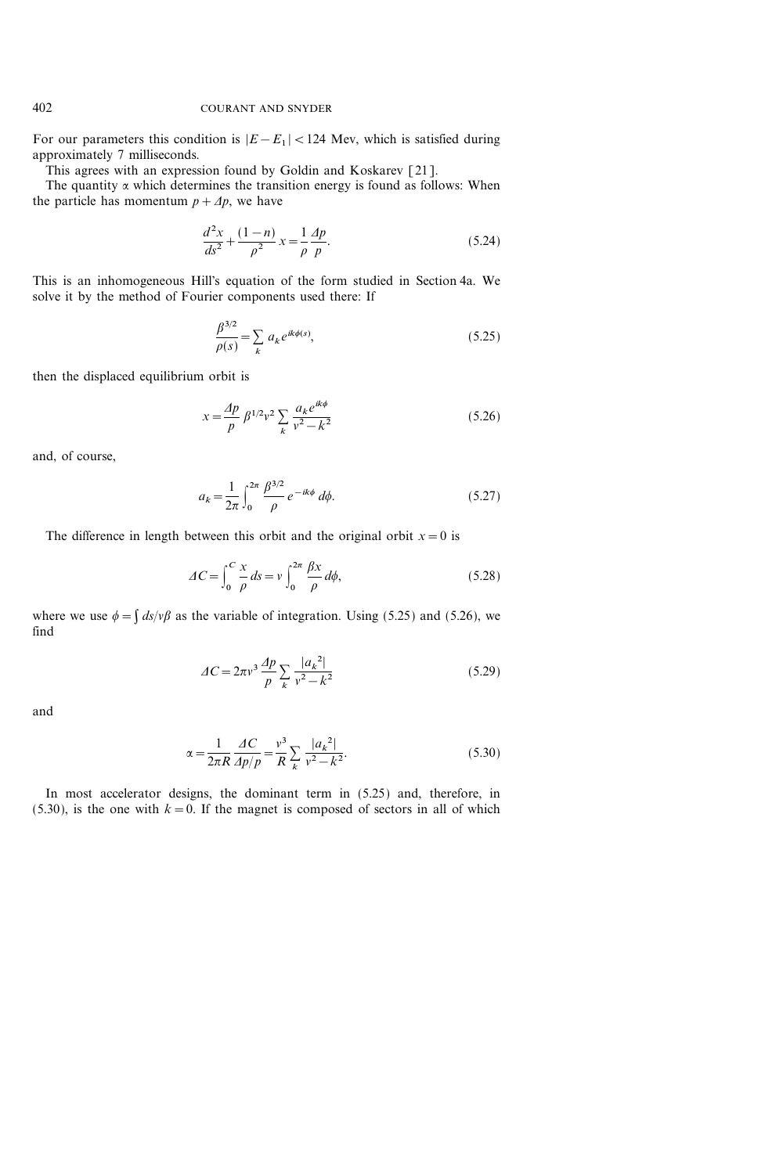For our parameters this condition is  $|E-E_1|$  < 124 Mev, which is satisfied during approximately 7 milliseconds.

This agrees with an expression found by Goldin and Koskarev [21].

The quantity  $\alpha$  which determines the transition energy is found as follows: When the particle has momentum  $p + \Delta p$ , we have

$$
\frac{d^2x}{ds^2} + \frac{(1-n)}{\rho^2}x = \frac{1}{\rho}\frac{dp}{p}.
$$
\n(5.24)

This is an inhomogeneous Hill's equation of the form studied in Section 4a. We solve it by the method of Fourier components used there: If

$$
\frac{\beta^{3/2}}{\rho(s)} = \sum_{k} a_k e^{ik\phi(s)},\tag{5.25}
$$

then the displaced equilibrium orbit is

$$
x = \frac{Ap}{p} \beta^{1/2} v^2 \sum_{k} \frac{a_k e^{ik\phi}}{v^2 - k^2}
$$
 (5.26)

and, of course,

$$
a_k = \frac{1}{2\pi} \int_0^{2\pi} \frac{\beta^{3/2}}{\rho} e^{-ik\phi} d\phi.
$$
 (5.27)

The difference in length between this orbit and the original orbit  $x=0$  is

$$
\Delta C = \int_0^C \frac{x}{\rho} \, ds = v \int_0^{2\pi} \frac{\beta x}{\rho} \, d\phi,\tag{5.28}
$$

where we use  $\phi = \int ds / v\beta$  as the variable of integration. Using (5.25) and (5.26), we find

$$
\Delta C = 2\pi v^3 \frac{\Delta p}{p} \sum_{k} \frac{|a_k^2|}{v^2 - k^2}
$$
 (5.29)

and

$$
\alpha = \frac{1}{2\pi R} \frac{\Delta C}{\Delta p/p} = \frac{v^3}{R} \sum_{k} \frac{|a_k^2|}{v^2 - k^2}.
$$
 (5.30)

In most accelerator designs, the dominant term in (5.25) and, therefore, in (5.30), is the one with  $k=0$ . If the magnet is composed of sectors in all of which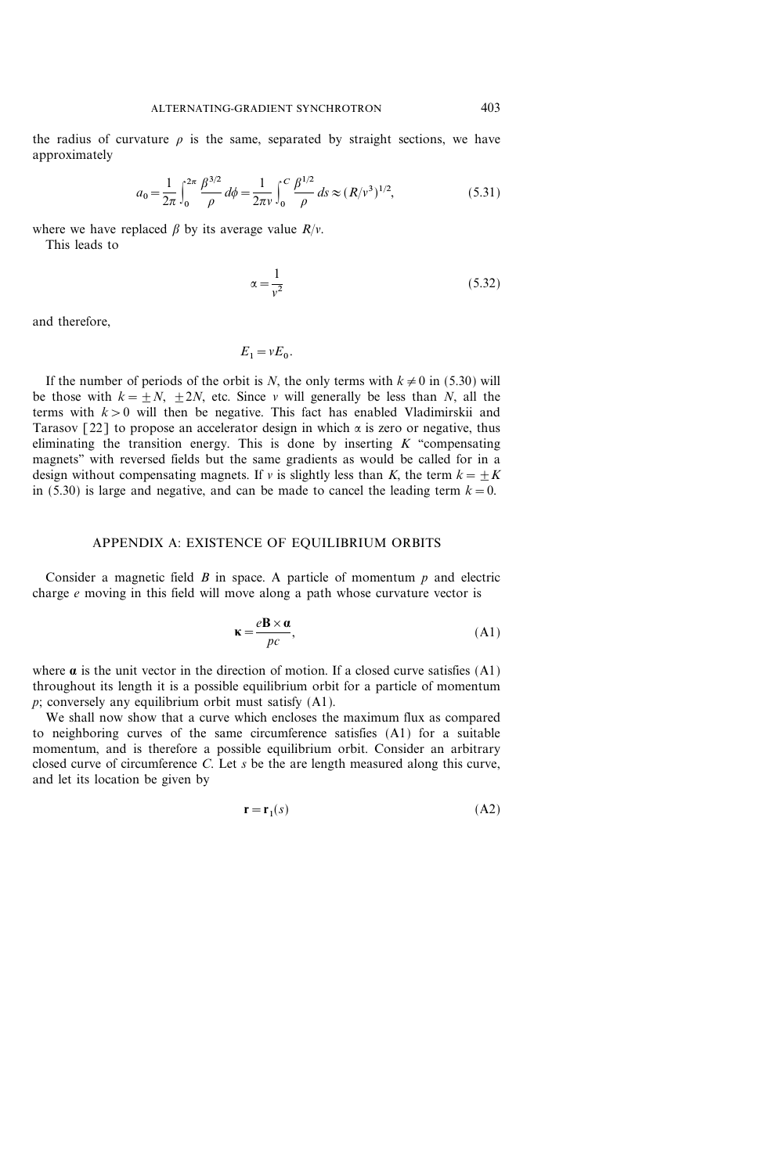the radius of curvature  $\rho$  is the same, separated by straight sections, we have approximately

$$
a_0 = \frac{1}{2\pi} \int_0^{2\pi} \frac{\beta^{3/2}}{\rho} d\phi = \frac{1}{2\pi\nu} \int_0^C \frac{\beta^{1/2}}{\rho} ds \approx (R/\nu^3)^{1/2},
$$
 (5.31)

where we have replaced  $\beta$  by its average value  $R/v$ .

This leads to

$$
\alpha = \frac{1}{v^2} \tag{5.32}
$$

and therefore,

$$
E_1 = vE_0.
$$

If the number of periods of the orbit is N, the only terms with  $k \neq 0$  in (5.30) will be those with  $k = +N$ ,  $+2N$ , etc. Since v will generally be less than N, all the terms with  $k>0$  will then be negative. This fact has enabled Vladimirskii and Tarasov [22] to propose an accelerator design in which  $\alpha$  is zero or negative, thus eliminating the transition energy. This is done by inserting  $K$  "compensating" magnets'' with reversed fields but the same gradients as would be called for in a design without compensating magnets. If v is slightly less than K, the term  $k=\pm K$ in (5.30) is large and negative, and can be made to cancel the leading term  $k=0$ .

#### APPENDIX A: EXISTENCE OF EQUILIBRIUM ORBITS

Consider a magnetic field  $B$  in space. A particle of momentum  $p$  and electric charge e moving in this field will move along a path whose curvature vector is

$$
\mathbf{k} = \frac{e\mathbf{B} \times \mathbf{a}}{pc},\tag{A1}
$$

where  $\alpha$  is the unit vector in the direction of motion. If a closed curve satisfies (A1) throughout its length it is a possible equilibrium orbit for a particle of momentum p; conversely any equilibrium orbit must satisfy (A1).

We shall now show that a curve which encloses the maximum flux as compared to neighboring curves of the same circumference satisfies (A1) for a suitable momentum, and is therefore a possible equilibrium orbit. Consider an arbitrary closed curve of circumference  $C$ . Let  $s$  be the are length measured along this curve, and let its location be given by

$$
\mathbf{r} = \mathbf{r}_1(s) \tag{A2}
$$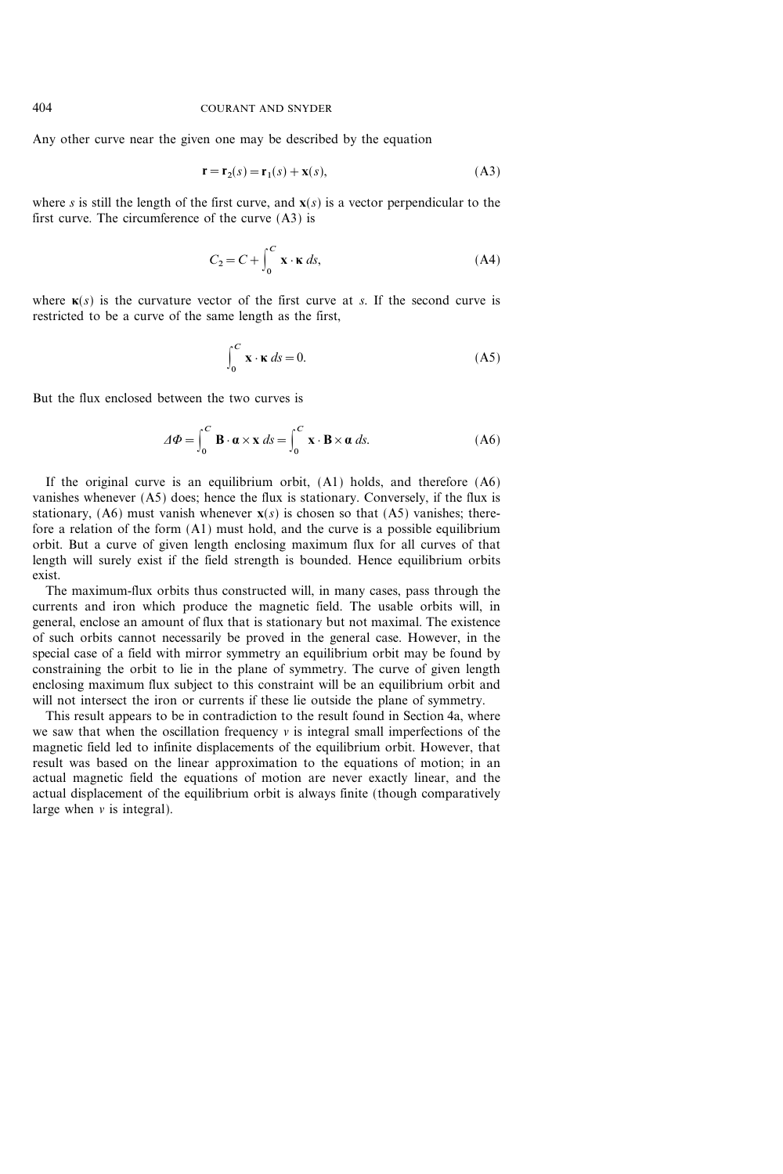Any other curve near the given one may be described by the equation

$$
\mathbf{r} = \mathbf{r}_2(s) = \mathbf{r}_1(s) + \mathbf{x}(s),\tag{A3}
$$

where s is still the length of the first curve, and  $\mathbf{x}(s)$  is a vector perpendicular to the first curve. The circumference of the curve (A3) is

$$
C_2 = C + \int_0^C \mathbf{x} \cdot \mathbf{k} \, ds,\tag{A4}
$$

where  $\kappa(s)$  is the curvature vector of the first curve at s. If the second curve is restricted to be a curve of the same length as the first,

$$
\int_0^C \mathbf{x} \cdot \mathbf{k} \, ds = 0. \tag{A5}
$$

But the flux enclosed between the two curves is

$$
\varDelta \Phi = \int_0^C \mathbf{B} \cdot \mathbf{\alpha} \times \mathbf{x} \, ds = \int_0^C \mathbf{x} \cdot \mathbf{B} \times \mathbf{\alpha} \, ds. \tag{A6}
$$

If the original curve is an equilibrium orbit, (A1) holds, and therefore (A6) vanishes whenever (A5) does; hence the flux is stationary. Conversely, if the flux is stationary, (A6) must vanish whenever  $\mathbf{x}(s)$  is chosen so that (A5) vanishes; therefore a relation of the form (A1) must hold, and the curve is a possible equilibrium orbit. But a curve of given length enclosing maximum flux for all curves of that length will surely exist if the field strength is bounded. Hence equilibrium orbits exist.

The maximum-flux orbits thus constructed will, in many cases, pass through the currents and iron which produce the magnetic field. The usable orbits will, in general, enclose an amount of flux that is stationary but not maximal. The existence of such orbits cannot necessarily be proved in the general case. However, in the special case of a field with mirror symmetry an equilibrium orbit may be found by constraining the orbit to lie in the plane of symmetry. The curve of given length enclosing maximum flux subject to this constraint will be an equilibrium orbit and will not intersect the iron or currents if these lie outside the plane of symmetry.

This result appears to be in contradiction to the result found in Section 4a, where we saw that when the oscillation frequency  $\nu$  is integral small imperfections of the magnetic field led to infinite displacements of the equilibrium orbit. However, that result was based on the linear approximation to the equations of motion; in an actual magnetic field the equations of motion are never exactly linear, and the actual displacement of the equilibrium orbit is always finite (though comparatively large when  $\nu$  is integral).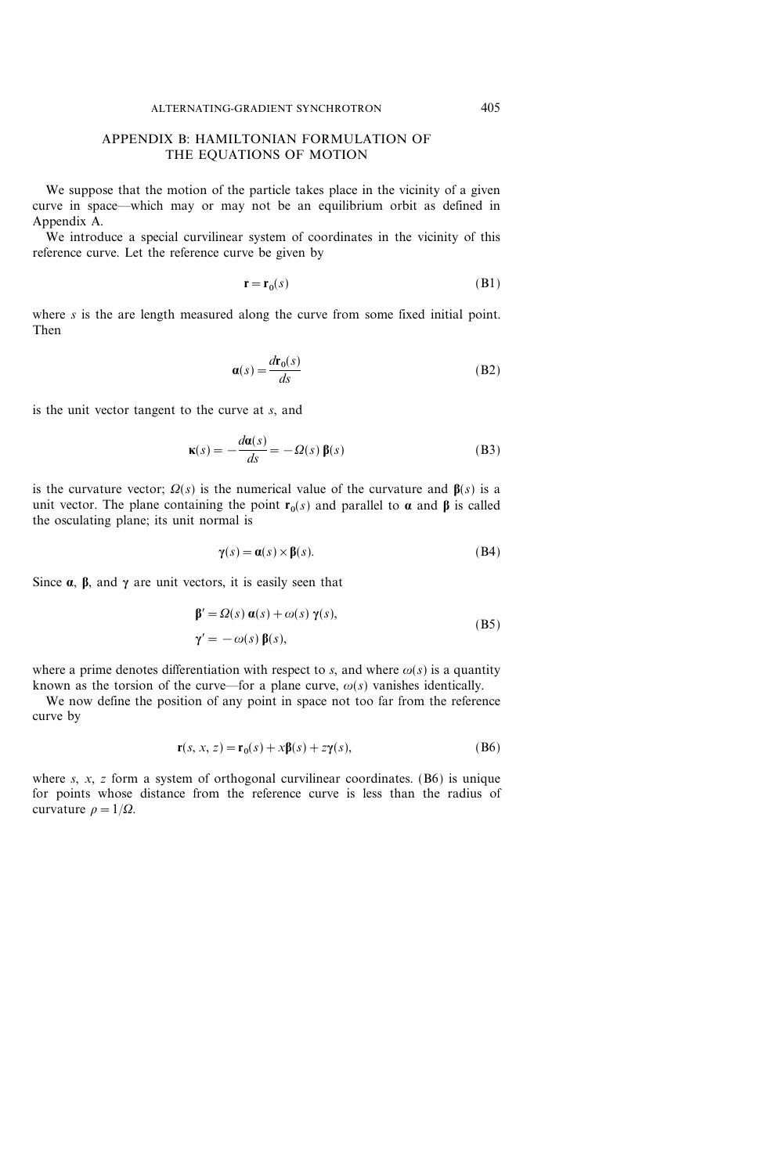# APPENDIX B: HAMILTONIAN FORMULATION OF THE EQUATIONS OF MOTION

We suppose that the motion of the particle takes place in the vicinity of a given curve in space—which may or may not be an equilibrium orbit as defined in Appendix A.

We introduce a special curvilinear system of coordinates in the vicinity of this reference curve. Let the reference curve be given by

$$
\mathbf{r} = \mathbf{r}_0(s) \tag{B1}
$$

where  $s$  is the are length measured along the curve from some fixed initial point. Then

$$
\mathbf{a}(s) = \frac{d\mathbf{r}_0(s)}{ds} \tag{B2}
$$

is the unit vector tangent to the curve at s, and

$$
\mathbf{k}(s) = -\frac{d\mathbf{a}(s)}{ds} = -\Omega(s)\,\mathbf{\beta}(s) \tag{B3}
$$

is the curvature vector;  $\Omega(s)$  is the numerical value of the curvature and  $\beta(s)$  is a unit vector. The plane containing the point  $r_0(s)$  and parallel to  $\alpha$  and  $\beta$  is called the osculating plane; its unit normal is

$$
\gamma(s) = \alpha(s) \times \beta(s). \tag{B4}
$$

Since  $\alpha$ ,  $\beta$ , and  $\gamma$  are unit vectors, it is easily seen that

$$
\beta' = \Omega(s) \alpha(s) + \omega(s) \gamma(s),
$$
  
\n
$$
\gamma' = -\omega(s) \beta(s),
$$
 (B5)

where a prime denotes differentiation with respect to s, and where  $\omega(s)$  is a quantity known as the torsion of the curve—for a plane curve,  $\omega(s)$  vanishes identically.

We now define the position of any point in space not too far from the reference curve by

$$
\mathbf{r}(s, x, z) = \mathbf{r}_0(s) + x\beta(s) + z\gamma(s),\tag{B6}
$$

where  $s, x, z$  form a system of orthogonal curvilinear coordinates. (B6) is unique for points whose distance from the reference curve is less than the radius of curvature  $\rho=1/\Omega$ .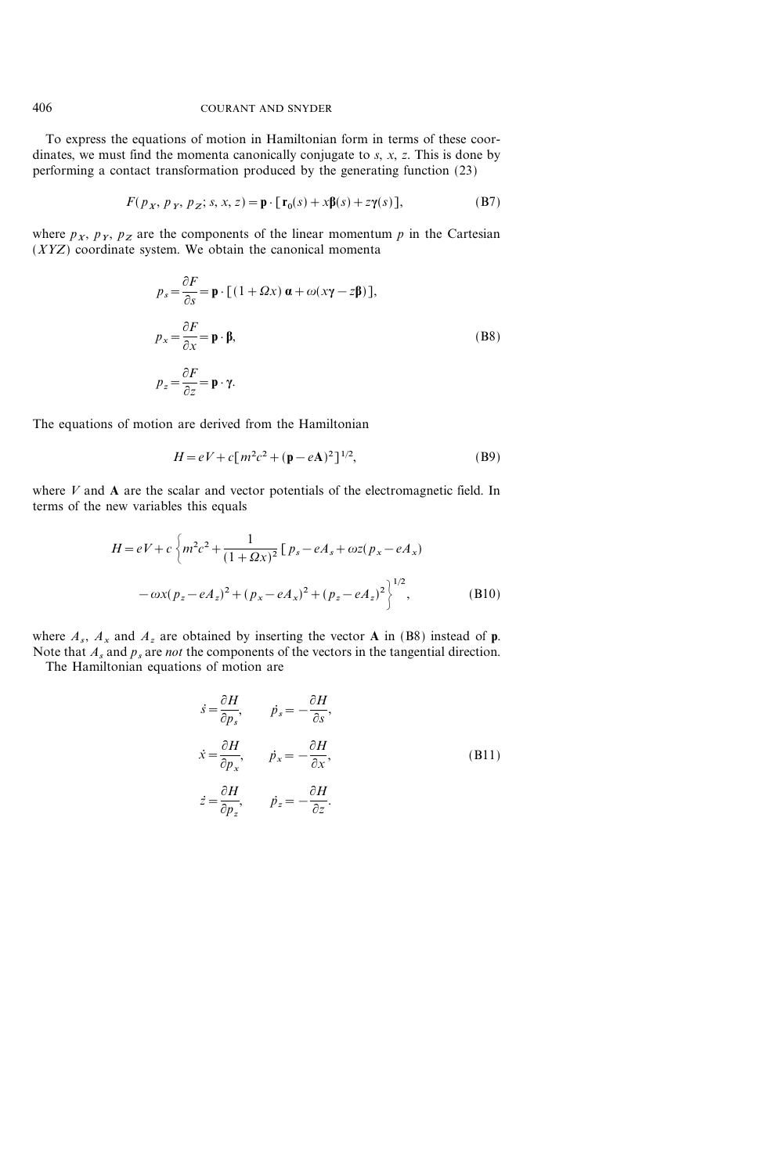To express the equations of motion in Hamiltonian form in terms of these coordinates, we must find the momenta canonically conjugate to  $s$ ,  $x$ ,  $z$ . This is done by performing a contact transformation produced by the generating function (23)

$$
F(p_x, p_y, p_z; s, x, z) = \mathbf{p} \cdot [\mathbf{r}_0(s) + x\mathbf{\beta}(s) + z\mathbf{\gamma}(s)],
$$
 (B7)

where  $p_x$ ,  $p_y$ ,  $p_z$  are the components of the linear momentum p in the Cartesian  $(XYZ)$  coordinate system. We obtain the canonical momenta

$$
p_s = \frac{\partial F}{\partial s} = \mathbf{p} \cdot \left[ (1 + \Omega x) \mathbf{\alpha} + \omega (x\gamma - z\mathbf{\beta}) \right],
$$
  
\n
$$
p_x = \frac{\partial F}{\partial x} = \mathbf{p} \cdot \mathbf{\beta},
$$
  
\n
$$
p_z = \frac{\partial F}{\partial z} = \mathbf{p} \cdot \gamma.
$$
  
\n(B8)

The equations of motion are derived from the Hamiltonian

$$
H = eV + c[m^{2}c^{2} + (\mathbf{p} - e\mathbf{A})^{2}]^{1/2},
$$
 (B9)

where  $V$  and  $A$  are the scalar and vector potentials of the electromagnetic field. In terms of the new variables this equals

$$
H = eV + c \left\{ m^{2}c^{2} + \frac{1}{(1 + \Omega x)^{2}} \left[ p_{s} - eA_{s} + \omega z (p_{x} - eA_{x}) \right. \right.\left. - \omega x (p_{z} - eA_{z})^{2} + (p_{x} - eA_{x})^{2} + (p_{z} - eA_{z})^{2} \right\}^{1/2},
$$
\n(B10)

where  $A_s$ ,  $A_x$  and  $A_z$  are obtained by inserting the vector **A** in (B8) instead of **p**. Note that  $A_s$  and  $p_s$  are *not* the components of the vectors in the tangential direction. The Hamiltonian equations of motion are

$$
\begin{aligned}\n\dot{s} &= \frac{\partial H}{\partial p_s}, & \dot{p}_s &= -\frac{\partial H}{\partial s}, \\
\dot{x} &= \frac{\partial H}{\partial p_x}, & \dot{p}_x &= -\frac{\partial H}{\partial x}, \\
\dot{z} &= \frac{\partial H}{\partial p_z}, & \dot{p}_z &= -\frac{\partial H}{\partial z}.\n\end{aligned}
$$
(B11)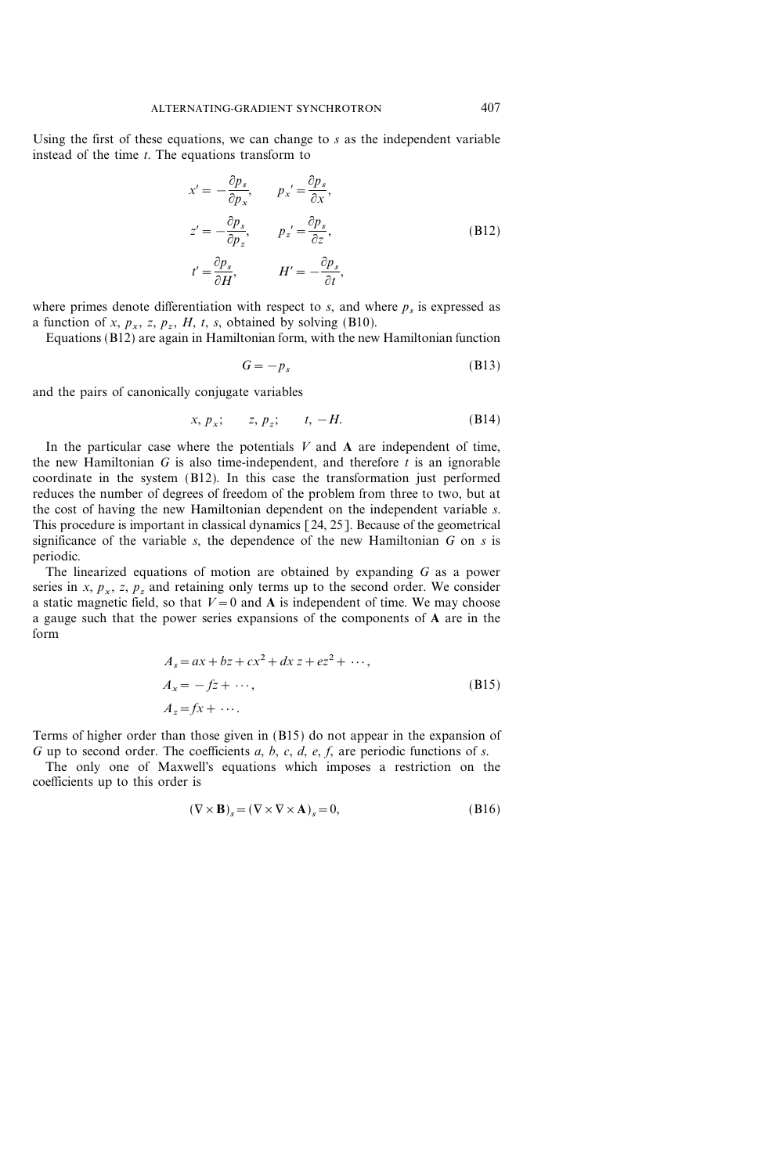Using the first of these equations, we can change to  $s$  as the independent variable instead of the time  $t$ . The equations transform to

$$
x' = -\frac{\partial p_s}{\partial p_x}, \qquad p_x' = \frac{\partial p_s}{\partial x},
$$
  
\n
$$
z' = -\frac{\partial p_s}{\partial p_z}, \qquad p_z' = \frac{\partial p_s}{\partial z},
$$
  
\n
$$
t' = \frac{\partial p_s}{\partial H}, \qquad H' = -\frac{\partial p_s}{\partial t},
$$
  
\n(B12)

where primes denote differentiation with respect to  $s$ , and where  $p_s$  is expressed as a function of x,  $p_x$ , z,  $p_z$ , H, t, s, obtained by solving (B10).

Equations (B12) are again in Hamiltonian form, with the new Hamiltonian function

$$
G = -p_s \tag{B13}
$$

and the pairs of canonically conjugate variables

$$
x, p_x; \qquad z, p_z; \qquad t, -H. \tag{B14}
$$

In the particular case where the potentials  $V$  and  $A$  are independent of time, the new Hamiltonian G is also time-independent, and therefore  $\bar{t}$  is an ignorable coordinate in the system (B12). In this case the transformation just performed reduces the number of degrees of freedom of the problem from three to two, but at the cost of having the new Hamiltonian dependent on the independent variable s. This procedure is important in classical dynamics [24, 25]. Because of the geometrical significance of the variable  $s$ , the dependence of the new Hamiltonian  $G$  on  $s$  is periodic.

The linearized equations of motion are obtained by expanding G as a power series in x,  $p_x$ , z,  $p_z$  and retaining only terms up to the second order. We consider a static magnetic field, so that  $V=0$  and A is independent of time. We may choose a gauge such that the power series expansions of the components of A are in the form

$$
A_s = ax + bz + cx^2 + dx z + ez^2 + \cdots,
$$
  
\n
$$
A_x = -fz + \cdots,
$$
  
\n
$$
A_z = fx + \cdots.
$$
  
\n(B15)

Terms of higher order than those given in (B15) do not appear in the expansion of G up to second order. The coefficients  $a, b, c, d, e, f$ , are periodic functions of s.

The only one of Maxwell's equations which imposes a restriction on the coefficients up to this order is

$$
(\nabla \times \mathbf{B})_s = (\nabla \times \nabla \times \mathbf{A})_s = 0,
$$
\n(B16)